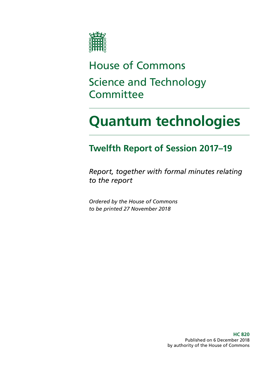

# House of Commons Science and Technology **Committee**

# **Quantum technologies**

### **Twelfth Report of Session 2017–19**

*Report, together with formal minutes relating to the report*

*Ordered by the House of Commons to be printed 27 November 2018*

> **HC 820** Published on 6 December 2018 by authority of the House of Commons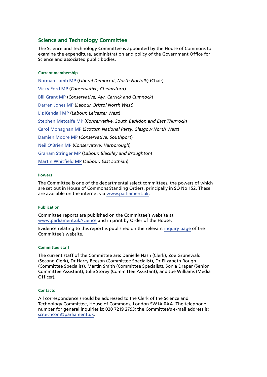#### **Science and Technology Committee**

The Science and Technology Committee is appointed by the House of Commons to examine the expenditure, administration and policy of the Government Office for Science and associated public bodies.

#### **Current membership**

[Norman Lamb MP](https://www.parliament.uk/biographies/commons/norman-lamb/1439) (*Liberal Democrat*, *North Norfolk*) (Chair) [Vicky Ford MP](https://www.parliament.uk/biographies/commons/vicky-ford/4674) (*Conservative, Chelmsford*) [Bill Grant MP](https://www.parliament.uk/biographies/commons/bill-grant/4605) (*Conservative, Ayr, Carrick and Cumnock*) [Darren Jones MP](https://www.parliament.uk/biographies/commons/darren-jones/4621) (*Labour, Bristol North West*) [Liz Kendall MP](https://www.parliament.uk/biographies/commons/liz-kendall/4026) (*Labour, Leicester West*) [Stephen Metcalfe MP](https://www.parliament.uk/biographies/commons/stephen-metcalfe/4092) (*Conservative, South Basildon and East Thurrock*) [Carol Monaghan MP](https://www.parliament.uk/biographies/commons/carol-monaghan/4443) (*Scottish National Party, Glasgow North West*) [Damien Moore MP](https://www.parliament.uk/biographies/commons/damien-moore/4669) (*Conservative, Southport*) [Neil O'Brien MP](https://www.parliament.uk/biographies/commons/neil-o) (*Conservative, Harborough*) [Graham Stringer MP](https://www.parliament.uk/biographies/commons/graham-stringer/449) (*Labour, Blackley and Broughton*) [Martin Whitfield MP](https://www.parliament.uk/biographies/commons/martin-whitfield/4626) (*Labour, East Lothian*)

#### **Powers**

The Committee is one of the departmental select committees, the powers of which are set out in House of Commons Standing Orders, principally in SO No 152. These are available on the internet via [www.parliament.uk.](https://www.parliament.uk/)

#### **Publication**

Committee reports are published on the Committee's website at [www.parliament.uk/science](https://www.parliament.uk/business/committees/committees-a-z/commons-select/science-and-technology-committee/) and in print by Order of the House.

Evidence relating to this report is published on the relevant [inquiry page](https://www.parliament.uk/business/committees/committees-a-z/commons-select/science-and-technology-committee/inquiries/parliament-2017/quantum-technologies-17-19/) of the Committee's website.

#### **Committee staff**

The current staff of the Committee are: Danielle Nash (Clerk), Zoë Grünewald (Second Clerk), Dr Harry Beeson (Committee Specialist), Dr Elizabeth Rough (Committee Specialist), Martin Smith (Committee Specialist), Sonia Draper (Senior Committee Assistant), Julie Storey (Committee Assistant), and Joe Williams (Media Officer).

#### **Contacts**

All correspondence should be addressed to the Clerk of the Science and Technology Committee, House of Commons, London SW1A 0AA. The telephone number for general inquiries is: 020 7219 2793; the Committee's e-mail address is: [scitechcom@parliament.uk.](mailto:scitechcom%40parliament.uk?subject=)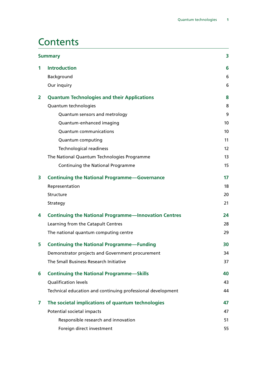### **Contents**

| <b>Summary</b> |                                                             | 3  |
|----------------|-------------------------------------------------------------|----|
| 1              | <b>Introduction</b>                                         | 6  |
|                | Background                                                  | 6  |
|                | Our inquiry                                                 | 6  |
| $\overline{2}$ | <b>Quantum Technologies and their Applications</b>          | 8  |
|                | Quantum technologies                                        | 8  |
|                | Quantum sensors and metrology                               | 9  |
|                | Quantum-enhanced imaging                                    | 10 |
|                | <b>Quantum communications</b>                               | 10 |
|                | Quantum computing                                           | 11 |
|                | <b>Technological readiness</b>                              | 12 |
|                | The National Quantum Technologies Programme                 | 13 |
|                | Continuing the National Programme                           | 15 |
| 3              | <b>Continuing the National Programme-Governance</b>         | 17 |
|                | Representation                                              | 18 |
|                | Structure                                                   | 20 |
|                | Strategy                                                    | 21 |
| 4              | <b>Continuing the National Programme-Innovation Centres</b> | 24 |
|                | Learning from the Catapult Centres                          | 28 |
|                | The national quantum computing centre                       | 29 |
| 5              | <b>Continuing the National Programme-Funding</b>            | 30 |
|                | Demonstrator projects and Government procurement            | 34 |
|                | The Small Business Research Initiative                      | 37 |
| 6              | <b>Continuing the National Programme-Skills</b>             | 40 |
|                | Qualification levels                                        | 43 |
|                | Technical education and continuing professional development | 44 |
| 7              | The societal implications of quantum technologies           | 47 |
|                | Potential societal impacts                                  | 47 |
|                | Responsible research and innovation                         | 51 |
|                | Foreign direct investment                                   | 55 |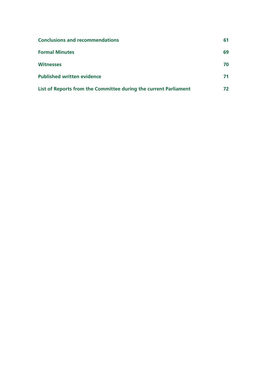| <b>Conclusions and recommendations</b>                           | 61  |
|------------------------------------------------------------------|-----|
| <b>Formal Minutes</b>                                            | 69  |
| <b>Witnesses</b>                                                 | 70  |
| <b>Published written evidence</b>                                | 71  |
| List of Reports from the Committee during the current Parliament | 72. |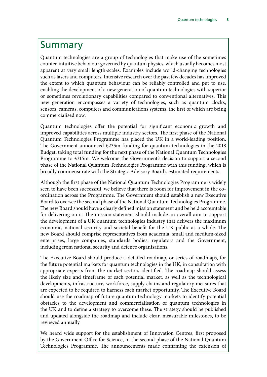### <span id="page-4-0"></span>Summary

Quantum technologies are a group of technologies that make use of the sometimes counter-intuitive behaviour governed by quantum physics, which usually becomes most apparent at very small length-scales. Examples include world-changing technologies such as lasers and computers. Intensive research over the past few decades has improved the extent to which quantum behaviour can be reliably controlled and put to use, enabling the development of a new generation of quantum technologies with superior or sometimes revolutionary capabilities compared to conventional alternatives. This new generation encompasses a variety of technologies, such as quantum clocks, sensors, cameras, computers and communications systems, the first of which are being commercialised now.

Quantum technologies offer the potential for significant economic growth and improved capabilities across multiple industry sectors. The first phase of the National Quantum Technologies Programme has placed the UK in a world-leading position. The Government announced £235m funding for quantum technologies in the 2018 Budget, taking total funding for the next phase of the National Quantum Technologies Programme to £315m. We welcome the Government's decision to support a second phase of the National Quantum Technologies Programme with this funding, which is broadly commensurate with the Strategic Advisory Board's estimated requirements.

Although the first phase of the National Quantum Technologies Programme is widely seen to have been successful, we believe that there is room for improvement in the coordination across the Programme. The Government should establish a new Executive Board to oversee the second phase of the National Quantum Technologies Programme. The new Board should have a clearly defined mission statement and be held accountable for delivering on it. The mission statement should include an overall aim to support the development of a UK quantum technologies industry that delivers the maximum economic, national security and societal benefit for the UK public as a whole. The new Board should comprise representatives from academia, small and medium-sized enterprises, large companies, standards bodies, regulators and the Government, including from national security and defence organisations.

The Executive Board should produce a detailed roadmap, or series of roadmaps, for the future potential markets for quantum technologies in the UK, in consultation with appropriate experts from the market sectors identified. The roadmap should assess the likely size and timeframe of each potential market, as well as the technological developments, infrastructure, workforce, supply chains and regulatory measures that are expected to be required to harness each market opportunity. The Executive Board should use the roadmap of future quantum technology markets to identify potential obstacles to the development and commercialisation of quantum technologies in the UK and to define a strategy to overcome these. The strategy should be published and updated alongside the roadmap and include clear, measurable milestones, to be reviewed annually.

We heard wide support for the establishment of Innovation Centres, first proposed by the Government Office for Science, in the second phase of the National Quantum Technologies Programme. The announcements made confirming the extension of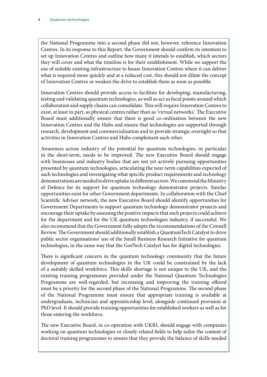the National Programme into a second phase did not, however, reference Innovation Centres. In its response to this Report, the Government should confirm its intention to set up Innovation Centres and outline how many it intends to establish, which sectors they will cover and what the timeline is for their establishment. While we support the use of suitable existing infrastructure to house Innovation Centres where it can deliver what is required more quickly and at a reduced cost, this should not dilute the concept of Innovation Centres or weaken the drive to establish them as soon as possible.

Innovation Centres should provide access to facilities for developing, manufacturing, testing and validating quantum technologies, as well as act as focal points around which collaboration and supply chains can consolidate. This will require Innovation Centres to exist, at least in part, as physical centres rather than as 'virtual networks'. The Executive Board must additionally ensure that there is good co-ordination between the new Innovation Centres and the Hubs and ensure that technologies are supported through research, development and commercialisation and to provide strategic oversight so that activities in Innovation Centres and Hubs complement each other.

Awareness across industry of the potential for quantum technologies, in particular in the short-term, needs to be improved. The new Executive Board should engage with businesses and industry bodies that are not yet actively pursuing opportunities presented by quantum technologies, articulating the near-term capabilities expected of such technologies and investigating what specific product requirements and technology demonstrations are needed to drive uptake in different sectors. We commend the Ministry of Defence for its support for quantum technology demonstrator projects. Similar opportunities exist for other Government departments. In collaboration with the Chief Scientific Adviser network, the new Executive Board should identify opportunities for Government Departments to support quantum technology demonstrator projects and encourage their uptake by assessing the positive impacts that such projects could achieve for the department and for the UK quantum technologies industry, if successful. We also recommend that the Government fully adopts the recommendations of the Connell Review. The Government should additionally establish a QuantumTech Catalyst to drive public sector organisations' use of the Small Business Research Initiative for quantum technologies, in the same way that the GovTech Catalyst has for digital technologies.

There is significant concern in the quantum technology community that the future development of quantum technologies in the UK could be constrained by the lack of a suitably skilled workforce. This skills shortage is not unique to the UK, and the existing training programmes provided under the National Quantum Technologies Programme are well-regarded, but increasing and improving the training offered must be a priority for the second phase of the National Programme. The second phase of the National Programme must ensure that appropriate training is available at undergraduate, technician and apprenticeship level, alongside continued provision at PhD level. It should provide training opportunities for established workers as well as for those entering the workforce.

The new Executive Board, in co-operation with UKRI, should engage with companies working on quantum technologies or closely related fields to help tailor the content of doctoral training programmes to ensure that they provide the balance of skills needed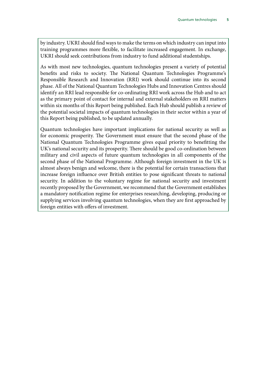by industry. UKRI should find ways to make the terms on which industry can input into training programmes more flexible, to facilitate increased engagement. In exchange, UKRI should seek contributions from industry to fund additional studentships.

As with most new technologies, quantum technologies present a variety of potential benefits and risks to society. The National Quantum Technologies Programme's Responsible Research and Innovation (RRI) work should continue into its second phase. All of the National Quantum Technologies Hubs and Innovation Centres should identify an RRI lead responsible for co-ordinating RRI work across the Hub and to act as the primary point of contact for internal and external stakeholders on RRI matters within six months of this Report being published. Each Hub should publish a review of the potential societal impacts of quantum technologies in their sector within a year of this Report being published, to be updated annually.

Quantum technologies have important implications for national security as well as for economic prosperity. The Government must ensure that the second phase of the National Quantum Technologies Programme gives equal priority to benefitting the UK's national security and its prosperity. There should be good co-ordination between military and civil aspects of future quantum technologies in all components of the second phase of the National Programme. Although foreign investment in the UK is almost always benign and welcome, there is the potential for certain transactions that increase foreign influence over British entities to pose significant threats to national security. In addition to the voluntary regime for national security and investment recently proposed by the Government, we recommend that the Government establishes a mandatory notification regime for enterprises researching, developing, producing or supplying services involving quantum technologies, when they are first approached by foreign entities with offers of investment.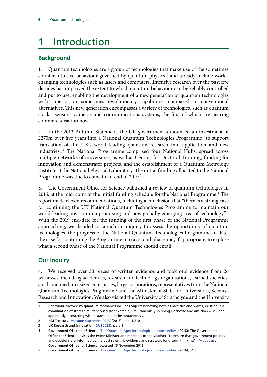## <span id="page-7-0"></span>**1** Introduction

#### **Background**

1. Quantum technologies are a group of technologies that make use of the sometimes counter-intuitive behaviour governed by quantum physics, $<sup>1</sup>$  and already include world-</sup> changing technologies such as lasers and computers. Intensive research over the past few decades has improved the extent to which quantum behaviour can be reliably controlled and put to use, enabling the development of a new generation of quantum technologies with superior or sometimes revolutionary capabilities compared to conventional alternatives. This new generation encompasses a variety of technologies, such as quantum clocks, sensors, cameras and communications systems, the first of which are nearing commercialisation now.

2. In the 2013 Autumn Statement, the UK government announced an investment of £270m over five years into a National Quantum Technologies Programme "to support translation of the UK's world leading quantum research into application and new industries".2 The National Programme comprised four National Hubs, spread across multiple networks of universities, as well as Centres for Doctoral Training, funding for innovation and demonstrator projects, and the establishment of a Quantum Metrology Institute at the National Physical Laboratory. The initial funding allocated to the National Programme was due to come to an end in 2019.<sup>3</sup>

3. The Government Office for Science published a review of quantum technologies in 2016, at the mid-point of the initial funding schedule for the National Programme.<sup>4</sup> The report made eleven recommendations, including a conclusion that "there is a strong case for continuing the UK National Quantum Technologies Programme to maintain our world-leading position in a promising and now globally emerging area of technology".<sup>5</sup> With the 2019 end-date for the funding of the first phase of the National Programme approaching, we decided to launch an inquiry to assess the opportunity of quantum technologies, the progress of the National Quantum Technologies Programme to date, the case for continuing the Programme into a second phase and, if appropriate, to explore what a second phase of the National Programme should entail.

#### **Our inquiry**

4. We received over 30 pieces of written evidence and took oral evidence from 26 witnesses, including academics, research and technology organisations, learned societies, small and medium-sized enterprises, large corporations, representatives from the National Quantum Technologies Programme and the Minister of State for Universities, Science, Research and Innovation. We also visited the University of Strathclyde and the University

<sup>1</sup> Behaviour allowed by quantum mechanics includes objects behaving both as particles and waves, existing in a combination of states simultaneously (for example, simultaneously spinning clockwise and anticlockwise), and apparently interacting with distant objects instantaneously.

<sup>2</sup> HM Treasury, ['Autumn Statement 2013](https://assets.publishing.service.gov.uk/government/uploads/system/uploads/attachment_data/file/263942/35062_Autumn_Statement_2013.pdf)' (2013), para 1.210 3 UK Research and Innovation ([QUT0023\)](http://data.parliament.uk/writtenevidence/committeeevidence.svc/evidencedocument/science-and-technology-committee/quantum-technologies/written/81338.html), para 2

<sup>4</sup> Government Office for Science, '[The Quantum Age: technological opportunities'](https://assets.publishing.service.gov.uk/government/uploads/system/uploads/attachment_data/file/564946/gs-16-18-quantum-technologies-report.pdf) (2016); The Government Office for Sciencea dvises the Prime Minister and members of the Cabinet "to ensure that government policies and decisions are informed by the best scientific evidence and strategic long-term thinking"—['About us](https://www.gov.uk/government/organisations/government-office-for-science/about)', Government Office for Science, accessed 15 November 2018

<sup>5</sup> Government Office for Science, '[The Quantum Age: technological opportunities'](https://assets.publishing.service.gov.uk/government/uploads/system/uploads/attachment_data/file/564946/gs-16-18-quantum-technologies-report.pdf) (2016), p10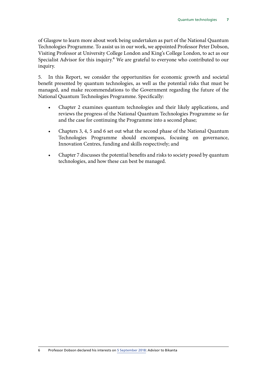of Glasgow to learn more about work being undertaken as part of the National Quantum Technologies Programme. To assist us in our work, we appointed Professor Peter Dobson, Visiting Professor at University College London and King's College London, to act as our Specialist Advisor for this inquiry.<sup>6</sup> We are grateful to everyone who contributed to our inquiry.

5. In this Report, we consider the opportunities for economic growth and societal benefit presented by quantum technologies, as well as the potential risks that must be managed, and make recommendations to the Government regarding the future of the National Quantum Technologies Programme. Specifically:

- Chapter 2 examines quantum technologies and their likely applications, and reviews the progress of the National Quantum Technologies Programme so far and the case for continuing the Programme into a second phase;
- Chapters 3, 4, 5 and 6 set out what the second phase of the National Quantum Technologies Programme should encompass, focusing on governance, Innovation Centres, funding and skills respectively; and
- Chapter 7 discusses the potential benefits and risks to society posed by quantum technologies, and how these can best be managed.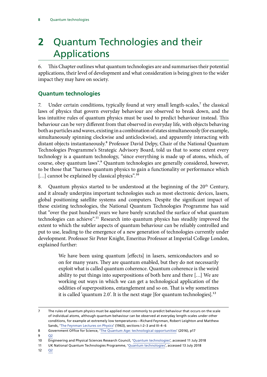# <span id="page-9-0"></span>**2** Quantum Technologies and their Applications

6. This Chapter outlines what quantum technologies are and summarises their potential applications, their level of development and what consideration is being given to the wider impact they may have on society.

#### **Quantum technologies**

7. Under certain conditions, typically found at very small length-scales,<sup>7</sup> the classical laws of physics that govern everyday behaviour are observed to break down, and the less intuitive rules of quantum physics must be used to predict behaviour instead. This behaviour can be very different from that observed in everyday life, with objects behaving both as particles and waves, existing in a combination of states simultaneously (for example, simultaneously spinning clockwise and anticlockwise), and apparently interacting with distant objects instantaneously.8 Professor David Delpy, Chair of the National Quantum Technologies Programme's Strategic Advisory Board, told us that to some extent every technology is a quantum technology, "since everything is made up of atoms, which, of course, obey quantum laws".9 Quantum technologies are generally considered, however, to be those that "harness quantum physics to gain a functionality or performance which [...] cannot be explained by classical physics".<sup>10</sup>

8. Quantum physics started to be understood at the beginning of the 20<sup>th</sup> Century, and it already underpins important technologies such as most electronic devices, lasers, global positioning satellite systems and computers. Despite the significant impact of these existing technologies, the National Quantum Technologies Programme has said that "over the past hundred years we have barely scratched the surface of what quantum technologies can achieve".<sup>11</sup> Research into quantum physics has steadily improved the extent to which the subtler aspects of quantum behaviour can be reliably controlled and put to use, leading to the emergence of a new generation of technologies currently under development. Professor Sir Peter Knight, Emeritus Professor at Imperial College London, explained further:

> We have been using quantum [effects] in lasers, semiconductors and so on for many years. They are quantum enabled, but they do not necessarily exploit what is called quantum coherence. Quantum coherence is the weird ability to put things into superpositions of both here and there […] We are working out ways in which we can get a technological application of the oddities of superpositions, entanglement and so on. That is why sometimes it is called 'quantum 2.0'. It is the next stage [for quantum technologies].<sup>12</sup>

9 [Q2](http://data.parliament.uk/writtenevidence/committeeevidence.svc/evidencedocument/science-and-technology-committee/quantum-technologies/oral/84595.html)

12 [Q2](http://data.parliament.uk/writtenevidence/committeeevidence.svc/evidencedocument/science-and-technology-committee/quantum-technologies/oral/84595.html)

<sup>7</sup> The rules of quantum physics must be applied most commonly to predict behaviour that occurs on the scale of individual atoms, although quantum behaviour can be observed at everyday length-scales under other conditions, for example at extremely low temperatures—Richard Feynman, Robert Leighton and Matthew Sands, '[The Feynman Lectures on Physics'](http://www.feynmanlectures.caltech.edu/) (1963), sections I-2–3 and III-4–6

<sup>8</sup> Government Office for Science, '[The Quantum Age: technological opportunities'](https://assets.publishing.service.gov.uk/government/uploads/system/uploads/attachment_data/file/564946/gs-16-18-quantum-technologies-report.pdf) (2016), p17

<sup>10</sup> Engineering and Physical Sciences Research Council, '[Quantum technologies'](https://epsrc.ukri.org/research/ourportfolio/themes/quantumtech/), accessed 11 July 2018

<sup>11</sup> UK National Quantum Technologies Programme, '[Quantum technologies'](http://uknqt.epsrc.ac.uk/about/quantum-technologies/), accessed 13 July 2018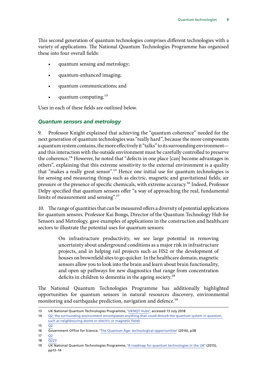<span id="page-10-0"></span>This second generation of quantum technologies comprises different technologies with a variety of applications. The National Quantum Technologies Programme has organised these into four overall fields:

- quantum sensing and metrology;
- quantum-enhanced imaging;
- quantum communications; and
- quantum computing.<sup>13</sup>

Uses in each of these fields are outlined below.

#### *Quantum sensors and metrology*

9. Professor Knight explained that achieving the "quantum coherence" needed for the next generation of quantum technologies was "really hard", because the more components a quantum system contains, the more effectively it "talks" to its surrounding environment and this interaction with the outside environment must be carefully controlled to preserve the coherence.<sup>14</sup> However, he noted that "defects in one place [can] become advantages in others", explaining that this extreme sensitivity to the external environment is a quality that "makes a really great sensor".<sup>15</sup> Hence one initial use for quantum technologies is for sensing and measuring things such as electric, magnetic and gravitational fields, air pressure or the presence of specific chemicals, with extreme accuracy.16 Indeed, Professor Delpy specified that quantum sensors offer "a way of approaching the real, fundamental limits of measurement and sensing".17

10. The range of quantities that can be measured offers a diversity of potential applications for quantum sensors. Professor Kai Bongs, Director of the Quantum Technology Hub for Sensors and Metrology, gave examples of applications in the construction and healthcare sectors to illustrate the potential uses for quantum sensors:

> On infrastructure productivity, we see large potential in removing uncertainty about underground conditions as a major risk in infrastructure projects, and in helping rail projects such as HS2 or the development of houses on brownfield sites to go quicker. In the healthcare domain, magnetic sensors allow you to look into the brain and learn about brain functionality, and open up pathways for new diagnostics that range from concentration deficits in children to dementia in the ageing society.<sup>18</sup>

The National Quantum Technologies Programme has additionally highlighted opportunities for quantum sensors in natural resources discovery, environmental monitoring and earthquake prediction, navigation and defence.<sup>19</sup>

18 [Q223](http://data.parliament.uk/writtenevidence/committeeevidence.svc/evidencedocument/science-and-technology-committee/quantum-technologies/oral/86927.html)

<sup>13</sup> UK National Quantum Technologies Programme, '[UKNQT Hubs](http://uknqt.epsrc.ac.uk/about/uknqt-hubs/)', accessed 13 July 2018

<sup>14</sup> [Q2; the surrounding environment encompasses anything that could disturb the quantum system in question,](http://data.parliament.uk/writtenevidence/committeeevidence.svc/evidencedocument/science-and-technology-committee/quantum-technologies/oral/84595.html)  [such as neighbouring atoms or electric or magnetic fields](http://data.parliament.uk/writtenevidence/committeeevidence.svc/evidencedocument/science-and-technology-committee/quantum-technologies/oral/84595.html)

<sup>15</sup> [Q2](http://data.parliament.uk/writtenevidence/committeeevidence.svc/evidencedocument/science-and-technology-committee/quantum-technologies/oral/84595.html)

<sup>16</sup> Government Office for Science, '[The Quantum Age: technological opportunities'](https://assets.publishing.service.gov.uk/government/uploads/system/uploads/attachment_data/file/564946/gs-16-18-quantum-technologies-report.pdf) (2016), p38

<sup>17 02</sup> 

<sup>19</sup> UK National Quantum Technologies Programme, '[A roadmap for quantum technologies in the UK](https://epsrc.ukri.org/newsevents/pubs/quantumtechroadmap/)' (2015), pp13–14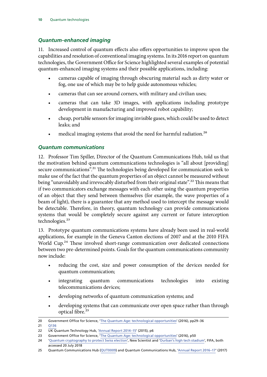#### <span id="page-11-0"></span>*Quantum-enhanced imaging*

11. Increased control of quantum effects also offers opportunities to improve upon the capabilities and resolution of conventional imaging systems. In its 2016 report on quantum technologies, the Government Office for Science highlighted several examples of potential quantum-enhanced imaging systems and their possible applications, including:

- cameras capable of imaging through obscuring material such as dirty water or fog, one use of which may be to help guide autonomous vehicles;
- cameras that can see around corners, with military and civilian uses;
- cameras that can take 3D images, with applications including prototype development in manufacturing and improved robot capability;
- cheap, portable sensors for imaging invisible gases, which could be used to detect leaks; and
- medical imaging systems that avoid the need for harmful radiation.<sup>20</sup>

#### *Quantum communications*

12. Professor Tim Spiller, Director of the Quantum Communications Hub, told us that the motivation behind quantum communications technologies is "all about [providing] secure communications".<sup>21</sup> The technologies being developed for communication seek to make use of the fact that the quantum properties of an object cannot be measured without being "unavoidably and irrevocably disturbed from their original state".<sup>22</sup> This means that if two communicators exchange messages with each other using the quantum properties of an object that they send between themselves (for example, the wave properties of a beam of light), there is a guarantee that any method used to intercept the message would be detectable. Therefore, in theory, quantum technology can provide communications systems that would be completely secure against any current or future interception technologies.<sup>23</sup>

13. Prototype quantum communications systems have already been used in real-world applications, for example in the Geneva Canton elections of 2007 and at the 2010 FIFA World Cup.<sup>24</sup> These involved short-range communication over dedicated connections between two pre-determined points. Goals for the quantum communications community now include:

- reducing the cost, size and power consumption of the devices needed for quantum communication;
- integrating quantum communications technologies into existing telecommunications devices;
- developing networks of quantum communication systems; and
- developing systems that can communicate over open space rather than through optical fibre.<sup>25</sup>

<sup>20</sup> Government Office for Science, '[The Quantum Age: technological opportunities'](https://assets.publishing.service.gov.uk/government/uploads/system/uploads/attachment_data/file/564946/gs-16-18-quantum-technologies-report.pdf) (2016), pp29–36

<sup>21 0136</sup> 

<sup>22</sup> UK Quantum Technology Hub, ['Annual Report 2014–15'](http://uknqt.epsrc.ac.uk/files/quantumcommshubannualreport/) (2015), p6

<sup>23</sup> Government Office for Science, [The Quantum Age: technological opportunities'](https://assets.publishing.service.gov.uk/government/uploads/system/uploads/attachment_data/file/564946/gs-16-18-quantum-technologies-report.pdf) (2016), p50

<sup>24</sup> '[Quantum cryptography to protect Swiss election](https://www.newscientist.com/article/dn12786-quantum-cryptography-to-protect-swiss-election/)', New Scientist and ['Durban's high tech stadium'](https://www.fifa.com/worldcup/news/durban-high-tech-stadium-1217593), FIFA, both accessed 20 July 2018

<sup>25</sup> Quantum Communications Hub ([QUT0009](http://data.parliament.uk/writtenevidence/committeeevidence.svc/evidencedocument/science-and-technology-committee/quantum-technologies/written/80929.html)) and Quantum Communications Hub, ['Annual Report 2016–17'](http://uknqt.epsrc.ac.uk/files/quantum-communications-hub-annual-report-16-17/) (2017)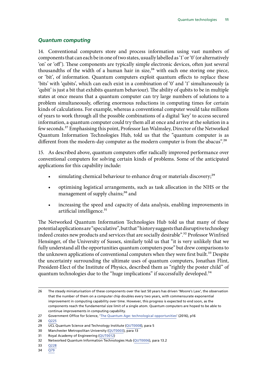#### <span id="page-12-0"></span>*Quantum computing*

14. Conventional computers store and process information using vast numbers of components that can each be in one of two states, usually labelled as '1' or '0' (or alternatively 'on' or 'off'). These components are typically simple electronic devices, often just several thousandths of the width of a human hair in size,<sup>26</sup> with each one storing one piece, or 'bit', of information. Quantum computers exploit quantum effects to replace these 'bits' with 'qubits', which can each exist in a combination of '0' and '1' simultaneously (a 'qubit' is just a bit that exhibits quantum behaviour). The ability of qubits to be in multiple states at once means that a quantum computer can try large numbers of solutions to a problem simultaneously, offering enormous reductions in computing times for certain kinds of calculations. For example, whereas a conventional computer would take millions of years to work through all the possible combinations of a digital 'key' to access secured information, a quantum computer could try them all at once and arrive at the solution in a few seconds.27 Emphasising this point, Professor Ian Walmsley, Director of the Networked Quantum Information Technologies Hub, told us that the "quantum computer is as different from the modern-day computer as the modern computer is from the abacus".<sup>28</sup>

15. As described above, quantum computers offer radically improved performance over conventional computers for solving certain kinds of problems. Some of the anticipated applications for this capability include:

- simulating chemical behaviour to enhance drug or materials discovery;<sup>29</sup>
- optimising logistical arrangements, such as task allocation in the NHS or the management of supply chains;<sup>30</sup> and
- increasing the speed and capacity of data analysis, enabling improvements in artificial intelligence.<sup>31</sup>

The Networked Quantum Information Technologies Hub told us that many of these potential applications are "speculative", but that "history suggests that disruptive technology indeed creates new products and services that are socially desirable".<sup>32</sup> Professor Winfried Hensinger, of the University of Sussex, similarly told us that "it is very unlikely that we fully understand all the opportunities quantum computers pose" but drew comparisons to the unknown applications of conventional computers when they were first built.<sup>33</sup> Despite the uncertainty surrounding the ultimate uses of quantum computers, Jonathan Flint, President-Elect of the Institute of Physics, described them as "rightly the poster child" of quantum technologies due to the "huge implications" if successfully developed.<sup>34</sup>

- 30 Manchester Metropolitan University [\(QUT0003](http://data.parliament.uk/writtenevidence/committeeevidence.svc/evidencedocument/science-and-technology-committee/quantum-technologies/written/80865.html)), para 13
- 31 Royal Academy of Engineering ([QUT0012](http://data.parliament.uk/writtenevidence/committeeevidence.svc/evidencedocument/science-and-technology-committee/quantum-technologies/written/80961.html))
- 32 Networked Quantum Information Technologies Hub [\(QUT0006\)](http://data.parliament.uk/writtenevidence/committeeevidence.svc/evidencedocument/science-and-technology-committee/quantum-technologies/written/80906.html), para 13.2
- 33 [Q228](http://data.parliament.uk/writtenevidence/committeeevidence.svc/evidencedocument/science-and-technology-committee/quantum-technologies/oral/86927.html)
- 34 [Q79](http://data.parliament.uk/writtenevidence/committeeevidence.svc/evidencedocument/science-and-technology-committee/quantum-technologies/oral/84595.html)

<sup>26</sup> The steady miniaturisation of these components over the last 50 years has driven 'Moore's Law', the observation that the number of them on a computer chip doubles every two years, with commensurate exponential improvement in computing capability over time. However, this progress is expected to end soon, as the components reach the fundamental size limit of a single atom. Quantum computers are hoped to be able to continue improvements in computing capability.

<sup>27</sup> Government Office for Science, '[The Quantum Age: technological opportunities'](https://assets.publishing.service.gov.uk/government/uploads/system/uploads/attachment_data/file/564946/gs-16-18-quantum-technologies-report.pdf) (2016), p16

<sup>28</sup> [Q225](http://data.parliament.uk/writtenevidence/committeeevidence.svc/evidencedocument/science-and-technology-committee/quantum-technologies/oral/86927.html)

<sup>29</sup> UCL Quantum Science and Technology Institute ([QUT0008](http://data.parliament.uk/writtenevidence/committeeevidence.svc/evidencedocument/science-and-technology-committee/quantum-technologies/written/80927.html)), para 5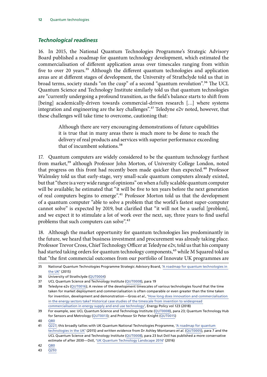#### <span id="page-13-0"></span>*Technological readiness*

16. In 2015, the National Quantum Technologies Programme's Strategic Advisory Board published a roadmap for quantum technology development, which estimated the commercialisation of different application areas over timescales ranging from within five to over 20 years.<sup>35</sup> Although the different quantum technologies and application areas are at different stages of development, the University of Strathclyde told us that in broad terms, society stands "on the cusp" of a second "quantum revolution".36 The UCL Quantum Science and Technology Institute similarly told us that quantum technologies are "currently undergoing a profound transition, as the field's balance starts to shift from [being] academically-driven towards commercial-driven research […] where systems integration and engineering are the key challenges".<sup>37</sup> Teledyne e2v noted, however, that these challenges will take time to overcome, cautioning that:

> Although there are very encouraging demonstrations of future capabilities it is true that in many areas there is much more to be done to reach the delivery of real products and services with superior performance exceeding that of incumbent solutions.<sup>38</sup>

17. Quantum computers are widely considered to be the quantum technology furthest from market,<sup>39</sup> although Professor John Morton, of University College London, noted that progress on this front had recently been made quicker than expected.40 Professor Walmsley told us that early-stage, very small-scale quantum computers already existed, but that "there is a very wide range of opinions" on when a fully scalable quantum computer will be available; he estimated that "it will be five to ten years before the next generation of real computers begins to emerge".41 Professor Morton told us that the development of a quantum computer "able to solve a problem that the world's fastest super-computer cannot solve" is expected by 2019, but clarified that "it will not be a useful [problem], and we expect it to stimulate a lot of work over the next, say, three years to find useful problems that such computers can solve".<sup>42</sup>

18. Although the market opportunity for quantum technologies lies predominantly in the future, we heard that business investment and procurement was already taking place. Professor Trevor Cross, Chief Technology Officer at Teledyne e2v, told us that his company had started taking orders for quantum technology components,<sup>43</sup> while M Squared told us that "the first commercial outcomes from our portfolio of Innovate UK programmes are

<sup>35</sup> National Quantum Technologies Programme Strategic Advisory Board, ['A roadmap for quantum technologies in](https://epsrc.ukri.org/newsevents/pubs/quantumtechroadmap/)  [the UK](https://epsrc.ukri.org/newsevents/pubs/quantumtechroadmap/)' (2015)

<sup>36</sup> University of Strathclyde ([QUT0004](http://data.parliament.uk/writtenevidence/committeeevidence.svc/evidencedocument/science-and-technology-committee/quantum-technologies/written/80895.html))

<sup>37</sup> UCL Quantum Science and Technology Institute ([QUT0008](http://data.parliament.uk/writtenevidence/committeeevidence.svc/evidencedocument/science-and-technology-committee/quantum-technologies/written/80927.html)), para 19

<sup>38</sup> Teledyne e2v ([QUT0016\)](http://data.parliament.uk/writtenevidence/committeeevidence.svc/evidencedocument/science-and-technology-committee/quantum-technologies/written/80995.html); A review of the development timescales of various technologies found that the time taken for market deployment and commercialisation is often comparable or even greater than the time taken for invention, development and demonstration—Gross *et al.*, '[How long does innovation and commercialisation](https://www.sciencedirect.com/science/article/pii/S0301421518305901?openDownloadIssueModal=true)  [in the energy sectors take? Historical case studies of the timescale from invention to widespread](https://www.sciencedirect.com/science/article/pii/S0301421518305901?openDownloadIssueModal=true) [commercialisation in energy supply and end use technology'](https://www.sciencedirect.com/science/article/pii/S0301421518305901?openDownloadIssueModal=true), Energy Policy vol 123 (2018)

<sup>39</sup> For example, see: UCL Quantum Science and Technology Institute [\(QUT0008\)](http://data.parliament.uk/writtenevidence/committeeevidence.svc/evidencedocument/science-and-technology-committee/quantum-technologies/written/80927.html), para 23; Quantum Technology Hub for Sensors and Metrology [\(QUT0013\)](http://data.parliament.uk/writtenevidence/committeeevidence.svc/evidencedocument/science-and-technology-committee/quantum-technologies/written/80962.html); and Professor Sir Peter Knight ([QUT0015](http://data.parliament.uk/writtenevidence/committeeevidence.svc/evidencedocument/science-and-technology-committee/quantum-technologies/written/80985.html))

<sup>40</sup> [Q80](http://data.parliament.uk/writtenevidence/committeeevidence.svc/evidencedocument/science-and-technology-committee/quantum-technologies/oral/84595.html)

<sup>41</sup> [Q227](http://data.parliament.uk/writtenevidence/committeeevidence.svc/evidencedocument/science-and-technology-committee/quantum-technologies/oral/86927.html); this broadly tallies with UK Quantum National Technologies Programme, '[A roadmap for quantum](https://epsrc.ukri.org/newsevents/pubs/quantumtechroadmap/)  [technologies in the UK'](https://epsrc.ukri.org/newsevents/pubs/quantumtechroadmap/) (2015) and written evidence from Dr Ashley Montanaro *et al*. [\(QUT0005\)](http://data.parliament.uk/writtenevidence/committeeevidence.svc/evidencedocument/science-and-technology-committee/quantum-technologies/written/80900.html), para 7 and the UCL Quantum Science and Technology Institute ([QUT0008](http://data.parliament.uk/writtenevidence/committeeevidence.svc/evidencedocument/science-and-technology-committee/quantum-technologies/written/80927.html)), para 23 but Dstl has published a more conservative estimate of after 2030—Dstl, '[UK Quantum Technology Landscape 2016'](http://uknqt.epsrc.ac.uk/files/ukquantumtechnologylandscape2016/) (2016)

<sup>42</sup> [Q80](http://data.parliament.uk/writtenevidence/committeeevidence.svc/evidencedocument/science-and-technology-committee/quantum-technologies/oral/84595.html)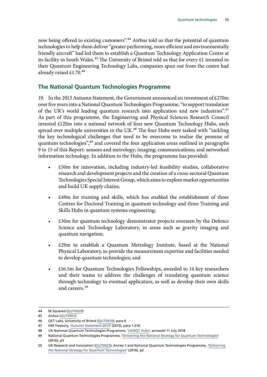<span id="page-14-0"></span>now being offered to existing customers".<sup>44</sup> Airbus told us that the potential of quantum technologies to help them deliver "greater performing, more efficient and environmentally friendly aircraft" had led them to establish a Quantum Technology Application Centre at its facility in South Wales.<sup>45</sup> The University of Bristol told us that for every £1 invested in their Quantum Engineering Technology Labs, companies spun out from the centre had already raised  $£1.70.^{46}$ 

#### **The National Quantum Technologies Programme**

19. In the 2013 Autumn Statement, the Government announced an investment of £270m over five years into a National Quantum Technologies Programme, "to support translation of the UK's world leading quantum research into application and new industries".<sup>47</sup> As part of this programme, the Engineering and Physical Sciences Research Council invested £120m into a national network of four new Quantum Technology Hubs, each spread over multiple universities in the UK. $48$  The four Hubs were tasked with "tackling the key technological challenges that need to be overcome to realise the promise of quantum technologies",<sup>49</sup> and covered the four application areas outlined in paragraphs 9 to 15 of this Report: sensors and metrology; imaging; communications; and networked information technology. In addition to the Hubs, the programme has provided:

- £50m for innovation, including industry-led feasibility studies, collaborative research and development projects and the creation of a cross-sectoral Quantum Technologies Special Interest Group, which aims to explore market opportunities and build UK supply chains;
- £49m for training and skills, which has enabled the establishment of three Centres for Doctoral Training in quantum technology and three Training and Skills Hubs in quantum systems engineering;
- £30m for quantum technology demonstrator projects overseen by the Defence Science and Technology Laboratory, in areas such as gravity imaging and quantum navigation;
- £29m to establish a Quantum Metrology Institute, based at the National Physical Laboratory, to provide the measurement expertise and facilities needed to develop quantum technologies; and
- £16.5m for Quantum Technologies Fellowships, awarded to 14 key researchers and their teams to address the challenges of translating quantum science through technology to eventual application, as well as develop their own skills and careers<sup>50</sup>

<sup>44</sup> M Squared ([QUT0024\)](http://data.parliament.uk/writtenevidence/committeeevidence.svc/evidencedocument/science-and-technology-committee/quantum-technologies/written/81354.html)

<sup>45</sup> Airbus [\(QUT0001](http://data.parliament.uk/writtenevidence/committeeevidence.svc/evidencedocument/science-and-technology-committee/quantum-technologies/written/80089.html))

<sup>46</sup> QET Labs, University of Bristol ([QUT0019](http://data.parliament.uk/writtenevidence/committeeevidence.svc/evidencedocument/science-and-technology-committee/quantum-technologies/written/81019.html)), para 6

<sup>47</sup> HM Treasury, ['Autumn Statement 2013](https://assets.publishing.service.gov.uk/government/uploads/system/uploads/attachment_data/file/263942/35062_Autumn_Statement_2013.pdf)' (2013), para 1.210

<sup>48</sup> UK National Quantum Technologies Programme, '[UKNQT Hubs](http://uknqt.epsrc.ac.uk/about/uknqt-hubs/)', accessed 11 July 2018

<sup>49</sup> National Quantum Technologies Programme, ['Delivering the National Strategy for Quantum Technologies](http://uknqt.epsrc.ac.uk/files/deliveringnationalstrategy/)' (2016), p3

<sup>50</sup> UK Research and Innovation ([QUT0023\)](http://data.parliament.uk/writtenevidence/committeeevidence.svc/evidencedocument/science-and-technology-committee/quantum-technologies/written/81338.html), Annex 1 and National Quantum Technologies Programme, ['Delivering](http://uknqt.epsrc.ac.uk/files/deliveringnationalstrategy/)  [the National Strategy for Quantum Technologies'](http://uknqt.epsrc.ac.uk/files/deliveringnationalstrategy/) (2016), p2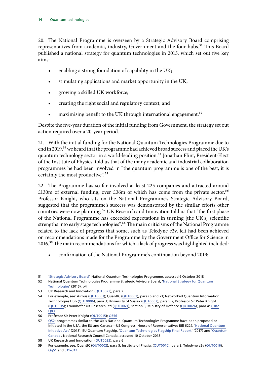20. The National Programme is overseen by a Strategic Advisory Board comprising representatives from academia, industry, Government and the four hubs.<sup>51</sup> This Board published a national strategy for quantum technologies in 2015, which set out five key aims:

- enabling a strong foundation of capability in the UK;
- stimulating applications and market opportunity in the UK;
- growing a skilled UK workforce;
- creating the right social and regulatory context; and
- maximising benefit to the UK through international engagement.<sup>52</sup>

Despite the five-year duration of the initial funding from Government, the strategy set out action required over a 20-year period.

21. With the initial funding for the National Quantum Technologies Programme due to end in 2019,<sup>53</sup> we heard that the programme had achieved broad success and placed the UK's quantum technology sector in a world-leading position.<sup>54</sup> Jonathan Flint, President-Elect of the Institute of Physics, told us that of the many academic and industrial collaboration programmes he had been involved in "the quantum programme is one of the best, it is certainly the most productive".<sup>55</sup>

22. The Programme has so far involved at least 225 companies and attracted around £130m of external funding, over £36m of which has come from the private sector.<sup>56</sup> Professor Knight, who sits on the National Programme's Strategic Advisory Board, suggested that the programme's success was demonstrated by the similar efforts other countries were now planning.<sup>57</sup> UK Research and Innovation told us that "the first phase of the National Programme has exceeded expectations in turning [the UK's] scientific strengths into early stage technologies".<sup>58</sup> The main criticisms of the National Programme related to the lack of progress that some, such as Teledyne e2v, felt had been achieved on recommendations made for the Programme by the Government Office for Science in 2016.59 The main recommendations for which a lack of progress was highlighted included:

• confirmation of the National Programme's continuation beyond 2019;

<sup>51</sup> '[Strategic Advisory Board](http://uknqt.epsrc.ac.uk/about/governance/strategic-advisory-board/)', National Quantum Technologies Programme, accessed 9 October 2018

<sup>52</sup> National Quantum Technologies Programme Strategic Advisory Board, '[National Strategy for Quantum](https://epsrc.ukri.org/newsevents/pubs/quantumtechstrategy/)  [Technologies](https://epsrc.ukri.org/newsevents/pubs/quantumtechstrategy/)' (2015), p4

<sup>53</sup> UK Research and Innovation ([QUT0023\)](http://data.parliament.uk/writtenevidence/committeeevidence.svc/evidencedocument/science-and-technology-committee/quantum-technologies/written/81338.html), para 2

<sup>54</sup> For example, see: Airbus [\(QUT0001](http://data.parliament.uk/writtenevidence/committeeevidence.svc/evidencedocument/science-and-technology-committee/quantum-technologies/written/80089.html)); QuantIC ([QUT0002](http://data.parliament.uk/writtenevidence/committeeevidence.svc/evidencedocument/science-and-technology-committee/quantum-technologies/written/80838.html)), paras 6 and 21; Networked Quantum Information Technologies Hub ([QUT0006](http://data.parliament.uk/writtenevidence/committeeevidence.svc/evidencedocument/science-and-technology-committee/quantum-technologies/written/80906.html)), para 3; University of Sussex ([QUT0007\)](http://data.parliament.uk/writtenevidence/committeeevidence.svc/evidencedocument/science-and-technology-committee/quantum-technologies/written/80907.html), para 5.2; Professor Sir Peter Knight [\(QUT0015\)](http://data.parliament.uk/writtenevidence/committeeevidence.svc/evidencedocument/science-and-technology-committee/quantum-technologies/written/80985.html); Fraunhofer UK Research Ltd ([QUT0021](http://data.parliament.uk/writtenevidence/committeeevidence.svc/evidencedocument/science-and-technology-committee/quantum-technologies/written/81021.html)), section 3; Ministry of Defence ([QUT0026\)](http://data.parliament.uk/writtenevidence/committeeevidence.svc/evidencedocument/science-and-technology-committee/quantum-technologies/written/85434.html), para 4; [Q182](http://data.parliament.uk/writtenevidence/committeeevidence.svc/evidencedocument/science-and-technology-committee/quantum-technologies/oral/86312.html)

<sup>55</sup> [Q83](http://data.parliament.uk/writtenevidence/committeeevidence.svc/evidencedocument/science-and-technology-committee/quantum-technologies/oral/84595.html)

<sup>56</sup> Professor Sir Peter Knight ([QUT0015](http://data.parliament.uk/writtenevidence/committeeevidence.svc/evidencedocument/science-and-technology-committee/quantum-technologies/written/80985.html)); [Q356](http://data.parliament.uk/writtenevidence/committeeevidence.svc/evidencedocument/science-and-technology-committee/quantum-technologies/oral/89730.html)

<sup>57</sup> [Q52](http://data.parliament.uk/writtenevidence/committeeevidence.svc/evidencedocument/science-and-technology-committee/quantum-technologies/oral/84595.html); programmes similar to the UK's National Quantum Technologies Programme have been proposed or initiated in the USA, the EU and Canada—US Congress, House of Representatives Bill 6227, ['National Quantum](https://science.house.gov/sites/republicans.science.house.gov/files/documents/HR6227NationalQuantumInititaveAct_0.pdf)  [Initiative Act'](https://science.house.gov/sites/republicans.science.house.gov/files/documents/HR6227NationalQuantumInititaveAct_0.pdf) (2018); EU Quantum Flagship, ['Quantum Technologies Flagship Final Report'](https://qt.eu/resources/) (2017) and ['Quantum](https://www.nrc-cnrc.gc.ca/eng/solutions/collaborative/quantum/quantum_canada.html)  [Canada'](https://www.nrc-cnrc.gc.ca/eng/solutions/collaborative/quantum/quantum_canada.html), National Research Council Canada, accessed 10 October 2018

<sup>58</sup> UK Research and Innovation ([QUT0023\)](http://data.parliament.uk/writtenevidence/committeeevidence.svc/evidencedocument/science-and-technology-committee/quantum-technologies/written/81338.html), para 6

<sup>59</sup> For example, see: QuantIC ([QUT0002\)](http://data.parliament.uk/writtenevidence/committeeevidence.svc/evidencedocument/science-and-technology-committee/quantum-technologies/written/80838.html), para 5; Institute of Physics ([QUT0010\)](http://data.parliament.uk/writtenevidence/committeeevidence.svc/evidencedocument/science-and-technology-committee/quantum-technologies/written/80942.html), para 3; Teledyne e2v ([QUT0016\)](http://data.parliament.uk/writtenevidence/committeeevidence.svc/evidencedocument/science-and-technology-committee/quantum-technologies/written/80995.html); [Qq51](http://data.parliament.uk/writtenevidence/committeeevidence.svc/evidencedocument/science-and-technology-committee/quantum-technologies/oral/84595.html) and [311–312](http://data.parliament.uk/writtenevidence/committeeevidence.svc/evidencedocument/science-and-technology-committee/quantum-technologies/oral/86927.html)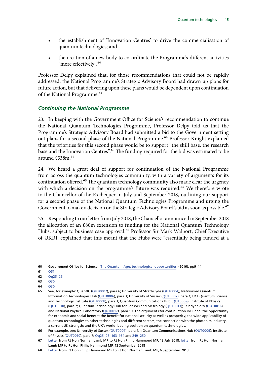- <span id="page-16-0"></span>• the establishment of 'Innovation Centres' to drive the commercialisation of quantum technologies; and
- the creation of a new body to co-ordinate the Programme's different activities "more effectively".<sup>60</sup>

Professor Delpy explained that, for those recommendations that could not be rapidly addressed, the National Programme's Strategic Advisory Board had drawn up plans for future action, but that delivering upon these plans would be dependent upon continuation of the National Programme.<sup>61</sup>

#### *Continuing the National Programme*

23. In keeping with the Government Office for Science's recommendation to continue the National Quantum Technologies Programme, Professor Delpy told us that the Programme's Strategic Advisory Board had submitted a bid to the Government setting out plans for a second phase of the National Programme.<sup>62</sup> Professor Knight explained that the priorities for this second phase would be to support "the skill base, the research base and the Innovation Centres".<sup>63</sup> The funding required for the bid was estimated to be around  $£338m.<sup>64</sup>$ 

24. We heard a great deal of support for continuation of the National Programme from across the quantum technologies community, with a variety of arguments for its continuation offered.<sup>65</sup> The quantum technology community also made clear the urgency with which a decision on the programme's future was required.<sup>66</sup> We therefore wrote to the Chancellor of the Exchequer in July and September 2018, outlining our support for a second phase of the National Quantum Technologies Programme and urging the Government to make a decision on the Strategic Advisory Board's bid as soon as possible.<sup>67</sup>

25. Responding to our letter from July 2018, the Chancellor announced in September 2018 the allocation of an £80m extension to funding for the National Quantum Technology Hubs, subject to business case approval.<sup>68</sup> Professor Sir Mark Walport, Chief Executive of UKRI, explained that this meant that the Hubs were "essentially being funded at a

64 [Q30](http://data.parliament.uk/writtenevidence/committeeevidence.svc/evidencedocument/science-and-technology-committee/quantum-technologies/oral/84595.html)

<sup>60</sup> Government Office for Science, '[The Quantum Age: technological opportunities'](https://assets.publishing.service.gov.uk/government/uploads/system/uploads/attachment_data/file/564946/gs-16-18-quantum-technologies-report.pdf) (2016), pp9–14

<sup>61</sup> [Q51](http://data.parliament.uk/writtenevidence/committeeevidence.svc/evidencedocument/science-and-technology-committee/quantum-technologies/oral/84595.html)

<sup>62</sup>  $\overline{Qq25-26}$ 

<sup>63</sup> [Q30](http://data.parliament.uk/writtenevidence/committeeevidence.svc/evidencedocument/science-and-technology-committee/quantum-technologies/oral/84595.html)

<sup>65</sup> See, for example: QuantIC ([QUT0002\)](http://data.parliament.uk/writtenevidence/committeeevidence.svc/evidencedocument/science-and-technology-committee/quantum-technologies/written/80838.html), para 6; University of Strathclyde [\(QUT0004\)](http://data.parliament.uk/writtenevidence/committeeevidence.svc/evidencedocument/science-and-technology-committee/quantum-technologies/written/80895.html); Networked Quantum Information Technologies Hub ([QUT0006\)](http://data.parliament.uk/writtenevidence/committeeevidence.svc/evidencedocument/science-and-technology-committee/quantum-technologies/written/80906.html), para 3; University of Sussex ([QUT0007\)](http://data.parliament.uk/writtenevidence/committeeevidence.svc/evidencedocument/science-and-technology-committee/quantum-technologies/written/80907.html), para 1; UCL Quantum Science and Technology Institute [\(QUT0008\)](http://data.parliament.uk/writtenevidence/committeeevidence.svc/evidencedocument/science-and-technology-committee/quantum-technologies/written/80927.html), para 1; Quantum Communications Hub ([QUT0009](http://data.parliament.uk/writtenevidence/committeeevidence.svc/evidencedocument/science-and-technology-committee/quantum-technologies/written/80929.html)); Institute of Physics [\(QUT0010\)](http://data.parliament.uk/writtenevidence/committeeevidence.svc/evidencedocument/science-and-technology-committee/quantum-technologies/written/80942.html), para 7; Quantum Technology Hub for Sensors and Metrology ([QUT0013\)](http://data.parliament.uk/writtenevidence/committeeevidence.svc/evidencedocument/science-and-technology-committee/quantum-technologies/written/80962.html); Teledyne e2v ([QUT0016](http://data.parliament.uk/writtenevidence/committeeevidence.svc/evidencedocument/science-and-technology-committee/quantum-technologies/written/80995.html)) and National Physical Laboratory [\(QUT0017\)](http://data.parliament.uk/writtenevidence/committeeevidence.svc/evidencedocument/science-and-technology-committee/quantum-technologies/written/81005.html), para 10. The arguments for continuation included: the opportunity for economic and social benefit; the benefit for national security as well as prosperity; the wide applicability of quantum technologies to other technologies and different sectors; the connection with the photonics industry, a current UK strength; and the UK's world-leading position on quantum technologies.

<sup>66</sup> For example, see: University of Sussex ([QUT0007\)](http://data.parliament.uk/writtenevidence/committeeevidence.svc/evidencedocument/science-and-technology-committee/quantum-technologies/written/80907.html), para 7.1; Quantum Communications Hub [\(QUT0009\)](http://data.parliament.uk/writtenevidence/committeeevidence.svc/evidencedocument/science-and-technology-committee/quantum-technologies/written/80929.html); Institute of Physics [\(QUT0010](http://data.parliament.uk/writtenevidence/committeeevidence.svc/evidencedocument/science-and-technology-committee/quantum-technologies/written/80942.html)), para 7; [Qq25–26](http://data.parliament.uk/writtenevidence/committeeevidence.svc/evidencedocument/science-and-technology-committee/quantum-technologies/oral/84595.html), [163–164](http://data.parliament.uk/writtenevidence/committeeevidence.svc/evidencedocument/science-and-technology-committee/quantum-technologies/oral/86312.html) and [249–250](http://data.parliament.uk/writtenevidence/committeeevidence.svc/evidencedocument/science-and-technology-committee/quantum-technologies/oral/86927.html)

<sup>67</sup> [Letter](https://www.parliament.uk/documents/commons-committees/science-technology/Correspondence/180718-Chair-to-Chancellor-National-Quantum-Technologies-Programme.pdf) from Rt Hon Norman Lamb MP to Rt Hon Philip Hammond MP, 18 July 2018; [letter](https://www.parliament.uk/documents/commons-committees/science-technology/Correspondence/180912-Chair-to-Chancellor-re-quantum-technologies.pdf) from Rt Hon Norman Lamb MP to Rt Hon Philip Hammond MP, 12 September 2018

<sup>68</sup> [Letter](https://www.parliament.uk/documents/commons-committees/science-technology/Correspondence/180906-Chancellor-to-Chair-re-Quantum-technologies.pdf) from Rt Hon Philip Hammond MP to Rt Hon Norman Lamb MP, 6 September 2018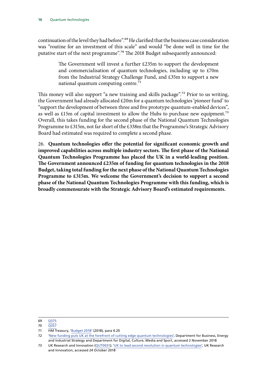continuation of the level they had before".<sup>69</sup> He clarified that the business case consideration was "routine for an investment of this scale" and would "be done well in time for the putative start of the next programme".70 The 2018 Budget subsequently announced:

> The Government will invest a further £235m to support the development and commercialisation of quantum technologies, including up to £70m from the Industrial Strategy Challenge Fund, and £35m to support a new national quantum computing centre.<sup>71</sup>

This money will also support "a new training and skills package".<sup>72</sup> Prior to us writing, the Government had already allocated £20m for a quantum technologies 'pioneer fund' to "support the development of between three and five prototype quantum-enabled devices", as well as £15m of capital investment to allow the Hubs to purchase new equipment.<sup>73</sup> Overall, this takes funding for the second phase of the National Quantum Technologies Programme to £315m, not far short of the £338m that the Programme's Strategic Advisory Board had estimated was required to complete a second phase.

26. **Quantum technologies offer the potential for significant economic growth and improved capabilities across multiple industry sectors. The first phase of the National Quantum Technologies Programme has placed the UK in a world-leading position. The Government announced £235m of funding for quantum technologies in the 2018 Budget, taking total funding for the next phase of the National Quantum Technologies Programme to £315m. We welcome the Government's decision to support a second phase of the National Quantum Technologies Programme with this funding, which is broadly commensurate with the Strategic Advisory Board's estimated requirements.**

69 [Q375](http://data.parliament.uk/writtenevidence/committeeevidence.svc/evidencedocument/science-and-technology-committee/quantum-technologies/oral/89730.html)

70 [Q357](http://data.parliament.uk/writtenevidence/committeeevidence.svc/evidencedocument/science-and-technology-committee/quantum-technologies/oral/89730.html)

72 '[New funding puts UK at the forefront of cutting edge quantum technologies'](https://www.gov.uk/government/news/new-funding-puts-uk-at-the-forefront-of-cutting-edge-quantum-technologies?utm_source=f92898eb-9ffb-49f2-8c42-461ada7d245e&utm_medium=email&utm_campaign=govuk-notifications&utm_content=immediate), Department for Business, Energy and Industrial Strategy and Department for Digital, Culture, Media and Sport, accessed 2 November 2018

<sup>71</sup> HM Treasury, '[Budget 2018'](https://assets.publishing.service.gov.uk/government/uploads/system/uploads/attachment_data/file/752202/Budget_2018_red_web.pdf) (2018), para 4.20

<sup>73</sup> UK Research and Innovation ([QUT0031](http://data.parliament.uk/writtenevidence/committeeevidence.svc/evidencedocument/science-and-technology-committee/quantum-technologies/written/91952.html)); ['UK to lead second revolution in quantum technologies](https://www.gov.uk/government/news/uk-to-lead-second-revolution-in-quantum-technologies)', UK Research and Innovation, accessed 24 October 2018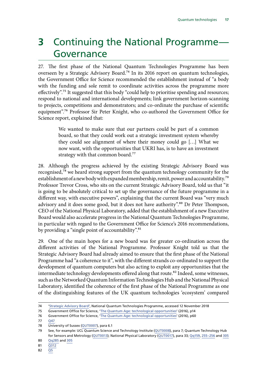### <span id="page-18-0"></span>**3** Continuing the National Programme— Governance

27. The first phase of the National Quantum Technologies Programme has been overseen by a Strategic Advisory Board.74 In its 2016 report on quantum technologies, the Government Office for Science recommended the establishment instead of "a body with the funding and sole remit to coordinate activities across the programme more effectively".<sup>75</sup> It suggested that this body "could help to prioritise spending and resources; respond to national and international developments; link government horizon-scanning to projects, competitions and demonstrators; and co-ordinate the purchase of scientific equipment".76 Professor Sir Peter Knight, who co-authored the Government Office for Science report, explained that:

> We wanted to make sure that our partners could be part of a common board, so that they could work out a strategic investment system whereby they could see alignment of where their money could go […] What we now want, with the opportunities that UKRI has, is to have an investment strategy with that common board.<sup>77</sup>

28. Although the progress achieved by the existing Strategic Advisory Board was recognised,78 we heard strong support from the quantum technology community for the establishment of a new body with expanded membership, remit, power and accountability.<sup>79</sup> Professor Trevor Cross, who sits on the current Strategic Advisory Board, told us that "it is going to be absolutely critical to set up the governance of the future programme in a different way, with executive powers", explaining that the current Board was "very much advisory and it does some good, but it does not have authority".<sup>80</sup> Dr Peter Thompson, CEO of the National Physical Laboratory, added that the establishment of a new Executive Board would also accelerate progress in the National Quantum Technologies Programme, in particular with regard to the Government Office for Science's 2016 recommendations, by providing a "single point of accountability".<sup>81</sup>

29. One of the main hopes for a new board was for greater co-ordination across the different activities of the National Programme. Professor Knight told us that the Strategic Advisory Board had already aimed to ensure that the first phase of the National Programme had "a coherence to it", with the different strands co-ordinated to support the development of quantum computers but also acting to exploit any opportunities that the intermediate technology developments offered along that route.<sup>82</sup> Indeed, some witnesses, such as the Networked Quantum Information Technologies Hub and the National Physical Laboratory, identified the coherence of the first phase of the National Programme as one of the distinguishing features of the UK quantum technologies 'ecosystem' compared

<sup>74</sup> '[Strategic Advisory Board](http://uknqt.epsrc.ac.uk/about/governance/strategic-advisory-board/)', National Quantum Technologies Programme, accessed 12 November 2018

<sup>75</sup> Government Office for Science, '[The Quantum Age: technological opportunities'](https://assets.publishing.service.gov.uk/government/uploads/system/uploads/attachment_data/file/564946/gs-16-18-quantum-technologies-report.pdf) (2016), p14

<sup>76</sup> Government Office for Science, '[The Quantum Age: technological opportunities'](https://assets.publishing.service.gov.uk/government/uploads/system/uploads/attachment_data/file/564946/gs-16-18-quantum-technologies-report.pdf) (2016), p60

<sup>77</sup> [Q47](http://data.parliament.uk/writtenevidence/committeeevidence.svc/evidencedocument/science-and-technology-committee/quantum-technologies/oral/84595.html)

<sup>78</sup> University of Sussex ([QUT0007](http://data.parliament.uk/writtenevidence/committeeevidence.svc/evidencedocument/science-and-technology-committee/quantum-technologies/written/80907.html)), para 6.1

<sup>79</sup> See, for example: UCL Quantum Science and Technology Institute [\(QUT0008\)](http://data.parliament.uk/writtenevidence/committeeevidence.svc/evidencedocument/science-and-technology-committee/quantum-technologies/written/80927.html), para 7; Quantum Technology Hub for Sensors and Metrology [\(QUT0013\)](http://data.parliament.uk/writtenevidence/committeeevidence.svc/evidencedocument/science-and-technology-committee/quantum-technologies/written/80962.html); National Physical Laboratory [\(QUT0017\)](http://data.parliament.uk/writtenevidence/committeeevidence.svc/evidencedocument/science-and-technology-committee/quantum-technologies/written/81005.html), para 33; [Qq159,](http://data.parliament.uk/writtenevidence/committeeevidence.svc/evidencedocument/science-and-technology-committee/quantum-technologies/oral/86312.html) [255–256](http://data.parliament.uk/writtenevidence/committeeevidence.svc/evidencedocument/science-and-technology-committee/quantum-technologies/oral/86927.html) and [305](http://data.parliament.uk/writtenevidence/committeeevidence.svc/evidencedocument/science-and-technology-committee/quantum-technologies/oral/86927.html)

<sup>80</sup> [Qq285](http://data.parliament.uk/writtenevidence/committeeevidence.svc/evidencedocument/science-and-technology-committee/quantum-technologies/oral/86927.html) and [305](http://data.parliament.uk/writtenevidence/committeeevidence.svc/evidencedocument/science-and-technology-committee/quantum-technologies/oral/86927.html)

<sup>81</sup> [Q312](http://data.parliament.uk/writtenevidence/committeeevidence.svc/evidencedocument/science-and-technology-committee/quantum-technologies/oral/86927.html)

<sup>82</sup> [Q5](http://data.parliament.uk/writtenevidence/committeeevidence.svc/evidencedocument/science-and-technology-committee/quantum-technologies/oral/84595.html)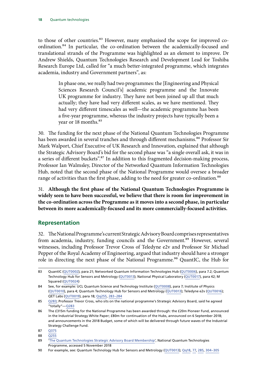<span id="page-19-0"></span>to those of other countries.<sup>83</sup> However, many emphasised the scope for improved coordination.84 In particular, the co-ordination between the academically-focused and translational strands of the Programme was highlighted as an element to improve. Dr Andrew Shields, Quantum Technologies Research and Development Lead for Toshiba Research Europe Ltd, called for "a much better-integrated programme, which integrates academia, industry and Government partners", as:

> In phase one, we really had two programmes: the [Engineering and Physical Sciences Research Council's] academic programme and the Innovate UK programme for industry. They have not been joined up all that much actually; they have had very different scales, as we have mentioned. They had very different timescales as well—the academic programme has been a five-year programme, whereas the industry projects have typically been a year or 18 months.<sup>85</sup>

30. The funding for the next phase of the National Quantum Technologies Programme has been awarded in several tranches and through different mechanisms.<sup>86</sup> Professor Sir Mark Walport, Chief Executive of UK Research and Innovation, explained that although the Strategic Advisory Board's bid for the second phase was "a single overall ask, it was in a series of different buckets".<sup>87</sup> In addition to this fragmented decision-making process, Professor Ian Walmsley, Director of the Networked Quantum Information Technologies Hub, noted that the second phase of the National Programme would oversee a broader range of activities than the first phase, adding to the need for greater co-ordination.<sup>88</sup>

31. **Although the first phase of the National Quantum Technologies Programme is widely seen to have been successful, we believe that there is room for improvement in the co-ordination across the Programme as it moves into a second phase, in particular between its more academically-focused and its more commercially-focused activities.**

#### **Representation**

32. The National Programme's current Strategic Advisory Board comprises representatives from academia, industry, funding councils and the Government.<sup>89</sup> However, several witnesses, including Professor Trevor Cross of Teledyne e2v and Professor Sir Michael Pepper of the Royal Academy of Engineering, argued that industry should have a stronger role in directing the next phase of the National Programme.<sup>90</sup> QuantIC, the Hub for

<sup>83</sup> QuantIC ([QUT0002\)](http://data.parliament.uk/writtenevidence/committeeevidence.svc/evidencedocument/science-and-technology-committee/quantum-technologies/written/80838.html), para 21; Networked Quantum Information Technologies Hub [\(QUT0006\)](http://data.parliament.uk/writtenevidence/committeeevidence.svc/evidencedocument/science-and-technology-committee/quantum-technologies/written/80906.html), para 7.2; Quantum Technology Hub for Sensors and Metrology [\(QUT0013\)](http://data.parliament.uk/writtenevidence/committeeevidence.svc/evidencedocument/science-and-technology-committee/quantum-technologies/written/80962.html); National Physical Laboratory [\(QUT0017\)](http://data.parliament.uk/writtenevidence/committeeevidence.svc/evidencedocument/science-and-technology-committee/quantum-technologies/written/81005.html), para 42; M Squared ([QUT0024\)](http://data.parliament.uk/writtenevidence/committeeevidence.svc/evidencedocument/science-and-technology-committee/quantum-technologies/written/81354.html)

<sup>84</sup> See, for example: UCL Quantum Science and Technology Institute [\(QUT0008\)](http://data.parliament.uk/writtenevidence/committeeevidence.svc/evidencedocument/science-and-technology-committee/quantum-technologies/written/80927.html), para 7; Institute of Physics [\(QUT0010\)](http://data.parliament.uk/writtenevidence/committeeevidence.svc/evidencedocument/science-and-technology-committee/quantum-technologies/written/80942.html), para 4; Quantum Technology Hub for Sensors and Metrology ([QUT0013](http://data.parliament.uk/writtenevidence/committeeevidence.svc/evidencedocument/science-and-technology-committee/quantum-technologies/written/80962.html)); Teledyne e2v ([QUT0016\)](http://data.parliament.uk/writtenevidence/committeeevidence.svc/evidencedocument/science-and-technology-committee/quantum-technologies/written/80995.html); QET Labs ([QUT0019](http://data.parliament.uk/writtenevidence/committeeevidence.svc/evidencedocument/science-and-technology-committee/quantum-technologies/written/81019.html)), para 18; [Qq255](http://data.parliament.uk/writtenevidence/committeeevidence.svc/evidencedocument/science-and-technology-committee/quantum-technologies/oral/86927.html), [283–284](http://data.parliament.uk/writtenevidence/committeeevidence.svc/evidencedocument/science-and-technology-committee/quantum-technologies/oral/86927.html)

<sup>85</sup> [Q283](http://data.parliament.uk/writtenevidence/committeeevidence.svc/evidencedocument/science-and-technology-committee/quantum-technologies/oral/86927.html); Professor Trevor Cross, who sits on the national programme's Strategic Advisory Board, said he agreed "totally"—[Q283](http://data.parliament.uk/writtenevidence/committeeevidence.svc/evidencedocument/science-and-technology-committee/quantum-technologies/oral/86927.html)

<sup>86</sup> The £315m funding for the National Programme has been awarded through: the £20m Pioneer Fund, announced in the Industrial Strategy White Paper; £80m for continuation of the Hubs, announced on 6 September 2018; and announcements in the 2018 Budget, some of which will be delivered through future waves of the Industrial Strategy Challenge Fund.

<sup>87</sup> [Q375](http://data.parliament.uk/writtenevidence/committeeevidence.svc/evidencedocument/science-and-technology-committee/quantum-technologies/oral/89730.html)

<sup>88</sup> [Q255](http://data.parliament.uk/writtenevidence/committeeevidence.svc/evidencedocument/science-and-technology-committee/quantum-technologies/oral/86927.html)

<sup>89</sup> '[The Quantum Technologies Strategic Advisory Board Membership](http://uknqt.epsrc.ac.uk/about/governance/strategic-advisory-board/the-quantum-technologies-strategic-advisory-board-membership/)', National Quantum Technologies Programme, accessed 5 November 2018

<sup>90</sup> For example, see: Quantum Technology Hub for Sensors and Metrology [\(QUT0013\)](http://data.parliament.uk/writtenevidence/committeeevidence.svc/evidencedocument/science-and-technology-committee/quantum-technologies/written/80962.html); [Qq18](http://data.parliament.uk/writtenevidence/committeeevidence.svc/evidencedocument/science-and-technology-committee/quantum-technologies/oral/84595.html), [77](http://data.parliament.uk/writtenevidence/committeeevidence.svc/evidencedocument/science-and-technology-committee/quantum-technologies/oral/84595.html), [285](http://data.parliament.uk/writtenevidence/committeeevidence.svc/evidencedocument/science-and-technology-committee/quantum-technologies/oral/86927.html), [304–305](http://data.parliament.uk/writtenevidence/committeeevidence.svc/evidencedocument/science-and-technology-committee/quantum-technologies/oral/86927.html)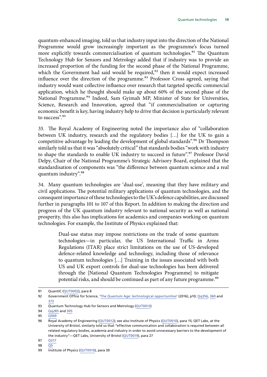quantum-enhanced imaging, told us that industry input into the direction of the National Programme would grow increasingly important as the programme's focus turned more explicitly towards commercialisation of quantum technologies.<sup>91</sup> The Quantum Technology Hub for Sensors and Metrology added that if industry was to provide an increased proportion of the funding for the second phase of the National Programme, which the Government had said would be required,<sup>92</sup> then it would expect increased influence over the direction of the programme.<sup>93</sup> Professor Cross agreed, saying that industry would want collective influence over research that targeted specific commercial application, which he thought should make up about 60% of the second phase of the National Programme.<sup>94</sup> Indeed, Sam Gyimah MP, Minister of State for Universities, Science, Research and Innovation, agreed that "if commercialisation or capturing economic benefit is key, having industry help to drive that decision is particularly relevant to success".95

33. The Royal Academy of Engineering noted the importance also of "collaboration between UK industry, research and the regulatory bodies […] for the UK to gain a competitive advantage by leading the development of global standards".<sup>96</sup> Dr Thompson similarly told us that it was "absolutely critical" that standards bodies "work with industry to shape the standards to enable UK industry to succeed in future".<sup>97</sup> Professor David Delpy, Chair of the National Programme's Strategic Advisory Board, explained that the standardisation of components was "the difference between quantum science and a real quantum industry".<sup>98</sup>

34. Many quantum technologies are 'dual-use', meaning that they have military and civil applications. The potential military applications of quantum technologies, and the consequent importance of these technologies to the UK's defence capabilities, are discussed further in paragraphs 101 to 107 of this Report. In addition to making the direction and progress of the UK quantum industry relevant to national security as well as national prosperity, this also has implications for academics and companies working on quantum technologies. For example, the Institute of Physics explained that:

> Dual-use status may impose restrictions on the trade of some quantum technologies—in particular, the US International Traffic in Arms Regulations (ITAR) place strict limitations on the use of US-developed defence-related knowledge and technology, including those of relevance to quantum technologies […] Training in the issues associated with both US and UK export controls for dual-use technologies has been delivered through the [National Quantum Technologies Programme] to mitigate potential risks, and should be continued as part of any future programme.<sup>99</sup>

<sup>91</sup> QuantIC ([QUT0002\)](http://data.parliament.uk/writtenevidence/committeeevidence.svc/evidencedocument/science-and-technology-committee/quantum-technologies/written/80838.html), para 8

<sup>92</sup> Government Office for Science, '[The Quantum Age: technological opportunities'](https://assets.publishing.service.gov.uk/government/uploads/system/uploads/attachment_data/file/564946/gs-16-18-quantum-technologies-report.pdf) (2016), p10; [Qq356, 360](http://data.parliament.uk/writtenevidence/committeeevidence.svc/evidencedocument/science-and-technology-committee/quantum-technologies/oral/89730.html) and [373](http://data.parliament.uk/writtenevidence/committeeevidence.svc/evidencedocument/science-and-technology-committee/quantum-technologies/oral/89730.html)

<sup>93</sup> Quantum Technology Hub for Sensors and Metrology [\(QUT0013\)](http://data.parliament.uk/writtenevidence/committeeevidence.svc/evidencedocument/science-and-technology-committee/quantum-technologies/written/80962.html)

<sup>94</sup> [Qq285](http://data.parliament.uk/writtenevidence/committeeevidence.svc/evidencedocument/science-and-technology-committee/quantum-technologies/oral/86927.html) and [305](http://data.parliament.uk/writtenevidence/committeeevidence.svc/evidencedocument/science-and-technology-committee/quantum-technologies/oral/86927.html)

<sup>95</sup> [Q369](http://data.parliament.uk/writtenevidence/committeeevidence.svc/evidencedocument/science-and-technology-committee/quantum-technologies/oral/89730.html)

<sup>96</sup> Royal Academy of Engineering ([QUT0012](http://data.parliament.uk/writtenevidence/committeeevidence.svc/evidencedocument/science-and-technology-committee/quantum-technologies/written/80961.html)); see also Institute of Physics ([QUT0010](http://data.parliament.uk/writtenevidence/committeeevidence.svc/evidencedocument/science-and-technology-committee/quantum-technologies/written/80942.html)), para 15; QET Labs, at the University of Bristol, similarly told us that "effective communication and collaboration is required between all related regulatory bodies, academia and industry in order to avoid unnecessary barriers to the development of the industry"—QET Labs, University of Bristol [\(QUT0019\)](http://data.parliament.uk/writtenevidence/committeeevidence.svc/evidencedocument/science-and-technology-committee/quantum-technologies/written/81019.html), para 27

<sup>97</sup> [Q317](http://data.parliament.uk/writtenevidence/committeeevidence.svc/evidencedocument/science-and-technology-committee/quantum-technologies/oral/86927.html)

<sup>98</sup> [Q5](http://data.parliament.uk/writtenevidence/committeeevidence.svc/evidencedocument/science-and-technology-committee/quantum-technologies/oral/84595.html)

<sup>99</sup> Institute of Physics ([QUT0010](http://data.parliament.uk/writtenevidence/committeeevidence.svc/evidencedocument/science-and-technology-committee/quantum-technologies/written/80942.html)), para 30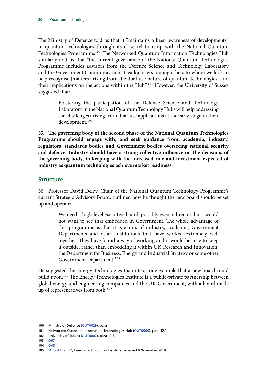<span id="page-21-0"></span>The Ministry of Defence told us that it "maintains a keen awareness of developments" in quantum technologies through its close relationship with the National Quantum Technologies Programme.<sup>100</sup> The Networked Quantum Information Technologies Hub similarly told us that "the current governance of the National Quantum Technologies Programme includes advisors from the Defence Science and Technology Laboratory and the Government Communications Headquarters among others to whom we look to help recognise [matters arising from the dual-use nature of quantum technologies] and their implications on the actions within the Hub".<sup>101</sup> However, the University of Sussex suggested that:

> Bolstering the participation of the Defence Science and Technology Laboratory in the National Quantum Technology Hubs will help addressing the challenges arising from dual-use applications at the early stage in their development.<sup>102</sup>

35. **The governing body of the second phase of the National Quantum Technologies Programme should engage with, and seek guidance from, academia, industry, regulators, standards bodies and Government bodies overseeing national security and defence. Industry should have a strong collective influence on the decisions of the governing body, in keeping with the increased role and investment expected of industry as quantum technologies achieve market readiness.**

#### **Structure**

36. Professor David Delpy, Chair of the National Quantum Technology Programme's current Strategic Advisory Board, outlined how he thought the new board should be set up and operate:

> We need a high-level executive board, possibly even a director, but I would not want to see that embedded in Government. The whole advantage of this programme is that it is a mix of industry, academia, Government Departments and other institutions that have worked extremely well together. They have found a way of working and it would be nice to keep it outside, rather than embedding it within UK Research and Innovation, the Department for Business, Energy and Industrial Strategy or some other Government Department.<sup>103</sup>

He suggested the Energy Technologies Institute as one example that a new board could build upon.<sup>104</sup> The Energy Technologies Institute is a public-private partnership between global energy and engineering companies and the UK Government, with a board made up of representatives from both.<sup>105</sup>

<sup>100</sup> Ministry of Defence ([QUT0029\)](http://data.parliament.uk/writtenevidence/committeeevidence.svc/evidencedocument/science-and-technology-committee/quantum-technologies/written/89361.html), para 4

<sup>101</sup> Networked Quantum Information Technologies Hub [\(QUT0006\)](http://data.parliament.uk/writtenevidence/committeeevidence.svc/evidencedocument/science-and-technology-committee/quantum-technologies/written/80906.html), para 12.1

<sup>102</sup> University of Sussex ([QUT0007](http://data.parliament.uk/writtenevidence/committeeevidence.svc/evidencedocument/science-and-technology-committee/quantum-technologies/written/80907.html)), para 10.3

<sup>103</sup> [Q67](http://data.parliament.uk/writtenevidence/committeeevidence.svc/evidencedocument/science-and-technology-committee/quantum-technologies/oral/84595.html)

<sup>104</sup> [Q48](http://data.parliament.uk/writtenevidence/committeeevidence.svc/evidencedocument/science-and-technology-committee/quantum-technologies/oral/84595.html)

<sup>105</sup> ['About the ETI](https://www.eti.co.uk/about)', Energy Technologies Institute, accessed 9 November 2018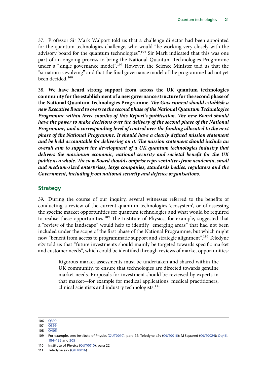<span id="page-22-0"></span>37. Professor Sir Mark Walport told us that a challenge director had been appointed for the quantum technologies challenge, who would "be working very closely with the advisory board for the quantum technologies".<sup>106</sup> Sir Mark indicated that this was one part of an ongoing process to bring the National Quantum Technologies Programme under a "single governance model".<sup>107</sup> However, the Science Minister told us that the "situation is evolving" and that the final governance model of the programme had not yet been decided.108

38. **We have heard strong support from across the UK quantum technologies community for the establishment of a new governance structure for the second phase of the National Quantum Technologies Programme.** *The Government should establish a new Executive Board to oversee the second phase of the National Quantum Technologies Programme within three months of this Report's publication. The new Board should have the power to make decisions over the delivery of the second phase of the National Programme, and a corresponding level of control over the funding allocated to the next phase of the National Programme. It should have a clearly defined mission statement and be held accountable for delivering on it. The mission statement should include an overall aim to support the development of a UK quantum technologies industry that delivers the maximum economic, national security and societal benefit for the UK public as a whole. The new Board should comprise representatives from academia, small and medium-sized enterprises, large companies, standards bodies, regulators and the Government, including from national security and defence organisations.*

#### **Strategy**

39. During the course of our inquiry, several witnesses referred to the benefits of conducting a review of the current quantum technologies 'ecosystem', or of assessing the specific market opportunities for quantum technologies and what would be required to realise these opportunities.<sup>109</sup> The Institute of Physics, for example, suggested that a "review of the landscape" would help to identify "emerging areas" that had not been included under the scope of the first phase of the National Programme, but which might now "benefit from access to programmatic support and strategic alignment".<sup>110</sup> Teledyne e2v told us that "future investments should mainly be targeted towards specific market and customer needs", which could be identified through reviews of market opportunities:

> Rigorous market assessments must be undertaken and shared within the UK community, to ensure that technologies are directed towards genuine market needs. Proposals for investment should be reviewed by experts in that market—for example for medical applications: medical practitioners, clinical scientists and industry technologists.<sup>111</sup>

<sup>106</sup> [Q399](http://data.parliament.uk/writtenevidence/committeeevidence.svc/evidencedocument/science-and-technology-committee/quantum-technologies/oral/89730.html)

<sup>107</sup> [Q399](http://data.parliament.uk/writtenevidence/committeeevidence.svc/evidencedocument/science-and-technology-committee/quantum-technologies/oral/89730.html)

<sup>108</sup> [Q405](http://data.parliament.uk/writtenevidence/committeeevidence.svc/evidencedocument/science-and-technology-committee/quantum-technologies/oral/89730.html)

<sup>109</sup> For example, see: Institute of Physics ([QUT0010](http://data.parliament.uk/writtenevidence/committeeevidence.svc/evidencedocument/science-and-technology-committee/quantum-technologies/written/80942.html)), para 22; Teledyne e2v ([QUT0016\)](http://data.parliament.uk/writtenevidence/committeeevidence.svc/evidencedocument/science-and-technology-committee/quantum-technologies/written/80995.html); M Squared ([QUT0024\)](http://data.parliament.uk/writtenevidence/committeeevidence.svc/evidencedocument/science-and-technology-committee/quantum-technologies/written/81354.html); [Qq46,](http://data.parliament.uk/writtenevidence/committeeevidence.svc/evidencedocument/science-and-technology-committee/quantum-technologies/oral/84595.html) [184–185](http://data.parliament.uk/writtenevidence/committeeevidence.svc/evidencedocument/science-and-technology-committee/quantum-technologies/oral/86312.html) and [305](http://data.parliament.uk/writtenevidence/committeeevidence.svc/evidencedocument/science-and-technology-committee/quantum-technologies/oral/86927.html)

<sup>110</sup> Institute of Physics ([QUT0010](http://data.parliament.uk/writtenevidence/committeeevidence.svc/evidencedocument/science-and-technology-committee/quantum-technologies/written/80942.html)), para 22

<sup>111</sup> Teledyne e2v ([QUT0016\)](http://data.parliament.uk/writtenevidence/committeeevidence.svc/evidencedocument/science-and-technology-committee/quantum-technologies/written/80995.html)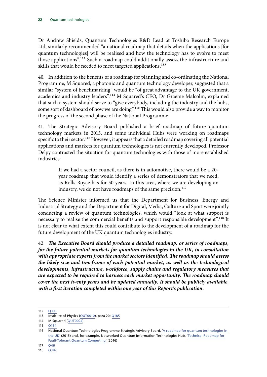Dr Andrew Shields, Quantum Technologies R&D Lead at Toshiba Research Europe Ltd, similarly recommended "a national roadmap that details when the applications [for quantum technologies] will be realised and how the technology has to evolve to meet those applications".<sup>112</sup> Such a roadmap could additionally assess the infrastructure and skills that would be needed to meet targeted applications.<sup>113</sup>

40. In addition to the benefits of a roadmap for planning and co-ordinating the National Programme, M Squared, a photonic and quantum technology developer, suggested that a similar "system of benchmarking" would be "of great advantage to the UK government, academics and industry leaders".114 M Squared's CEO, Dr Graeme Malcolm, explained that such a system should serve to "give everybody, including the industry and the hubs, some sort of dashboard of how we are doing".<sup>115</sup> This would also provide a way to monitor the progress of the second phase of the National Programme.

41. The Strategic Advisory Board published a brief roadmap of future quantum technology markets in 2015, and some individual Hubs were working on roadmaps specific to their sector.<sup>116</sup> However, it appears that a detailed roadmap covering all potential applications and markets for quantum technologies is not currently developed. Professor Delpy contrasted the situation for quantum technologies with those of more established industries:

> If we had a sector council, as there is in automotive, there would be a 20 year roadmap that would identify a series of demonstrators that we need, as Rolls-Royce has for 50 years. In this area, where we are developing an industry, we do not have roadmaps of the same precision.<sup>117</sup>

The Science Minister informed us that the Department for Business, Energy and Industrial Strategy and the Department for Digital, Media, Culture and Sport were jointly conducting a review of quantum technologies, which would "look at what support is necessary to realise the commercial benefits and support responsible development".<sup>118</sup> It is not clear to what extent this could contribute to the development of a roadmap for the future development of the UK quantum technologies industry.

42. *The Executive Board should produce a detailed roadmap, or series of roadmaps, for the future potential markets for quantum technologies in the UK, in consultation with appropriate experts from the market sectors identified. The roadmap should assess the likely size and timeframe of each potential market, as well as the technological developments, infrastructure, workforce, supply chains and regulatory measures that are expected to be required to harness each market opportunity. The roadmap should cover the next twenty years and be updated annually. It should be publicly available, with a first iteration completed within one year of this Report's publication.*

<sup>112</sup> [Q305](http://data.parliament.uk/writtenevidence/committeeevidence.svc/evidencedocument/science-and-technology-committee/quantum-technologies/oral/86927.html)

<sup>113</sup> Institute of Physics ([QUT0010](http://data.parliament.uk/writtenevidence/committeeevidence.svc/evidencedocument/science-and-technology-committee/quantum-technologies/written/80942.html)), para 20; [Q185](http://data.parliament.uk/writtenevidence/committeeevidence.svc/evidencedocument/science-and-technology-committee/quantum-technologies/oral/86312.html)

<sup>114</sup> M Squared ([QUT0024\)](http://data.parliament.uk/writtenevidence/committeeevidence.svc/evidencedocument/science-and-technology-committee/quantum-technologies/written/81354.html)

<sup>115</sup> [Q184](http://data.parliament.uk/writtenevidence/committeeevidence.svc/evidencedocument/science-and-technology-committee/quantum-technologies/oral/86312.html)

<sup>116</sup> National Quantum Technologies Programme Strategic Advisory Board, ['A roadmap for quantum technologies in](https://epsrc.ukri.org/newsevents/pubs/quantumtechroadmap/)  [the UK](https://epsrc.ukri.org/newsevents/pubs/quantumtechroadmap/)' (2015) and, for example, Networked Quantum Information Technologies Hub, '[Technical Roadmap for](https://nqit.ox.ac.uk/sites/www.nqit.ox.ac.uk/files/2016-11/NQIT%20Technical%20Roadmap.pdf)  [Fault-Tolerant Quantum Computing'](https://nqit.ox.ac.uk/sites/www.nqit.ox.ac.uk/files/2016-11/NQIT%20Technical%20Roadmap.pdf) (2016)

<sup>117</sup> [Q46](http://data.parliament.uk/writtenevidence/committeeevidence.svc/evidencedocument/science-and-technology-committee/quantum-technologies/oral/84595.html)

<sup>118</sup> [Q382](http://data.parliament.uk/writtenevidence/committeeevidence.svc/evidencedocument/science-and-technology-committee/quantum-technologies/oral/89730.html)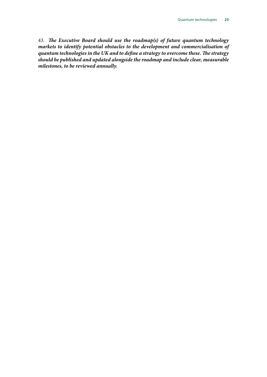43. *The Executive Board should use the roadmap(s) of future quantum technology markets to identify potential obstacles to the development and commercialisation of quantum technologies in the UK and to define a strategy to overcome these. The strategy should be published and updated alongside the roadmap and include clear, measurable milestones, to be reviewed annually.*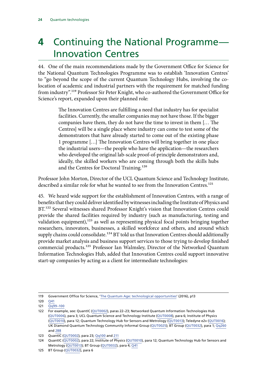### <span id="page-25-0"></span>**4** Continuing the National Programme— Innovation Centres

44. One of the main recommendations made by the Government Office for Science for the National Quantum Technologies Programme was to establish 'Innovation Centres' to "go beyond the scope of the current Quantum Technology Hubs, involving the colocation of academic and industrial partners with the requirement for matched funding from industry".119 Professor Sir Peter Knight, who co-authored the Government Office for Science's report, expanded upon their planned role:

> The Innovation Centres are fulfilling a need that industry has for specialist facilities. Currently, the smaller companies may not have those. If the bigger companies have them, they do not have the time to invest in them [… The Centres] will be a single place where industry can come to test some of the demonstrators that have already started to come out of the existing phase 1 programme […] The Innovation Centres will bring together in one place the industrial users—the people who have the application—the researchers who developed the original lab-scale proof-of-principle demonstrators and, ideally, the skilled workers who are coming through both the skills hubs and the Centres for Doctoral Training.<sup>120</sup>

Professor John Morton, Director of the UCL Quantum Science and Technology Institute, described a similar role for what he wanted to see from the Innovation Centres.<sup>121</sup>

45. We heard wide support for the establishment of Innovation Centres, with a range of benefits that they could deliver identified by witnesses including the Institute of Physics and BT.<sup>122</sup> Several witnesses shared Professor Knight's vision that Innovation Centres could provide the shared facilities required by industry (such as manufacturing, testing and validation equipment), $123$  as well as representing physical focal points bringing together researchers, innovators, businesses, a skilled workforce and others, and around which supply chains could consolidate.<sup>124</sup> BT told us that Innovation Centres should additionally provide market analysis and business support services to those trying to develop finished commercial products.125 Professor Ian Walmsley, Director of the Networked Quantum Information Technologies Hub, added that Innovation Centres could support innovative start-up companies by acting as a client for intermediate technologies:

<sup>119</sup> Government Office for Science, '[The Quantum Age: technological opportunities'](https://assets.publishing.service.gov.uk/government/uploads/system/uploads/attachment_data/file/564946/gs-16-18-quantum-technologies-report.pdf) (2016), p13

<sup>120</sup> [Q41](http://data.parliament.uk/writtenevidence/committeeevidence.svc/evidencedocument/science-and-technology-committee/quantum-technologies/oral/84595.html)

<sup>121</sup> [Qq99–100](http://data.parliament.uk/writtenevidence/committeeevidence.svc/evidencedocument/science-and-technology-committee/quantum-technologies/oral/84595.html)

<sup>122</sup> For example, see: QuantIC ([QUT0002\)](http://data.parliament.uk/writtenevidence/committeeevidence.svc/evidencedocument/science-and-technology-committee/quantum-technologies/written/80838.html), paras 22–23; Networked Quantum Information Technologies Hub [\(QUT0006\)](http://data.parliament.uk/writtenevidence/committeeevidence.svc/evidencedocument/science-and-technology-committee/quantum-technologies/written/80906.html), para 3; UCL Quantum Science and Technology Institute ([QUT0008](http://data.parliament.uk/writtenevidence/committeeevidence.svc/evidencedocument/science-and-technology-committee/quantum-technologies/written/80927.html)), para 6; Institute of Physics [\(QUT0010\)](http://data.parliament.uk/writtenevidence/committeeevidence.svc/evidencedocument/science-and-technology-committee/quantum-technologies/written/80942.html), para 12; Quantum Technology Hub for Sensors and Metrology ([QUT0013](http://data.parliament.uk/writtenevidence/committeeevidence.svc/evidencedocument/science-and-technology-committee/quantum-technologies/written/80962.html)); Teledyne e2v ([QUT0016\)](http://data.parliament.uk/writtenevidence/committeeevidence.svc/evidencedocument/science-and-technology-committee/quantum-technologies/written/80995.html); UK Diamond Quantum Technology Community Informal Group ([QUT0025\)](http://data.parliament.uk/writtenevidence/committeeevidence.svc/evidencedocument/science-and-technology-committee/quantum-technologies/written/84053.html); BT Group [\(QUT0032](http://data.parliament.uk/writtenevidence/committeeevidence.svc/evidencedocument/science-and-technology-committee/quantum-technologies/written/92106.html)), para 1; [Qq260](http://data.parliament.uk/writtenevidence/committeeevidence.svc/evidencedocument/science-and-technology-committee/quantum-technologies/oral/86927.html) and [288](http://data.parliament.uk/writtenevidence/committeeevidence.svc/evidencedocument/science-and-technology-committee/quantum-technologies/oral/86927.html)

<sup>123</sup> QuantIC ([QUT0002\)](http://data.parliament.uk/writtenevidence/committeeevidence.svc/evidencedocument/science-and-technology-committee/quantum-technologies/written/80838.html), para 23; [Qq100](http://data.parliament.uk/writtenevidence/committeeevidence.svc/evidencedocument/science-and-technology-committee/quantum-technologies/oral/84595.html) and [211](http://data.parliament.uk/writtenevidence/committeeevidence.svc/evidencedocument/science-and-technology-committee/quantum-technologies/oral/86312.html)

<sup>124</sup> QuantIC ([QUT0002\)](http://data.parliament.uk/writtenevidence/committeeevidence.svc/evidencedocument/science-and-technology-committee/quantum-technologies/written/80838.html), para 22; Institute of Physics [\(QUT0010](http://data.parliament.uk/writtenevidence/committeeevidence.svc/evidencedocument/science-and-technology-committee/quantum-technologies/written/80942.html)), para 12; Quantum Technology Hub for Sensors and Metrology ([QUT0013](http://data.parliament.uk/writtenevidence/committeeevidence.svc/evidencedocument/science-and-technology-committee/quantum-technologies/written/80962.html)); BT Group [\(QUT0032\)](http://data.parliament.uk/writtenevidence/committeeevidence.svc/evidencedocument/science-and-technology-committee/quantum-technologies/written/92106.html), para 4; [Q41](http://data.parliament.uk/writtenevidence/committeeevidence.svc/evidencedocument/science-and-technology-committee/quantum-technologies/oral/84595.html)

<sup>125</sup> BT Group ([QUT0032\)](http://data.parliament.uk/writtenevidence/committeeevidence.svc/evidencedocument/science-and-technology-committee/quantum-technologies/written/92106.html), para 6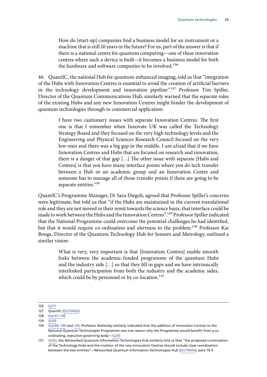How do [start-up] companies find a business model for an instrument or a machine that is still 10 years in the future? For us, part of the answer is that if there is a national centre for quantum computing—one of these innovation centres where such a device is built—it becomes a business model for both the hardware and software companies to be involved.<sup>126</sup>

46. QuantIC, the national Hub for quantum-enhanced imaging, told us that "integration of the Hubs with Innovation Centres is essential to avoid the creation of artificial barriers in the technology development and innovation pipeline".<sup>127</sup> Professor Tim Spiller, Director of the Quantum Communications Hub, similarly warned that the separate roles of the existing Hubs and any new Innovation Centres might hinder the development of quantum technologies through to commercial application:

> I have two cautionary issues with separate Innovation Centres. The first one is that I remember when Innovate UK was called the Technology Strategy Board and they focused on the very high technology levels and the Engineering and Physical Sciences Research Council focused on the very low ones and there was a big gap in the middle. I am afraid that if we have Innovation Centres and Hubs that are focused on research and innovation, there is a danger of that gap […] The other issue with separate [Hubs and Centres] is that you have many interface points where you do tech transfer between a Hub or an academic group and an Innovation Centre and someone has to manage all of those transfer points if there are going to be separate entities.<sup>128</sup>

QuantIC's Programme Manager, Dr Sara Diegoli, agreed that Professor Spiller's concerns were legitimate, but told us that "if the Hubs are maintained in the current translational role and they are not moved in their remit towards the science basis, that interface could be made to work between the Hubs and the Innovation Centres".129 Professor Spiller indicated that the National Programme could overcome the potential challenges he had identified, but that it would require co-ordination and alertness to the problem.<sup>130</sup> Professor Kai Bongs, Director of the Quantum Technology Hub for Sensors and Metrology, outlined a similar vision:

> What is very, very important is that [Innovation Centres] enable smooth links between the academic-funded programme of the quantum Hubs and the industry side […] so that they fill in gaps and we have intrinsically interlinked participation from both the industry and the academic sides, which could be by personnel or by co-location.<sup>131</sup>

<sup>126</sup> [Q271](http://data.parliament.uk/writtenevidence/committeeevidence.svc/evidencedocument/science-and-technology-committee/quantum-technologies/oral/86927.html)

<sup>127</sup> QuantIC ([QUT0002\)](http://data.parliament.uk/writtenevidence/committeeevidence.svc/evidencedocument/science-and-technology-committee/quantum-technologies/written/80838.html)

<sup>128</sup> [Qq147–149](http://data.parliament.uk/writtenevidence/committeeevidence.svc/evidencedocument/science-and-technology-committee/quantum-technologies/oral/86312.html)

<sup>129</sup>  $\overline{O150}$ 

<sup>130</sup>  $\sqrt{Qq148-149}$  and [159](http://data.parliament.uk/writtenevidence/committeeevidence.svc/evidencedocument/science-and-technology-committee/quantum-technologies/oral/86312.html); Professor Walmsley similarly indicated that the addition of Innovation Centres to the National Quantum Technologies Programme was one reason why the Programme would benefit from a coordinating, executive governing body—[Q255](http://data.parliament.uk/writtenevidence/committeeevidence.svc/evidencedocument/science-and-technology-committee/quantum-technologies/oral/86927.html)

<sup>131</sup> [Q242](http://data.parliament.uk/writtenevidence/committeeevidence.svc/evidencedocument/science-and-technology-committee/quantum-technologies/oral/86927.html); the Networked Quantum Information Technologies Hub similarly told us that "the proposed continuation of the Technology Hubs and the creation of the new Innovation Centres should include close coordination between the two entities"—Networked Quantum Information Technologies Hub ([QUT0006](http://data.parliament.uk/writtenevidence/committeeevidence.svc/evidencedocument/science-and-technology-committee/quantum-technologies/written/80906.html)), para 10.4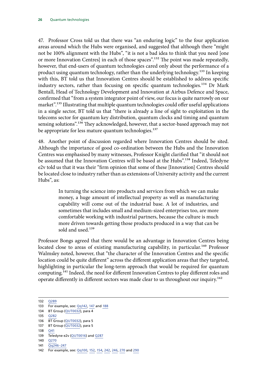47. Professor Cross told us that there was "an enduring logic" to the four application areas around which the Hubs were organised, and suggested that although there "might not be 100% alignment with the Hubs", "it is not a bad idea to think that you need [one or more Innovation Centres] in each of those spaces".<sup>132</sup> The point was made repeatedly, however, that end-users of quantum technologies cared only about the performance of a product using quantum technology, rather than the underlying technology.133 In keeping with this, BT told us that Innovation Centres should be established to address specific industry sectors, rather than focusing on specific quantum technologies.<sup>134</sup> Dr Mark Bentall, Head of Technology Development and Innovation at Airbus Defence and Space, confirmed that "from a system integrator point of view, our focus is quite narrowly on our market".<sup>135</sup> Illustrating that multiple quantum technologies could offer useful applications in a single sector, BT told us that "there is already a line of sight to exploitation in the telecoms sector for quantum key distribution, quantum clocks and timing and quantum sensing solutions".<sup>136</sup> They acknowledged, however, that a sector-based approach may not be appropriate for less mature quantum technologies.<sup>137</sup>

48. Another point of discussion regarded where Innovation Centres should be sited. Although the importance of good co-ordination between the Hubs and the Innovation Centres was emphasised by many witnesses, Professor Knight clarified that "it should not be assumed that the Innovation Centres will be based at the Hubs".138 Indeed, Teledyne e2v told us that it was their "firm opinion that some of these [Innovation] Centres should be located close to industry rather than as extensions of University activity and the current Hubs", as:

> In turning the science into products and services from which we can make money, a huge amount of intellectual property as well as manufacturing capability will come out of the industrial base. A lot of industries, and sometimes that includes small and medium-sized enterprises too, are more comfortable working with industrial partners, because the culture is much more driven towards getting those products produced in a way that can be sold and used.<sup>139</sup>

Professor Bongs agreed that there would be an advantage in Innovation Centres being located close to areas of existing manufacturing capability, in particular.<sup>140</sup> Professor Walmsley noted, however, that "the character of the Innovation Centres and the specific location could be quite different" across the different application areas that they targeted, highlighting in particular the long-term approach that would be required for quantum computing.141 Indeed, the need for different Innovation Centres to play different roles and operate differently in different sectors was made clear to us throughout our inquiry.<sup>142</sup>

135 [Q282](http://data.parliament.uk/writtenevidence/committeeevidence.svc/evidencedocument/science-and-technology-committee/quantum-technologies/oral/86927.html)

138 [Q41](http://data.parliament.uk/writtenevidence/committeeevidence.svc/evidencedocument/science-and-technology-committee/quantum-technologies/oral/84595.html)

<sup>132</sup> [Q289](http://data.parliament.uk/writtenevidence/committeeevidence.svc/evidencedocument/science-and-technology-committee/quantum-technologies/oral/86927.html)

<sup>133</sup> For example, see: [Qq142](http://data.parliament.uk/writtenevidence/committeeevidence.svc/evidencedocument/science-and-technology-committee/quantum-technologies/oral/86312.html), [147](http://data.parliament.uk/writtenevidence/committeeevidence.svc/evidencedocument/science-and-technology-committee/quantum-technologies/oral/86312.html) and [188](http://data.parliament.uk/writtenevidence/committeeevidence.svc/evidencedocument/science-and-technology-committee/quantum-technologies/oral/86312.html)

<sup>134</sup> BT Group ([QUT0032\)](http://data.parliament.uk/writtenevidence/committeeevidence.svc/evidencedocument/science-and-technology-committee/quantum-technologies/written/92106.html), para 4

<sup>136</sup> BT Group ([QUT0032\)](http://data.parliament.uk/writtenevidence/committeeevidence.svc/evidencedocument/science-and-technology-committee/quantum-technologies/written/92106.html), para 5

<sup>137</sup> BT Group ([QUT0032\)](http://data.parliament.uk/writtenevidence/committeeevidence.svc/evidencedocument/science-and-technology-committee/quantum-technologies/written/92106.html), para 5

<sup>139</sup> Teledyne e2v ([QUT0016\)](http://data.parliament.uk/writtenevidence/committeeevidence.svc/evidencedocument/science-and-technology-committee/quantum-technologies/written/80995.html) and [Q287](http://data.parliament.uk/writtenevidence/committeeevidence.svc/evidencedocument/science-and-technology-committee/quantum-technologies/oral/86927.html)

<sup>140</sup> [Q270](http://data.parliament.uk/writtenevidence/committeeevidence.svc/evidencedocument/science-and-technology-committee/quantum-technologies/oral/86927.html)

<sup>141</sup> [Qq246–247](http://data.parliament.uk/writtenevidence/committeeevidence.svc/evidencedocument/science-and-technology-committee/quantum-technologies/oral/86927.html)

<sup>142</sup> For example, see: [Qq100,](http://data.parliament.uk/writtenevidence/committeeevidence.svc/evidencedocument/science-and-technology-committee/quantum-technologies/oral/84595.html) [152](http://data.parliament.uk/writtenevidence/committeeevidence.svc/evidencedocument/science-and-technology-committee/quantum-technologies/oral/86312.html), [154](http://data.parliament.uk/writtenevidence/committeeevidence.svc/evidencedocument/science-and-technology-committee/quantum-technologies/oral/86312.html), [242](http://data.parliament.uk/writtenevidence/committeeevidence.svc/evidencedocument/science-and-technology-committee/quantum-technologies/oral/86927.html), [246](http://data.parliament.uk/writtenevidence/committeeevidence.svc/evidencedocument/science-and-technology-committee/quantum-technologies/oral/86927.html), [270](http://data.parliament.uk/writtenevidence/committeeevidence.svc/evidencedocument/science-and-technology-committee/quantum-technologies/oral/86927.html) and [290](http://data.parliament.uk/writtenevidence/committeeevidence.svc/evidencedocument/science-and-technology-committee/quantum-technologies/oral/86927.html)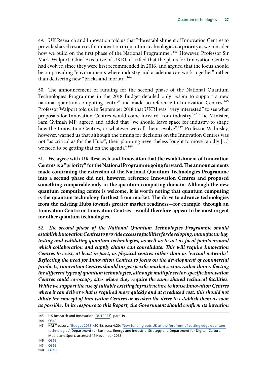49. UK Research and Innovation told us that "the establishment of Innovation Centres to provide shared resources for innovation in quantum technologies is a priority as we consider how we build on the first phase of the National Programme".<sup>143</sup> However, Professor Sir Mark Walport, Chief Executive of UKRI, clarified that the plans for Innovation Centres had evolved since they were first recommended in 2016, and argued that the focus should be on providing "environments where industry and academia can work together" rather than delivering new "bricks and mortar".<sup>144</sup>

50. The announcement of funding for the second phase of the National Quantum Technologies Programme in the 2018 Budget detailed only "£35m to support a new national quantum computing centre" and made no reference to Innovation Centres.<sup>145</sup> Professor Walport told us in September 2018 that UKRI was "very interested" to see what proposals for Innovation Centres would come forward from industry.146 The Minister, Sam Gyimah MP, agreed and added that "we should leave space for industry to shape how the Innovation Centres, or whatever we call them, evolve".<sup>147</sup> Professor Walmsley, however, warned us that although the timing for decisions on the Innovation Centres was not "as critical as for the Hubs", their planning nevertheless "ought to move rapidly […] we need to be getting that on the agenda".<sup>148</sup>

51. **We agree with UK Research and Innovation that the establishment of Innovation Centres is a "priority" for the National Programme going forward. The announcements made confirming the extension of the National Quantum Technologies Programme into a second phase did not, however, reference Innovation Centres and proposed something comparable only in the quantum computing domain. Although the new quantum computing centre is welcome, it is worth noting that quantum computing is the quantum technology furthest from market. The drive to advance technologies from the existing Hubs towards greater market readiness—for example, through an Innovation Centre or Innovation Centres—would therefore appear to be most urgent for other quantum technologies.**

52. *The second phase of the National Quantum Technologies Programme should establish Innovation Centres to provide access to facilities for developing, manufacturing, testing and validating quantum technologies, as well as to act as focal points around which collaboration and supply chains can consolidate. This will require Innovation Centres to exist, at least in part, as physical centres rather than as 'virtual networks'. Reflecting the need for Innovation Centres to focus on the development of commercial products, Innovation Centres should target specific market sectors rather than reflecting the different types of quantum technologies, although multiple sector-specific Innovation Centres could co-occupy sites where they require the same shared technical facilities. While we support the use of suitable existing infrastructure to house Innovation Centres where it can deliver what is required more quickly and at a reduced cost, this should not dilute the concept of Innovation Centres or weaken the drive to establish them as soon as possible. In its response to this Report, the Government should confirm its intention* 

<sup>143</sup> UK Research and Innovation ([QUT0023\)](http://data.parliament.uk/writtenevidence/committeeevidence.svc/evidencedocument/science-and-technology-committee/quantum-technologies/written/81338.html), para 19

<sup>144</sup> [Q369](http://data.parliament.uk/writtenevidence/committeeevidence.svc/evidencedocument/science-and-technology-committee/quantum-technologies/oral/89730.html)

<sup>145</sup> HM Treasury, '[Budget 2018'](https://assets.publishing.service.gov.uk/government/uploads/system/uploads/attachment_data/file/752202/Budget_2018_red_web.pdf) (2018), para 4.20; 'New funding puts UK at the forefront of cutting edge quantum [technologies'](https://www.gov.uk/government/news/new-funding-puts-uk-at-the-forefront-of-cutting-edge-quantum-technologies), Department for Business, Energy and Industrial Strategy and Department for Digital, Culture, Media and Sport, accessed 12 November 2018

<sup>146</sup> [Q369](http://data.parliament.uk/writtenevidence/committeeevidence.svc/evidencedocument/science-and-technology-committee/quantum-technologies/oral/89730.html)

<sup>147</sup> [Q369](http://data.parliament.uk/writtenevidence/committeeevidence.svc/evidencedocument/science-and-technology-committee/quantum-technologies/oral/89730.html)

<sup>148</sup> [Q248](http://data.parliament.uk/writtenevidence/committeeevidence.svc/evidencedocument/science-and-technology-committee/quantum-technologies/oral/86927.html)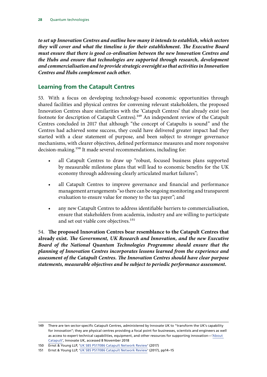<span id="page-29-0"></span>*to set up Innovation Centres and outline how many it intends to establish, which sectors they will cover and what the timeline is for their establishment. The Executive Board must ensure that there is good co-ordination between the new Innovation Centres and the Hubs and ensure that technologies are supported through research, development and commercialisation and to provide strategic oversight so that activities in Innovation Centres and Hubs complement each other.*

#### **Learning from the Catapult Centres**

53. With a focus on developing technology-based economic opportunities through shared facilities and physical centres for convening relevant stakeholders, the proposed Innovation Centres share similarities with the 'Catapult Centres' that already exist (see footnote for description of Catapult Centres).<sup>149</sup> An independent review of the Catapult Centres concluded in 2017 that although "the concept of Catapults is sound" and the Centres had achieved some success, they could have delivered greater impact had they started with a clear statement of purpose, and been subject to stronger governance mechanisms, with clearer objectives, defined performance measures and more responsive decision-making.<sup>150</sup> It made several recommendations, including for:

- all Catapult Centres to draw up "robust, focused business plans supported by measurable milestone plans that will lead to economic benefits for the UK economy through addressing clearly articulated market failures";
- all Catapult Centres to improve governance and financial and performance management arrangements "so there can be ongoing monitoring and transparent evaluation to ensure value for money to the tax payer"; and
- any new Catapult Centres to address identifiable barriers to commercialisation, ensure that stakeholders from academia, industry and are willing to participate and set out viable core objectives.<sup>151</sup>

54. **The proposed Innovation Centres bear resemblance to the Catapult Centres that already exist.** *The Government, UK Research and Innovation, and the new Executive Board of the National Quantum Technologies Programme should ensure that the planning of Innovation Centres incorporates lessons learned from the experience and assessment of the Catapult Centres. The Innovation Centres should have clear purpose statements, measurable objectives and be subject to periodic performance assessment.*

<sup>149</sup> There are ten sector-specific Catapult Centres, administered by Innovate UK to "transform the UK's capability for innovation"; they are physical centres providing a focal point for businesses, scientists and engineers as well as access to expert technical capabilities, equipment, and other resources for supporting innovation—['About](https://catapult.org.uk/about-us/about-catapult/)  [Catapult'](https://catapult.org.uk/about-us/about-catapult/), Innovate UK, accessed 8 November 2018

<sup>150</sup> Ernst & Young LLP, ['UK SBS PS17086 Catapult Network Review'](https://assets.publishing.service.gov.uk/government/uploads/system/uploads/attachment_data/file/662509/Catapult_Review_-_Publishable_Version_of_EY_Report__1_.pdf) (2017)

<sup>151</sup> Ernst & Young LLP, ['UK SBS PS17086 Catapult Network Review'](https://assets.publishing.service.gov.uk/government/uploads/system/uploads/attachment_data/file/662509/Catapult_Review_-_Publishable_Version_of_EY_Report__1_.pdf) (2017), pp14–15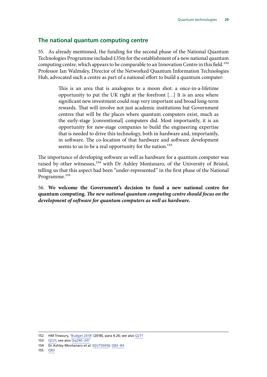#### <span id="page-30-0"></span>**The national quantum computing centre**

55. As already mentioned, the funding for the second phase of the National Quantum Technologies Programme included £35m for the establishment of a new national quantum computing centre, which appears to be comparable to an Innovation Centre in this field.<sup>152</sup> Professor Ian Walmsley, Director of the Networked Quantum Information Technologies Hub, advocated such a centre as part of a national effort to build a quantum computer:

> This is an area that is analogous to a moon shot: a once-in-a-lifetime opportunity to put the UK right at the forefront […] It is an area where significant new investment could reap very important and broad long-term rewards. That will involve not just academic institutions but Government centres that will be the places where quantum computers exist, much as the early-stage [conventional] computers did. Most importantly, it is an opportunity for new-stage companies to build the engineering expertise that is needed to drive this technology, both in hardware and, importantly, in software. The co-location of that hardware and software development seems to us to be a real opportunity for the nation.<sup>153</sup>

The importance of developing software as well as hardware for a quantum computer was raised by other witnesses,<sup>154</sup> with Dr Ashley Montanaro, of the University of Bristol, telling us that this aspect had been "under-represented" in the first phase of the National Programme.<sup>155</sup>

56. **We welcome the Government's decision to fund a new national centre for quantum computing.** *The new national quantum computing centre should focus on the development of software for quantum computers as well as hardware.*

<sup>152</sup> HM Treasury, '[Budget 2018'](https://assets.publishing.service.gov.uk/government/uploads/system/uploads/attachment_data/file/752202/Budget_2018_red_web.pdf) (2018), para 4.20; see also [Q271](http://data.parliament.uk/writtenevidence/committeeevidence.svc/evidencedocument/science-and-technology-committee/quantum-technologies/oral/86927.html)

<sup>153</sup> [Q231;](http://data.parliament.uk/writtenevidence/committeeevidence.svc/evidencedocument/science-and-technology-committee/quantum-technologies/oral/86927.html) see also [Qq246–247](http://data.parliament.uk/writtenevidence/committeeevidence.svc/evidencedocument/science-and-technology-committee/quantum-technologies/oral/86927.html)

<sup>154</sup> Dr Ashley Montanaro *et al.* ([QUT0005](http://data.parliament.uk/writtenevidence/committeeevidence.svc/evidencedocument/science-and-technology-committee/quantum-technologies/written/80900.html)); [Q83–84](http://data.parliament.uk/writtenevidence/committeeevidence.svc/evidencedocument/science-and-technology-committee/quantum-technologies/oral/84595.html)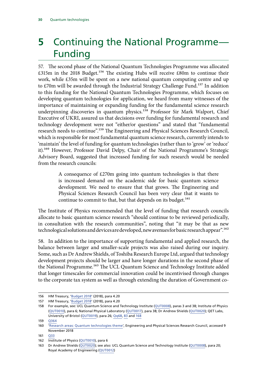### <span id="page-31-0"></span>**5** Continuing the National Programme— Funding

57. The second phase of the National Quantum Technologies Programme was allocated £315m in the 2018 Budget.<sup>156</sup> The existing Hubs will receive £80m to continue their work, while £35m will be spent on a new national quantum computing centre and up to £70m will be awarded through the Industrial Strategy Challenge Fund.<sup>157</sup> In addition to this funding for the National Quantum Technologies Programme, which focuses on developing quantum technologies for application, we heard from many witnesses of the importance of maintaining or expanding funding for the fundamental science research underpinning discoveries in quantum physics.<sup>158</sup> Professor Sir Mark Walport, Chief Executive of UKRI, assured us that decisions over funding for fundamental research and technology development were not "either/or questions" and stated that "fundamental research needs to continue".159 The Engineering and Physical Sciences Research Council, which is responsible for most fundamental quantum science research, currently intends to 'maintain' the level of funding for quantum technologies (rather than to 'grow' or 'reduce' it).160 However, Professor David Delpy, Chair of the National Programme's Strategic Advisory Board, suggested that increased funding for such research would be needed from the research councils:

> A consequence of £270m going into quantum technologies is that there is increased demand on the academic side for basic quantum science development. We need to ensure that that grows. The Engineering and Physical Sciences Research Council has been very clear that it wants to continue to commit to that, but that depends on its budget.<sup>161</sup>

The Institute of Physics recommended that the level of funding that research councils allocate to basic quantum science research "should continue to be reviewed periodically, in consultation with the research communities", noting that "it may be that as new technological solutions and devices are developed, new avenues for basic research appear".<sup>162</sup>

58. In addition to the importance of supporting fundamental and applied research, the balance between larger and smaller-scale projects was also raised during our inquiry. Some, such as Dr Andrew Shields, of Toshiba Research Europe Ltd, argued that technology development projects should be larger and have longer durations in the second phase of the National Programme.<sup>163</sup> The UCL Quantum Science and Technology Institute added that longer timescales for commercial innovation could be incentivised through changes to the corporate tax system as well as through extending the duration of Government co-

<sup>156</sup> HM Treasury, '[Budget 2018'](https://assets.publishing.service.gov.uk/government/uploads/system/uploads/attachment_data/file/752202/Budget_2018_red_web.pdf) (2018), para 4.20

<sup>157</sup> HM Treasury, '[Budget 2018'](https://assets.publishing.service.gov.uk/government/uploads/system/uploads/attachment_data/file/752202/Budget_2018_red_web.pdf) (2018), para 4.20

<sup>158</sup> For example, see: UCL Quantum Science and Technology Institute [\(QUT0008\)](http://data.parliament.uk/writtenevidence/committeeevidence.svc/evidencedocument/science-and-technology-committee/quantum-technologies/written/80927.html), paras 3 and 38; Institute of Physics [\(QUT0010\)](http://data.parliament.uk/writtenevidence/committeeevidence.svc/evidencedocument/science-and-technology-committee/quantum-technologies/written/80942.html), para 6; National Physical Laboratory [\(QUT0017\)](http://data.parliament.uk/writtenevidence/committeeevidence.svc/evidencedocument/science-and-technology-committee/quantum-technologies/written/81005.html), para 38; Dr Andrew Shields ([QUT0020\)](http://data.parliament.uk/writtenevidence/committeeevidence.svc/evidencedocument/science-and-technology-committee/quantum-technologies/written/81020.html); QET Labs, University of Bristol ([QUT0019](http://data.parliament.uk/writtenevidence/committeeevidence.svc/evidencedocument/science-and-technology-committee/quantum-technologies/written/81019.html)), para 26; [Qq68](http://data.parliament.uk/writtenevidence/committeeevidence.svc/evidencedocument/science-and-technology-committee/quantum-technologies/oral/84595.html), [83](http://data.parliament.uk/writtenevidence/committeeevidence.svc/evidencedocument/science-and-technology-committee/quantum-technologies/oral/84595.html) and [168](http://data.parliament.uk/writtenevidence/committeeevidence.svc/evidencedocument/science-and-technology-committee/quantum-technologies/oral/86312.html)

<sup>159</sup> [Q364](http://data.parliament.uk/writtenevidence/committeeevidence.svc/evidencedocument/science-and-technology-committee/quantum-technologies/oral/89730.html)

<sup>160</sup> *[Research areas: Quantum technologies theme'](https://epsrc.ukri.org/research/ourportfolio/researchareas/?selectedCategories=Themes%252EQuantum%2520technologies&pageNumber=1&resultsPerPage=100&filterSortBy=Title&filterSortOrder=asc&displayList=default)*, Engineering and Physical Sciences Research Council, accessed 9 November 2018

<sup>161</sup> [Q33](http://data.parliament.uk/writtenevidence/committeeevidence.svc/evidencedocument/science-and-technology-committee/quantum-technologies/oral/84595.html)

<sup>162</sup> Institute of Physics ([QUT0010](http://data.parliament.uk/writtenevidence/committeeevidence.svc/evidencedocument/science-and-technology-committee/quantum-technologies/written/80942.html)), para 6

<sup>163</sup> Dr Andrew Shields [\(QUT0020](http://data.parliament.uk/writtenevidence/committeeevidence.svc/evidencedocument/science-and-technology-committee/quantum-technologies/written/81020.html)); see also: UCL Quantum Science and Technology Institute ([QUT0008](http://data.parliament.uk/writtenevidence/committeeevidence.svc/evidencedocument/science-and-technology-committee/quantum-technologies/written/80927.html)), para 20; Royal Academy of Engineering ([QUT0012](http://data.parliament.uk/writtenevidence/committeeevidence.svc/evidencedocument/science-and-technology-committee/quantum-technologies/written/80961.html))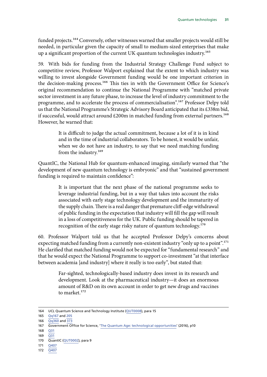funded projects.<sup>164</sup> Conversely, other witnesses warned that smaller projects would still be needed, in particular given the capacity of small to medium-sized enterprises that make up a significant proportion of the current UK quantum technologies industry.165

59. With bids for funding from the Industrial Strategy Challenge Fund subject to competitive review, Professor Walport explained that the extent to which industry was willing to invest alongside Government funding would be one important criterion in the decision-making process.<sup>166</sup> This ties in with the Government Office for Science's original recommendation to continue the National Programme with "matched private sector investment in any future phase, to increase the level of industry commitment to the programme, and to accelerate the process of commercialisation".167 Professor Delpy told us that the National Programme's Strategic Advisory Board anticipated that its £338m bid, if successful, would attract around  $£200m$  in matched funding from external partners.<sup>168</sup> However, he warned that:

> It is difficult to judge the actual commitment, because a lot of it is in kind and in the time of industrial collaborators. To be honest, it would be unfair, when we do not have an industry, to say that we need matching funding from the industry.<sup>169</sup>

QuantIC, the National Hub for quantum-enhanced imaging, similarly warned that "the development of new quantum technology is embryonic" and that "sustained government funding is required to maintain confidence":

> It is important that the next phase of the national programme seeks to leverage industrial funding, but in a way that takes into account the risks associated with early stage technology development and the immaturity of the supply chain. There is a real danger that premature cliff-edge withdrawal of public funding in the expectation that industry will fill the gap will result in a loss of competitiveness for the UK. Public funding should be tapered in recognition of the early stage risky nature of quantum technology.170

60. Professor Walport told us that he accepted Professor Delpy's concerns about expecting matched funding from a currently non-existent industry "only up to a point".<sup>171</sup> He clarified that matched funding would not be expected for "fundamental research" and that he would expect the National Programme to support co-investment "at that interface between academia [and industry] where it really is too early", but stated that:

> Far-sighted, technologically-based industry does invest in its research and development. Look at the pharmaceutical industry—it does an enormous amount of R&D on its own account in order to get new drugs and vaccines to market.172

- 171 [Q407](http://data.parliament.uk/writtenevidence/committeeevidence.svc/evidencedocument/science-and-technology-committee/quantum-technologies/oral/89730.html)
- 172 [Q407](http://data.parliament.uk/writtenevidence/committeeevidence.svc/evidencedocument/science-and-technology-committee/quantum-technologies/oral/89730.html)

<sup>164</sup> UCL Quantum Science and Technology Institute ([QUT0008](http://data.parliament.uk/writtenevidence/committeeevidence.svc/evidencedocument/science-and-technology-committee/quantum-technologies/written/80927.html)), para 15

<sup>165</sup> [Qq167](http://data.parliament.uk/writtenevidence/committeeevidence.svc/evidencedocument/science-and-technology-committee/quantum-technologies/oral/86312.html) and [205](http://data.parliament.uk/writtenevidence/committeeevidence.svc/evidencedocument/science-and-technology-committee/quantum-technologies/oral/86312.html)

<sup>166</sup>  $\overline{Oa360}$  and  $\overline{373}$  $\overline{373}$  $\overline{373}$ 

<sup>167</sup> Government Office for Science, '[The Quantum Age: technological opportunities'](https://assets.publishing.service.gov.uk/government/uploads/system/uploads/attachment_data/file/564946/gs-16-18-quantum-technologies-report.pdf) (2016), p10

<sup>168</sup> [Q31](http://data.parliament.uk/writtenevidence/committeeevidence.svc/evidencedocument/science-and-technology-committee/quantum-technologies/oral/84595.html)

<sup>169</sup> [Q31](http://data.parliament.uk/writtenevidence/committeeevidence.svc/evidencedocument/science-and-technology-committee/quantum-technologies/oral/84595.html)

<sup>170</sup> QuantIC ([QUT0002\)](http://data.parliament.uk/writtenevidence/committeeevidence.svc/evidencedocument/science-and-technology-committee/quantum-technologies/written/80838.html), para 9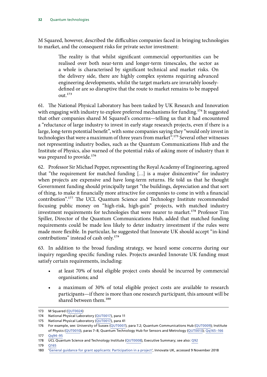M Squared, however, described the difficulties companies faced in bringing technologies to market, and the consequent risks for private sector investment:

> The reality is that whilst significant commercial opportunities can be realised over both near-term and longer-term timescales, the sector as a whole is characterised by significant technical and market risks. On the delivery side, there are highly complex systems requiring advanced engineering developments, whilst the target markets are invariably looselydefined or are so disruptive that the route to market remains to be mapped out.173

61. The National Physical Laboratory has been tasked by UK Research and Innovation with engaging with industry to explore preferred mechanisms for funding.<sup>174</sup> It suggested that other companies shared M Squared's concerns—telling us that it had encountered a "reluctance of large industry to invest in early stage research projects, even if there is a large, long-term potential benefit", with some companies saying they "would only invest in technologies that were a maximum of three years from market".<sup>175</sup> Several other witnesses not representing industry bodies, such as the Quantum Communications Hub and the Institute of Physics, also warned of the potential risks of asking more of industry than it was prepared to provide.<sup>176</sup>

62. Professor Sir Michael Pepper, representing the Royal Academy of Engineering, agreed that "the requirement for matched funding […] is a major disincentive" for industry when projects are expensive and have long-term returns. He told us that he thought Government funding should principally target "the buildings, depreciation and that sort of thing, to make it financially more attractive for companies to come in with a financial contribution".177 The UCL Quantum Science and Technology Institute recommended focusing public money on "high-risk, high-gain" projects, with matched industry investment requirements for technologies that were nearer to market.<sup>178</sup> Professor Tim Spiller, Director of the Quantum Communications Hub, added that matched funding requirements could be made less likely to deter industry investment if the rules were made more flexible. In particular, he suggested that Innovate UK should accept "in-kind contributions" instead of cash only.<sup>179</sup>

63. In addition to the broad funding strategy, we heard some concerns during our inquiry regarding specific funding rules. Projects awarded Innovate UK funding must satisfy certain requirements, including:

- at least 70% of total eligible project costs should be incurred by commercial organisations; and
- a maximum of 30% of total eligible project costs are available to research participants—if there is more than one research participant, this amount will be shared between them.<sup>180</sup>

<sup>173</sup> M Squared ([QUT0024\)](http://data.parliament.uk/writtenevidence/committeeevidence.svc/evidencedocument/science-and-technology-committee/quantum-technologies/written/81354.html)

<sup>174</sup> National Physical Laboratory ([QUT0017](http://data.parliament.uk/writtenevidence/committeeevidence.svc/evidencedocument/science-and-technology-committee/quantum-technologies/written/81005.html)), para 11

<sup>175</sup> National Physical Laboratory ([QUT0017](http://data.parliament.uk/writtenevidence/committeeevidence.svc/evidencedocument/science-and-technology-committee/quantum-technologies/written/81005.html)), para 41

<sup>176</sup> For example, see: University of Sussex ([QUT0007\)](http://data.parliament.uk/writtenevidence/committeeevidence.svc/evidencedocument/science-and-technology-committee/quantum-technologies/written/80907.html), para 7.2; Quantum Communications Hub [\(QUT0009\)](http://data.parliament.uk/writtenevidence/committeeevidence.svc/evidencedocument/science-and-technology-committee/quantum-technologies/written/80929.html); Institute of Physics [\(QUT0010](http://data.parliament.uk/writtenevidence/committeeevidence.svc/evidencedocument/science-and-technology-committee/quantum-technologies/written/80942.html)), paras 7–8; Quantum Technology Hub for Sensors and Metrology [\(QUT0013\)](http://data.parliament.uk/writtenevidence/committeeevidence.svc/evidencedocument/science-and-technology-committee/quantum-technologies/written/80962.html); [Qq165–166](http://data.parliament.uk/writtenevidence/committeeevidence.svc/evidencedocument/science-and-technology-committee/quantum-technologies/oral/86312.html)

<sup>177</sup> [Qq94–95](http://data.parliament.uk/writtenevidence/committeeevidence.svc/evidencedocument/science-and-technology-committee/quantum-technologies/oral/84595.html)

<sup>178</sup> UCL Quantum Science and Technology Institute ([QUT0008](http://data.parliament.uk/writtenevidence/committeeevidence.svc/evidencedocument/science-and-technology-committee/quantum-technologies/written/80927.html)), Executive Summary; see also: [Q92](http://data.parliament.uk/writtenevidence/committeeevidence.svc/evidencedocument/science-and-technology-committee/quantum-technologies/oral/84595.html)

<sup>179</sup> [Q165](http://data.parliament.uk/writtenevidence/committeeevidence.svc/evidencedocument/science-and-technology-committee/quantum-technologies/oral/86312.html)

<sup>180</sup> 'General guidance for grant applicants: Participation in a project', Innovate UK, accessed 9 November 2018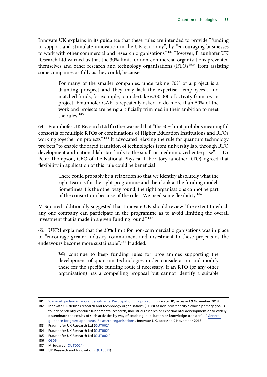Innovate UK explains in its guidance that these rules are intended to provide "funding to support and stimulate innovation in the UK economy", by "encouraging businesses to work with other commercial and research organisations".<sup>181</sup> However, Fraunhofer UK Research Ltd warned us that the 30% limit for non-commercial organisations prevented themselves and other research and technology organisations (RTOs<sup>182</sup>) from assisting some companies as fully as they could, because:

> For many of the smaller companies, undertaking 70% of a project is a daunting prospect and they may lack the expertise, [employees], and matched funds, for example, to undertake £700,000 of activity from a £1m project. Fraunhofer CAP is repeatedly asked to do more than 50% of the work and projects are being artificially trimmed in their ambition to meet the rules.<sup>183</sup>

64. Fraunhofer UK Research Ltd further warned that "the 30% limit prohibits meaningful consortia of multiple RTOs or combinations of Higher Education Institutions and RTOs working together on projects".<sup>184</sup> It advocated relaxing the rule for quantum technology projects "to enable the rapid transition of technologies from university lab, through RTO development and national lab standards to the small or medium-sized enterprise".<sup>185</sup> Dr Peter Thompson, CEO of the National Physical Laboratory (another RTO), agreed that flexibility in application of this rule could be beneficial:

> There could probably be a relaxation so that we identify absolutely what the right team is for the right programme and then look at the funding model. Sometimes it is the other way round; the right organisations cannot be part of the consortium because of the rules. We need some flexibility.186

M Squared additionally suggested that Innovate UK should review "the extent to which any one company can participate in the programme as to avoid limiting the overall investment that is made in a given funding round".<sup>187</sup>

65. UKRI explained that the 30% limit for non-commercial organisations was in place to "encourage greater industry commitment and investment to these projects as the endeavours become more sustainable".<sup>188</sup> It added:

> We continue to keep funding rules for programmes supporting the development of quantum technologies under consideration and modify these for the specific funding route if necessary. If an RTO (or any other organisation) has a compelling proposal but cannot identify a suitable

185 Fraunhofer UK Research Ltd ([QUT0021](http://data.parliament.uk/writtenevidence/committeeevidence.svc/evidencedocument/science-and-technology-committee/quantum-technologies/written/81021.html))

187 M Squared ([QUT0024\)](http://data.parliament.uk/writtenevidence/committeeevidence.svc/evidencedocument/science-and-technology-committee/quantum-technologies/written/81354.html)

<sup>181</sup> 'General guidance for grant applicants: Participation in a project', Innovate UK, accessed 9 November 2018

<sup>182</sup> Innovate UK defines research and technology organisations (RTOs) as non-profit entity "whose primary goal is to independently conduct fundamental research, industrial research or experimental development or to widely disseminate the results of such activities by way of teaching, publication or knowledge transfer"—' General guidance for grant applicants: Research organisations', Innovate UK, accessed 9 November 2018

<sup>183</sup> Fraunhofer UK Research Ltd ([QUT0021](http://data.parliament.uk/writtenevidence/committeeevidence.svc/evidencedocument/science-and-technology-committee/quantum-technologies/written/81021.html))

<sup>184</sup> Fraunhofer UK Research Ltd ([QUT0021](http://data.parliament.uk/writtenevidence/committeeevidence.svc/evidencedocument/science-and-technology-committee/quantum-technologies/written/81021.html))

<sup>186</sup> [Q306](http://data.parliament.uk/writtenevidence/committeeevidence.svc/evidencedocument/science-and-technology-committee/quantum-technologies/oral/86927.html)

<sup>188</sup> UK Research and Innovation ([QUT0031](http://data.parliament.uk/writtenevidence/committeeevidence.svc/evidencedocument/science-and-technology-committee/quantum-technologies/written/91952.html))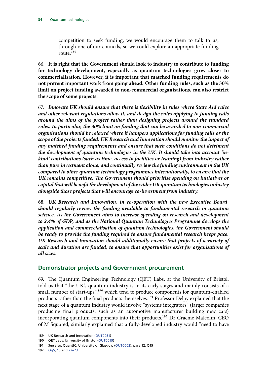<span id="page-35-0"></span>competition to seek funding, we would encourage them to talk to us, through one of our councils, so we could explore an appropriate funding route.189

66. **It is right that the Government should look to industry to contribute to funding for technology development, especially as quantum technologies grow closer to commercialisation. However, it is important that matched funding requirements do not prevent important work from going ahead. Other funding rules, such as the 30% limit on project funding awarded to non-commercial organisations, can also restrict the scope of some projects.**

67. *Innovate UK should ensure that there is flexibility in rules where State Aid rules and other relevant regulations allow it, and design the rules applying to funding calls around the aims of the project rather than designing projects around the standard rules. In particular, the 30% limit on funding that can be awarded to non-commercial organisations should be relaxed where it hampers applications for funding calls or the scope of the projects funded. UK Research and Innovation should monitor the impact of any matched funding requirements and ensure that such conditions do not detriment the development of quantum technologies in the UK. It should take into account 'inkind' contributions (such as time, access to facilities or training) from industry rather than pure investment alone, and continually review the funding environment in the UK compared to other quantum technology programmes internationally, to ensure that the UK remains competitive. The Government should prioritise spending on initiatives or capital that will benefit the development of the wider UK quantum technologies industry alongside those projects that will encourage co-investment from industry.*

68. *UK Research and Innovation, in co-operation with the new Executive Board, should regularly review the funding available to fundamental research in quantum science. As the Government aims to increase spending on research and development to 2.4% of GDP, and as the National Quantum Technologies Programme develops the application and commercialisation of quantum technologies, the Government should be ready to provide the funding required to ensure fundamental research keeps pace. UK Research and Innovation should additionally ensure that projects of a variety of scale and duration are funded, to ensure that opportunities exist for organisations of all sizes.*

#### **Demonstrator projects and Government procurement**

69. The Quantum Engineering Technology (QET) Labs, at the University of Bristol, told us that "the UK's quantum industry is in its early stages and mainly consists of a small number of start-ups",<sup>190</sup> which tend to produce components for quantum-enabled products rather than the final products themselves.191 Professor Delpy explained that the next stage of a quantum industry would involve "systems integrators" (larger companies producing final products, such as an automotive manufacturer building new cars) incorporating quantum components into their products.<sup>192</sup> Dr Graeme Malcolm, CEO of M Squared, similarly explained that a fully-developed industry would "need to have

<sup>189</sup> UK Research and Innovation ([QUT0031](http://data.parliament.uk/writtenevidence/committeeevidence.svc/evidencedocument/science-and-technology-committee/quantum-technologies/written/91952.html))

<sup>190</sup> QET Labs, University of Bristol ([QUT0019](http://data.parliament.uk/writtenevidence/committeeevidence.svc/evidencedocument/science-and-technology-committee/quantum-technologies/written/81019.html))

<sup>191</sup> See also: QuantIC, University of Glasgow [\(QUT0002](http://data.parliament.uk/writtenevidence/committeeevidence.svc/evidencedocument/science-and-technology-committee/quantum-technologies/written/80838.html)), para 12; Q15

<sup>192</sup> [Qq5,](http://data.parliament.uk/writtenevidence/committeeevidence.svc/evidencedocument/science-and-technology-committee/quantum-technologies/oral/84595.html) [15](http://data.parliament.uk/writtenevidence/committeeevidence.svc/evidencedocument/science-and-technology-committee/quantum-technologies/oral/84595.html) and [22–23](http://data.parliament.uk/writtenevidence/committeeevidence.svc/evidencedocument/science-and-technology-committee/quantum-technologies/oral/84595.html)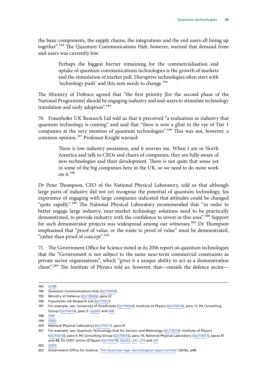the basic components, the supply chains, the integrations and the end users all lining up together".193 The Quantum Communications Hub, however, warned that demand from end-users was currently low:

> Perhaps the biggest barrier remaining for the commercialisation and uptake of quantum communications technologies is the growth of markets and the stimulation of market pull. Disruptive technologies often start with 'technology push' and this now needs to change.<sup>194</sup>

The Ministry of Defence agreed that "the first priority [for the second phase of the National Programme] should be engaging industry and end-users to stimulate technology translation and early adoption".<sup>195</sup>

70. Fraunhofer UK Research Ltd told us that it perceived "a realisation in industry that quantum technology is coming" and said that "there is now a glint in the eye of Tier 1 companies at the very mention of quantum technologies".<sup>196</sup> This was not, however, a common opinion.<sup>197</sup> Professor Knight warned:

> There is low industry awareness, and it worries me. When I am in North America and talk to CEOs and chairs of companies, they are fully aware of new technologies and their development. There is not quite that sense yet in some of the big companies here in the UK, so we need to do more work on it.198

Dr Peter Thompson, CEO of the National Physical Laboratory, told us that although large parts of industry did not yet recognise the potential of quantum technology, his experience of engaging with large companies indicated that attitudes could be changed "quite rapidly".<sup>199</sup> The National Physical Laboratory recommended that "in order to better engage large industry, near-market technology solutions need to be practically demonstrated, to provide industry with the confidence to invest in this area".<sup>200</sup> Support for such demonstrator projects was widespread among our witnesses.<sup>201</sup> Dr Thompson emphasised that "proof of value, or the route to proof of value" must be demonstrated, "rather than proof of concept".<sup>202</sup>

71. The Government Office for Science noted in its 2016 report on quantum technologies that the "Government is not subject to the same near-term commercial constraints as private sector organisations", which "gives it a unique ability to act as a demonstration client".203 The Institute of Physics told us, however, that—outside the defence sector—

<sup>193</sup> [Q188](http://data.parliament.uk/writtenevidence/committeeevidence.svc/evidencedocument/science-and-technology-committee/quantum-technologies/oral/86312.html)

<sup>194</sup> Quantum Communications Hub ([QUT0009](http://data.parliament.uk/writtenevidence/committeeevidence.svc/evidencedocument/science-and-technology-committee/quantum-technologies/written/80929.html))

<sup>195</sup> Ministry of Defence ([QUT0026\)](http://data.parliament.uk/writtenevidence/committeeevidence.svc/evidencedocument/science-and-technology-committee/quantum-technologies/written/85434.html), para 22

<sup>196</sup> Fraunhofer UK Research Ltd ([QUT0021](http://data.parliament.uk/writtenevidence/committeeevidence.svc/evidencedocument/science-and-technology-committee/quantum-technologies/written/81021.html))

<sup>197</sup> For example, see: University of Strathclyde ([QUT0004](http://data.parliament.uk/writtenevidence/committeeevidence.svc/evidencedocument/science-and-technology-committee/quantum-technologies/written/80895.html)); Institute of Physics ([QUT0010](http://data.parliament.uk/writtenevidence/committeeevidence.svc/evidencedocument/science-and-technology-committee/quantum-technologies/written/80942.html)), para 11; PA Consulting Group ([QUT0014](http://data.parliament.uk/writtenevidence/committeeevidence.svc/evidencedocument/science-and-technology-committee/quantum-technologies/written/80975.html)), para 3; [Qq302](http://data.parliament.uk/writtenevidence/committeeevidence.svc/evidencedocument/science-and-technology-committee/quantum-technologies/oral/86927.html) and [368](http://data.parliament.uk/writtenevidence/committeeevidence.svc/evidencedocument/science-and-technology-committee/quantum-technologies/oral/89730.html)

<sup>198</sup> [Q40](http://data.parliament.uk/writtenevidence/committeeevidence.svc/evidencedocument/science-and-technology-committee/quantum-technologies/oral/84595.html)  $199 \quad \overline{O302}$ 

<sup>200</sup> National Physical Laboratory ([QUT0017](http://data.parliament.uk/writtenevidence/committeeevidence.svc/evidencedocument/science-and-technology-committee/quantum-technologies/written/81005.html)), para 41

<sup>201</sup> For example, see: Quantum Technology Hub for Sensors and Metrology [\(QUT0013\)](http://data.parliament.uk/writtenevidence/committeeevidence.svc/evidencedocument/science-and-technology-committee/quantum-technologies/written/80962.html); Institute of Physics [\(QUT0010\)](http://data.parliament.uk/writtenevidence/committeeevidence.svc/evidencedocument/science-and-technology-committee/quantum-technologies/written/80942.html), para 9; PA Consulting Group [\(QUT0014\)](http://data.parliament.uk/writtenevidence/committeeevidence.svc/evidencedocument/science-and-technology-committee/quantum-technologies/written/80975.html), para 14; National Physical Laboratory ([QUT0017](http://data.parliament.uk/writtenevidence/committeeevidence.svc/evidencedocument/science-and-technology-committee/quantum-technologies/written/81005.html)), paras 41 and 48; EU COST action QTSpace [\(QUT0018](http://data.parliament.uk/writtenevidence/committeeevidence.svc/evidencedocument/science-and-technology-committee/quantum-technologies/written/81008.html)); [Qq142,](http://data.parliament.uk/writtenevidence/committeeevidence.svc/evidencedocument/science-and-technology-committee/quantum-technologies/oral/86312.html) [231](http://data.parliament.uk/writtenevidence/committeeevidence.svc/evidencedocument/science-and-technology-committee/quantum-technologies/oral/86927.html), [279](http://data.parliament.uk/writtenevidence/committeeevidence.svc/evidencedocument/science-and-technology-committee/quantum-technologies/oral/86927.html) and [297](http://data.parliament.uk/writtenevidence/committeeevidence.svc/evidencedocument/science-and-technology-committee/quantum-technologies/oral/86927.html)

<sup>202</sup> [Q303](http://data.parliament.uk/writtenevidence/committeeevidence.svc/evidencedocument/science-and-technology-committee/quantum-technologies/oral/86927.html)

<sup>203</sup> Government Office for Science, '[The Quantum Age: technological opportunities'](https://assets.publishing.service.gov.uk/government/uploads/system/uploads/attachment_data/file/564946/gs-16-18-quantum-technologies-report.pdf) (2016), p48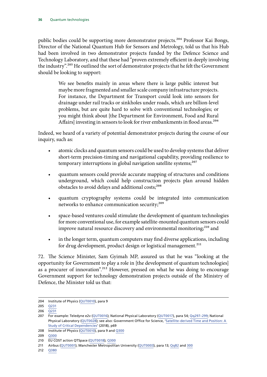public bodies could be supporting more demonstrator projects.<sup>204</sup> Professor Kai Bongs, Director of the National Quantum Hub for Sensors and Metrology, told us that his Hub had been involved in two demonstrator projects funded by the Defence Science and Technology Laboratory, and that these had "proven extremely efficient in deeply involving the industry".<sup>205</sup> He outlined the sort of demonstrator projects that he felt the Government should be looking to support:

> We see benefits mainly in areas where there is large public interest but maybe more fragmented and smaller scale company infrastructure projects. For instance, the Department for Transport could look into sensors for drainage under rail tracks or sinkholes under roads, which are billion-level problems, but are quite hard to solve with conventional technologies; or you might think about [the Department for Environment, Food and Rural Affairs] investing in sensors to look for river embankments in flood areas.<sup>206</sup>

Indeed, we heard of a variety of potential demonstrator projects during the course of our inquiry, such as:

- atomic clocks and quantum sensors could be used to develop systems that deliver short-term precision-timing and navigational capability, providing resilience to temporary interruptions in global navigation satellite systems;<sup>207</sup>
- quantum sensors could provide accurate mapping of structures and conditions underground, which could help construction projects plan around hidden obstacles to avoid delays and additional costs;<sup>208</sup>
- quantum cryptography systems could be integrated into communication networks to enhance communication security;<sup>209</sup>
- space-based ventures could stimulate the development of quantum technologies for more conventional use, for example satellite-mounted quantum sensors could improve natural resource discovery and environmental monitoring;<sup>210</sup> and
- in the longer term, quantum computers may find diverse applications, including for drug development, product design or logistical management.<sup>211</sup>

72. The Science Minister, Sam Gyimah MP, assured us that he was "looking at the opportunity for Government to play a role in [the development of quantum technologies] as a procurer of innovation".<sup>212</sup> However, pressed on what he was doing to encourage Government support for technology demonstration projects outside of the Ministry of Defence, the Minister told us that:

208 Institute of Physics ([QUT0010](http://data.parliament.uk/writtenevidence/committeeevidence.svc/evidencedocument/science-and-technology-committee/quantum-technologies/written/80942.html)), para 9 and [Q300](http://data.parliament.uk/writtenevidence/committeeevidence.svc/evidencedocument/science-and-technology-committee/quantum-technologies/oral/86927.html)

<sup>204</sup> Institute of Physics ([QUT0010](http://data.parliament.uk/writtenevidence/committeeevidence.svc/evidencedocument/science-and-technology-committee/quantum-technologies/written/80942.html)), para 9

<sup>205</sup> [Q231](http://data.parliament.uk/writtenevidence/committeeevidence.svc/evidencedocument/science-and-technology-committee/quantum-technologies/oral/86927.html)

<sup>206</sup> [Q231](http://data.parliament.uk/writtenevidence/committeeevidence.svc/evidencedocument/science-and-technology-committee/quantum-technologies/oral/86927.html)

<sup>207</sup> For example: Teledyne e2v ([QUT0016\)](http://data.parliament.uk/writtenevidence/committeeevidence.svc/evidencedocument/science-and-technology-committee/quantum-technologies/written/80995.html); National Physical Laboratory [\(QUT0017\)](http://data.parliament.uk/writtenevidence/committeeevidence.svc/evidencedocument/science-and-technology-committee/quantum-technologies/written/81005.html), para 54; [Qq297–299](http://data.parliament.uk/writtenevidence/committeeevidence.svc/evidencedocument/science-and-technology-committee/quantum-technologies/oral/86927.html); National Physical Laboratory ([QUT0028\)](http://data.parliament.uk/writtenevidence/committeeevidence.svc/evidencedocument/science-and-technology-committee/quantum-technologies/written/87005.html); see also: Government Office for Science, 'Satellite-derived Time and Position: A [Study of Critical Dependencies'](https://assets.publishing.service.gov.uk/government/uploads/system/uploads/attachment_data/file/676675/satellite-derived-time-and-position-blackett-review.pdf) (2018), p69

<sup>209</sup> [Q300](http://data.parliament.uk/writtenevidence/committeeevidence.svc/evidencedocument/science-and-technology-committee/quantum-technologies/oral/86927.html)

<sup>210</sup> EU COST action QTSpace ([QUT0018\)](http://data.parliament.uk/writtenevidence/committeeevidence.svc/evidencedocument/science-and-technology-committee/quantum-technologies/written/81008.html); [Q300](http://data.parliament.uk/writtenevidence/committeeevidence.svc/evidencedocument/science-and-technology-committee/quantum-technologies/oral/86927.html)

<sup>211</sup> Airbus [\(QUT0001](http://data.parliament.uk/writtenevidence/committeeevidence.svc/evidencedocument/science-and-technology-committee/quantum-technologies/written/80089.html)); Manchester Metropolitan University [\(QUT0003\)](http://data.parliament.uk/writtenevidence/committeeevidence.svc/evidencedocument/science-and-technology-committee/quantum-technologies/written/80865.html), para 13; [Qq82](http://data.parliament.uk/writtenevidence/committeeevidence.svc/evidencedocument/science-and-technology-committee/quantum-technologies/oral/84595.html) and [300](http://data.parliament.uk/writtenevidence/committeeevidence.svc/evidencedocument/science-and-technology-committee/quantum-technologies/oral/86927.html)

<sup>212</sup> [Q380](http://data.parliament.uk/writtenevidence/committeeevidence.svc/evidencedocument/science-and-technology-committee/quantum-technologies/oral/89730.html)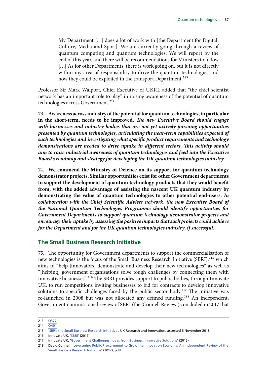My Department […] does a lot of work with [the Department for Digital, Culture, Media and Sport]. We are currently going through a review of quantum computing and quantum technologies. We will report by the end of this year, and there will be recommendations for Ministers to follow [...] As for other Departments, there is work going on, but it is not directly within my area of responsibility to drive the quantum technologies and how they could be exploited in the transport Department.<sup>213</sup>

Professor Sir Mark Walport, Chief Executive of UKRI, added that "the chief scientist network has an important role to play" in raising awareness of the potential of quantum technologies across Government.<sup>214</sup>

73. **Awareness across industry of the potential for quantum technologies, in particular in the short-term, needs to be improved.** *The new Executive Board should engage with businesses and industry bodies that are not yet actively pursuing opportunities presented by quantum technologies, articulating the near-term capabilities expected of such technologies and investigating what specific product requirements and technology demonstrations are needed to drive uptake in different sectors. This activity should aim to raise industrial awareness of quantum technologies and feed into the Executive Board's roadmap and strategy for developing the UK quantum technologies industry.*

74. **We commend the Ministry of Defence on its support for quantum technology demonstrator projects. Similar opportunities exist for other Government departments to support the development of quantum technology products that they would benefit from, with the added advantage of assisting the nascent UK quantum industry by demonstrating the value of quantum technologies to other potential end-users.** *In collaboration with the Chief Scientific Adviser network, the new Executive Board of the National Quantum Technologies Programme should identify opportunities for Government Departments to support quantum technology demonstrator projects and encourage their uptake by assessing the positive impacts that such projects could achieve for the Department and for the UK quantum technologies industry, if successful.*

#### **The Small Business Research Initiative**

75. The opportunity for Government departments to support the commercialisation of new technologies is the focus of the Small Business Research Initiative (SBRI),<sup>215</sup> which aims to "help [innovators] demonstrate and develop their new technologies" as well as "[helping] government organisations solve tough challenges by connecting them with innovative businesses".216 The SBRI provides support to public bodies, through Innovate UK, to run competitions inviting businesses to bid for contracts to develop innovative solutions to specific challenges faced by the public sector body.<sup>217</sup> The initiative was re-launched in 2008 but was not allocated any defined funding.<sup>218</sup> An independent, Government-commissioned review of SBRI (the 'Connell Review') concluded in 2017 that

<sup>213</sup> [Q377](http://data.parliament.uk/writtenevidence/committeeevidence.svc/evidencedocument/science-and-technology-committee/quantum-technologies/oral/89730.html)

<sup>214</sup> [Q401](http://data.parliament.uk/writtenevidence/committeeevidence.svc/evidencedocument/science-and-technology-committee/quantum-technologies/oral/89730.html)

<sup>215</sup> '[SBRI: the Small Business Research Initiative'](https://www.gov.uk/government/collections/sbri-the-small-business-research-initiative), UK Research and Innovation, accessed 6 November 2018

<sup>216</sup> Innovate UK, '[SBRI](https://assets.publishing.service.gov.uk/government/uploads/system/uploads/attachment_data/file/642084/SBRI_helping_government_helping_business_2017_infographic_04092017.pdf)' (2017)

<sup>217</sup> Innovate UK, ['Government Challenges, Ideas from Business, Innovative Solutions](https://assets.publishing.service.gov.uk/government/uploads/system/uploads/attachment_data/file/436237/CO-011_SBRI_JUN15_Brochure_WEB_FINAL.pdf)' (2015)

<sup>218</sup> David Connell, '[Leveraging Public Procurement to Grow the Innovation Economy: An Independent Review of the](https://assets.publishing.service.gov.uk/government/uploads/system/uploads/attachment_data/file/669605/Leveraging_Public_Procurement_David_Connell_report.pdf)  [Small Business Research Initiative](https://assets.publishing.service.gov.uk/government/uploads/system/uploads/attachment_data/file/669605/Leveraging_Public_Procurement_David_Connell_report.pdf)' (2017), p38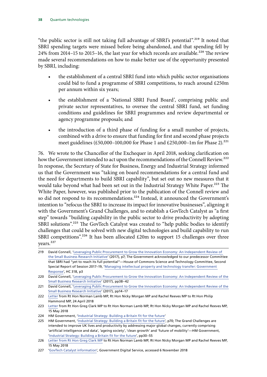"the public sector is still not taking full advantage of SBRI's potential".<sup>219</sup> It noted that SBRI spending targets were missed before being abandoned, and that spending fell by 24% from 2014–15 to 2015–16, the last year for which records are available.<sup>220</sup> The review made several recommendations on how to make better use of the opportunity presented by SBRI, including:

- the establishment of a central SBRI fund into which public sector organisations could bid to fund a programme of SBRI competitions, to reach around £250m per annum within six years;
- the establishment of a 'National SBRI Fund Board', comprising public and private sector representatives, to oversee the central SBRI fund, set funding conditions and guidelines for SBRI programmes and review departmental or agency programme proposals; and
- the introduction of a third phase of funding for a small number of projects, combined with a drive to ensure that funding for first and second phase projects meet guidelines (£50,000–100,000 for Phase 1 and £250,000–1m for Phase 2).<sup>221</sup>

76. We wrote to the Chancellor of the Exchequer in April 2018, seeking clarification on how the Government intended to act upon the recommendations of the Connell Review.<sup>222</sup> In response, the Secretary of State for Business, Energy and Industrial Strategy informed us that the Government was "taking on board recommendations for a central fund and the need for departments to build SBRI capability", but set out no new measures that it would take beyond what had been set out in the Industrial Strategy White Paper.<sup>223</sup> The White Paper, however, was published prior to the publication of the Connell review and so did not respond to its recommendations.<sup>224</sup> Instead, it announced the Government's intention to "refocus the SBRI to increase its impact for innovative businesses", aligning it with the Government's Grand Challenges, and to establish a GovTech Catalyst as "a first step" towards "building capability in the public sector to drive productivity by adopting SBRI solutions".<sup>225</sup> The GovTech Catalyst was created to "help public bodies to identify challenges that could be solved with new digital technologies and build capability to run SBRI competitions".<sup>226</sup> It has been allocated  $£20m$  to support 15 challenges over three years.<sup>227</sup>

- 219 David Connell, '[Leveraging Public Procurement to Grow the Innovation Economy: An Independent Review of](https://assets.publishing.service.gov.uk/government/uploads/system/uploads/attachment_data/file/669605/Leveraging_Public_Procurement_David_Connell_report.pdf)  [the Small Business Research Initiative'](https://assets.publishing.service.gov.uk/government/uploads/system/uploads/attachment_data/file/669605/Leveraging_Public_Procurement_David_Connell_report.pdf) (2017), p7; The Government acknowledged to our predecessor Committee that SBRI had "yet to reach its full potential"—House of Commons Science and Technology Committee, Second Special Report of Session 2017–19, ['Managing intellectual property and technology transfer: Government](https://publications.parliament.uk/pa/cm201719/cmselect/cmsctech/318/318.pdf)  [Response](https://publications.parliament.uk/pa/cm201719/cmselect/cmsctech/318/318.pdf)', HC 318, p3
- 220 David Connell, 'Leveraging Public Procurement to Grow the Innovation Economy: An Independent Review of the [Small Business Research Initiative](https://assets.publishing.service.gov.uk/government/uploads/system/uploads/attachment_data/file/669605/Leveraging_Public_Procurement_David_Connell_report.pdf)' (2017), pp38–42

<sup>221</sup> David Connell, '[Leveraging Public Procurement to Grow the Innovation Economy: An Independent Review of the](https://assets.publishing.service.gov.uk/government/uploads/system/uploads/attachment_data/file/669605/Leveraging_Public_Procurement_David_Connell_report.pdf)  [Small Business Research Initiative](https://assets.publishing.service.gov.uk/government/uploads/system/uploads/attachment_data/file/669605/Leveraging_Public_Procurement_David_Connell_report.pdf)' (2017), pp14–17

<sup>222</sup> [Letter](https://www.parliament.uk/documents/commons-committees/treasury/Correspondence/2017-19/180424-Chairs-to-Chancellor-re-SBRI-Connell-Review.pdf) from Rt Hon Norman Lamb MP, Rt Hon Nicky Morgan MP and Rachel Reeves MP to Rt Hon Philip Hammond MP, 24 April 2018

<sup>223</sup> [Letter](https://www.parliament.uk/documents/commons-committees/science-technology/Correspondence/180515-Secretary-of-State-for-BEIS-to-Chairs-small-business-research-initiative.pdf) from Rt Hon Greg Clark MP to Rt Hon Norman Lamb MP, Rt Hon Nicky Morgan MP and Rachel Reeves MP, 15 May 2018

<sup>224</sup> HM Government, '[Industrial Strategy: Building a Britain fit for the future'](https://assets.publishing.service.gov.uk/government/uploads/system/uploads/attachment_data/file/664563/industrial-strategy-white-paper-web-ready-version.pdf)

<sup>225</sup> HM Government, '[Industrial Strategy: Building a Britain fit for the future'](https://assets.publishing.service.gov.uk/government/uploads/system/uploads/attachment_data/file/664563/industrial-strategy-white-paper-web-ready-version.pdf), p70; The Grand Challenges are intended to improve UK lives and productivity by addressing major global changes, currently comprising 'artificial intelligence and data', 'ageing society', 'clean growth' and 'future of mobility'—HM Government, '[Industrial Strategy: Building a Britain fit for the future'](https://assets.publishing.service.gov.uk/government/uploads/system/uploads/attachment_data/file/664563/industrial-strategy-white-paper-web-ready-version.pdf), pp30–55

<sup>226</sup> [Letter from Rt Hon Greg Clark MP](https://www.parliament.uk/documents/commons-committees/science-technology/Correspondence/180515-Secretary-of-State-for-BEIS-to-Chairs-small-business-research-initiative.pdf) to Rt Hon Norman Lamb MP, Rt Hon Nicky Morgan MP and Rachel Reeves MP, 15 May 2018

<sup>227</sup> '[GovTech Catalyst information](https://www.gov.uk/government/collections/govtech-catalyst-information)', Government Digital Service, accessed 6 November 2018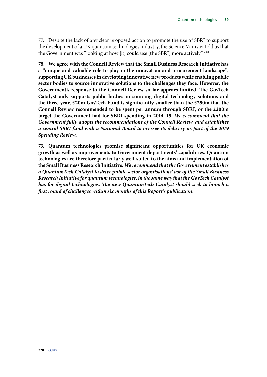77. Despite the lack of any clear proposed action to promote the use of SBRI to support the development of a UK quantum technologies industry, the Science Minister told us that the Government was "looking at how [it] could use [the SBRI] more actively".<sup>228</sup>

78. **We agree with the Connell Review that the Small Business Research Initiative has a "unique and valuable role to play in the innovation and procurement landscape", supporting UK businesses in developing innovative new products while enabling public sector bodies to source innovative solutions to the challenges they face. However, the Government's response to the Connell Review so far appears limited. The GovTech Catalyst only supports public bodies in sourcing digital technology solutions and the three-year, £20m GovTech Fund is significantly smaller than the £250m that the Connell Review recommended to be spent per annum through SBRI, or the £200m target the Government had for SBRI spending in 2014–15.** *We recommend that the Government fully adopts the recommendations of the Connell Review, and establishes a central SBRI fund with a National Board to oversee its delivery as part of the 2019 Spending Review.*

79. **Quantum technologies promise significant opportunities for UK economic growth as well as improvements to Government departments' capabilities. Quantum technologies are therefore particularly well-suited to the aims and implementation of the Small Business Research Initiative.** *We recommend that the Government establishes a QuantumTech Catalyst to drive public sector organisations' use of the Small Business Research Initiative for quantum technologies, in the same way that the GovTech Catalyst has for digital technologies. The new QuantumTech Catalyst should seek to launch a first round of challenges within six months of this Report's publication.*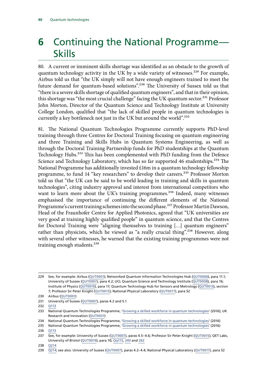# **6** Continuing the National Programme— Skills

80. A current or imminent skills shortage was identified as an obstacle to the growth of quantum technology activity in the UK by a wide variety of witnesses.<sup>229</sup> For example, Airbus told us that "the UK simply will not have enough engineers trained to meet the future demand for quantum-based solutions".230 The University of Sussex told us that "there is a severe skills shortage of qualified quantum engineers", and that in their opinion, this shortage was "the most crucial challenge" facing the UK quantum sector.<sup>231</sup> Professor John Morton, Director of the Quantum Science and Technology Institute at University College London, qualified that "the lack of skilled people in quantum technologies is currently a key bottleneck not just in the UK but around the world".<sup>232</sup>

81. The National Quantum Technologies Programme currently supports PhD-level training through three Centres for Doctoral Training focusing on quantum engineering and three Training and Skills Hubs in Quantum Systems Engineering, as well as through the Doctoral Training Partnership funds for PhD studentships at the Quantum Technology Hubs.<sup>233</sup> This has been complemented with PhD funding from the Defence Science and Technology Laboratory, which has so far supported 46 studentships.<sup>234</sup> The National Programme has additionally invested £16m in a quantum technology fellowship programme, to fund 14 "key researchers" to develop their careers.235 Professor Morton told us that "the UK can be said to be world leading in training and skills in quantum technologies", citing industry approval and interest from international competitors who want to learn more about the UK's training programmes.<sup>236</sup> Indeed, many witnesses emphasised the importance of continuing the different elements of the National Programme's current training schemes into the second phase.<sup>237</sup> Professor Martin Dawson, Head of the Fraunhofer Centre for Applied Photonics, agreed that "UK universities are very good at training highly qualified people" in quantum science, and that the Centres for Doctoral Training were "aligning themselves to training […] quantum engineers" rather than physicists, which he viewed as "a really crucial thing".<sup>238</sup> However, along with several other witnesses, he warned that the existing training programmes were not training enough students.<sup>239</sup>

238 [Q214](http://data.parliament.uk/writtenevidence/committeeevidence.svc/evidencedocument/science-and-technology-committee/quantum-technologies/oral/86312.html)

<sup>229</sup> See, for example: Airbus [\(QUT0001](http://data.parliament.uk/writtenevidence/committeeevidence.svc/evidencedocument/science-and-technology-committee/quantum-technologies/written/80089.html)); Networked Quantum Information Technologies Hub [\(QUT0006\)](http://data.parliament.uk/writtenevidence/committeeevidence.svc/evidencedocument/science-and-technology-committee/quantum-technologies/written/80906.html), para 11.1; University of Sussex ([QUT0007](http://data.parliament.uk/writtenevidence/committeeevidence.svc/evidencedocument/science-and-technology-committee/quantum-technologies/written/80907.html)), para 4.2; UCL Quantum Science and Technology Institute ([QUT0008](http://data.parliament.uk/writtenevidence/committeeevidence.svc/evidencedocument/science-and-technology-committee/quantum-technologies/written/80927.html)), para 16; Institute of Physics ([QUT0010](http://data.parliament.uk/writtenevidence/committeeevidence.svc/evidencedocument/science-and-technology-committee/quantum-technologies/written/80942.html)), para 17; Quantum Technology Hub for Sensors and Metrology ([QUT0013](http://data.parliament.uk/writtenevidence/committeeevidence.svc/evidencedocument/science-and-technology-committee/quantum-technologies/written/80962.html)), section 7; Professor Sir Peter Knight ([QUT0015](http://data.parliament.uk/writtenevidence/committeeevidence.svc/evidencedocument/science-and-technology-committee/quantum-technologies/written/80985.html)); National Physical Laboratory ([QUT0017\)](http://data.parliament.uk/writtenevidence/committeeevidence.svc/evidencedocument/science-and-technology-committee/quantum-technologies/written/81005.html), para 52

<sup>230</sup> Airbus [\(QUT0001](http://data.parliament.uk/writtenevidence/committeeevidence.svc/evidencedocument/science-and-technology-committee/quantum-technologies/written/80089.html))

<sup>231</sup> University of Sussex ([QUT0007](http://data.parliament.uk/writtenevidence/committeeevidence.svc/evidencedocument/science-and-technology-committee/quantum-technologies/written/80907.html)), paras 4.2 and 5.1

<sup>232</sup> [Q113](http://data.parliament.uk/writtenevidence/committeeevidence.svc/evidencedocument/science-and-technology-committee/quantum-technologies/oral/84595.html)

<sup>233</sup> National Quantum Technologies Programme, ['Growing a skilled workforce in quantum technologies'](http://uknqt.epsrc.ac.uk/files/skilledworkforce/) (2016); UK Research and Innovation [\(QUT0031\)](http://data.parliament.uk/writtenevidence/committeeevidence.svc/evidencedocument/science-and-technology-committee/quantum-technologies/written/91952.html)

<sup>234</sup> National Quantum Technologies Programme, ['Growing a skilled workforce in quantum technologies'](http://uknqt.epsrc.ac.uk/files/skilledworkforce/) (2016)

<sup>235</sup> National Quantum Technologies Programme, ['Growing a skilled workforce in quantum technologies'](http://uknqt.epsrc.ac.uk/files/skilledworkforce/) (2016)

<sup>236</sup> [Q113](http://data.parliament.uk/writtenevidence/committeeevidence.svc/evidencedocument/science-and-technology-committee/quantum-technologies/oral/84595.html)

<sup>237</sup> See, for example: University of Sussex ([QUT0007\)](http://data.parliament.uk/writtenevidence/committeeevidence.svc/evidencedocument/science-and-technology-committee/quantum-technologies/written/80907.html), paras 4.5–4.6; Professor Sir Peter Knight [\(QUT0015\)](http://data.parliament.uk/writtenevidence/committeeevidence.svc/evidencedocument/science-and-technology-committee/quantum-technologies/written/80985.html); QET Labs, University of Bristol ([QUT0019](http://data.parliament.uk/writtenevidence/committeeevidence.svc/evidencedocument/science-and-technology-committee/quantum-technologies/written/81019.html)), para 10; [Qq113,](http://data.parliament.uk/writtenevidence/committeeevidence.svc/evidencedocument/science-and-technology-committee/quantum-technologies/oral/84595.html) [240](http://data.parliament.uk/writtenevidence/committeeevidence.svc/evidencedocument/science-and-technology-committee/quantum-technologies/oral/86927.html) and [262](http://data.parliament.uk/writtenevidence/committeeevidence.svc/evidencedocument/science-and-technology-committee/quantum-technologies/oral/86927.html)

<sup>239</sup> [Q214;](http://data.parliament.uk/writtenevidence/committeeevidence.svc/evidencedocument/science-and-technology-committee/quantum-technologies/oral/86312.html) see also: University of Sussex ([QUT0007](http://data.parliament.uk/writtenevidence/committeeevidence.svc/evidencedocument/science-and-technology-committee/quantum-technologies/written/80907.html)), paras 4.2-4.4; National Physical Laboratory [\(QUT0017\)](http://data.parliament.uk/writtenevidence/committeeevidence.svc/evidencedocument/science-and-technology-committee/quantum-technologies/written/81005.html), para 52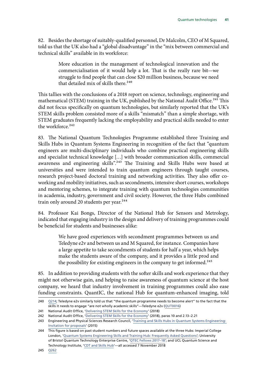82. Besides the shortage of suitably-qualified personnel, Dr Malcolm, CEO of M Squared, told us that the UK also had a "global disadvantage" in the "mix between commercial and technical skills" available in its workforce:

> More education in the management of technological innovation and the commercialisation of it would help a lot. That is the really rare bit—we struggle to find people that can close \$20 million business, because we need that detailed mix of skills there.<sup>240</sup>

This tallies with the conclusions of a 2018 report on science, technology, engineering and mathematical (STEM) training in the UK, published by the National Audit Office.<sup>241</sup> This did not focus specifically on quantum technologies, but similarly reported that the UK's STEM skills problem consisted more of a skills "mismatch" than a simple shortage, with STEM graduates frequently lacking the employability and practical skills needed to enter the workforce.<sup>242</sup>

83. The National Quantum Technologies Programme established three Training and Skills Hubs in Quantum Systems Engineering in recognition of the fact that "quantum engineers are multi-disciplinary individuals who combine practical engineering skills and specialist technical knowledge […] with broader communication skills, commercial awareness and engineering skills".243 The Training and Skills Hubs were based at universities and were intended to train quantum engineers through taught courses, research project-based doctoral training and networking activities. They also offer coworking and mobility initiatives, such as secondments, intensive short courses, workshops and mentoring schemes, to integrate training with quantum technologies communities in academia, industry, government and civil society. However, the three Hubs combined train only around 20 students per year.<sup>244</sup>

84. Professor Kai Bongs, Director of the National Hub for Sensors and Metrology, indicated that engaging industry in the design and delivery of training programmes could be beneficial for students and businesses alike:

> We have good experiences with secondment programmes between us and Teledyne e2v and between us and M Squared, for instance. Companies have a large appetite to take secondments of students for half a year, which helps make the students aware of the company, and it provides a little prod and the possibility for existing engineers in the company to get informed.<sup>245</sup>

85. In addition to providing students with the softer skills and work experience that they might not otherwise gain, and helping to raise awareness of quantum science at the host company, we heard that industry involvement in training programmes could also ease funding constraints. QuantIC, the national Hub for quantum-enhanced imaging, told

<sup>240</sup> [Q214;](http://data.parliament.uk/writtenevidence/committeeevidence.svc/evidencedocument/science-and-technology-committee/quantum-technologies/oral/86312.html) Teledyne e2v similarly told us that "the quantum programme needs to become alert" to the fact that the skills it needs to engage "are not wholly academic skills"—Teledyne e2v ([QUT0016\)](http://data.parliament.uk/writtenevidence/committeeevidence.svc/evidencedocument/science-and-technology-committee/quantum-technologies/written/80995.html)

<sup>241</sup> National Audit Office, '[Delivering STEM Skills for the Economy](https://www.nao.org.uk/wp-content/uploads/2018/01/Delivering-STEM-Science-technology-engineering-and-mathematics-skills-for-the-economy.pdf)' (2018)

<sup>242</sup> National Audit Office, '[Delivering STEM Skills for the Economy](https://www.nao.org.uk/wp-content/uploads/2018/01/Delivering-STEM-Science-technology-engineering-and-mathematics-skills-for-the-economy.pdf)' (2018), paras 10 and 2.13–2.21

<sup>243</sup> Engineering and Physical Sciences Research Council, '[Training and Skills Hubs in Quantum Systems Engineering:](https://epsrc.ukri.org/files/funding/calls/2015/quantumhubs/)  [Invitation for proposals'](https://epsrc.ukri.org/files/funding/calls/2015/quantumhubs/) (2015)

<sup>244</sup> This figure is based on past student numbers and future spaces available at the three Hubs: Imperial College London, '[Quantum Systems Engineering Skills and Training Hub: Frequently Asked Questions'](http://www.imperial.ac.uk/quantum-systems-engineering-hub/prospective-students/frequently-asked-questions/); University of Bristol Quantum Technology Enterprise Centre, ['QTEC Fellows 2017–18](http://www.bristol.ac.uk/qtec/people/qtec-fellows-2017-18/)'; and UCL Quantum Science and Technology Institute, ['CDT and Skills Hub'](https://www.ucl.ac.uk/quantum/study-here/cdt-and-skills-hub)—all accessed 7 November 2018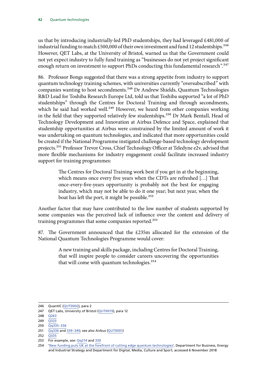us that by introducing industrially-led PhD studentships, they had leveraged £481,000 of industrial funding to match £500,000 of their own investment and fund 12 studentships.<sup>246</sup> However, QET Labs, at the University of Bristol, warned us that the Government could not yet expect industry to fully fund training as "businesses do not yet project significant enough return on investment to support PhDs conducting this fundamental research".<sup>247</sup>

86. Professor Bongs suggested that there was a strong appetite from industry to support quantum technology training schemes, with universities currently "oversubscribed" with companies wanting to host secondments.<sup>248</sup> Dr Andrew Shields, Quantum Technologies R&D Lead for Toshiba Research Europe Ltd, told us that Toshiba supported "a lot of PhD studentships" through the Centres for Doctoral Training and through secondments, which he said had worked well.<sup>249</sup> However, we heard from other companies working in the field that they supported relatively few studentships.<sup>250</sup> Dr Mark Bentall, Head of Technology Development and Innovation at Airbus Defence and Space, explained that studentship opportunities at Airbus were constrained by the limited amount of work it was undertaking on quantum technologies, and indicated that more opportunities could be created if the National Programme instigated challenge-based technology development projects.251 Professor Trevor Cross, Chief Technology Officer at Teledyne e2v, advised that more flexible mechanisms for industry engagement could facilitate increased industry support for training programmes:

> The Centres for Doctoral Training work best if you get in at the beginning, which means once every five years when the CDTs are refreshed […] That once-every-five-years opportunity is probably not the best for engaging industry, which may not be able to do it one year; but next year, when the boat has left the port, it might be possible.<sup>252</sup>

Another factor that may have contributed to the low number of students supported by some companies was the perceived lack of influence over the content and delivery of training programmes that some companies reported.<sup>253</sup>

87. The Government announced that the £235m allocated for the extension of the National Quantum Technologies Programme would cover:

> A new training and skills package, including Centres for Doctoral Training, that will inspire people to consider careers uncovering the opportunities that will come with quantum technologies.<sup>254</sup>

- 252 0335
- 253 For example, see: [Qq214](http://data.parliament.uk/writtenevidence/committeeevidence.svc/evidencedocument/science-and-technology-committee/quantum-technologies/oral/86312.html) and [330](http://data.parliament.uk/writtenevidence/committeeevidence.svc/evidencedocument/science-and-technology-committee/quantum-technologies/oral/86927.html)

<sup>246</sup> QuantIC ([QUT0002\)](http://data.parliament.uk/writtenevidence/committeeevidence.svc/evidencedocument/science-and-technology-committee/quantum-technologies/written/80838.html), para 2

<sup>247</sup> QET Labs, University of Bristol ([QUT0019](http://data.parliament.uk/writtenevidence/committeeevidence.svc/evidencedocument/science-and-technology-committee/quantum-technologies/written/81019.html)), para 12

<sup>248</sup> [Q263](http://data.parliament.uk/writtenevidence/committeeevidence.svc/evidencedocument/science-and-technology-committee/quantum-technologies/oral/86927.html)

 $249 \quad \overline{O333}$ 

<sup>250</sup> [Qq335–336](http://data.parliament.uk/writtenevidence/committeeevidence.svc/evidencedocument/science-and-technology-committee/quantum-technologies/oral/86927.html)

<sup>251</sup> [Qq336](http://data.parliament.uk/writtenevidence/committeeevidence.svc/evidencedocument/science-and-technology-committee/quantum-technologies/oral/86927.html) and [339–340](http://data.parliament.uk/writtenevidence/committeeevidence.svc/evidencedocument/science-and-technology-committee/quantum-technologies/oral/86927.html); see also Airbus ([QUT0001\)](http://data.parliament.uk/writtenevidence/committeeevidence.svc/evidencedocument/science-and-technology-committee/quantum-technologies/written/80089.html)

<sup>254</sup> '[New funding puts UK at the forefront of cutting edge quantum technologies'](https://www.gov.uk/government/news/new-funding-puts-uk-at-the-forefront-of-cutting-edge-quantum-technologies), Department for Business, Energy and Industrial Strategy and Department for Digital, Media, Culture and Sport, accessed 6 November 2018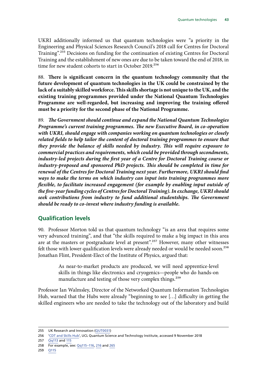UKRI additionally informed us that quantum technologies were "a priority in the Engineering and Physical Sciences Research Council's 2018 call for Centres for Doctoral Training".255 Decisions on funding for the continuation of existing Centres for Doctoral Training and the establishment of new ones are due to be taken toward the end of 2018, in time for new student cohorts to start in October 2019.<sup>256</sup>

88. **There is significant concern in the quantum technology community that the future development of quantum technologies in the UK could be constrained by the lack of a suitably skilled workforce. This skills shortage is not unique to the UK, and the existing training programmes provided under the National Quantum Technologies Programme are well-regarded, but increasing and improving the training offered must be a priority for the second phase of the National Programme.**

89. *The Government should continue and expand the National Quantum Technologies Programme's current training programmes. The new Executive Board, in co-operation with UKRI, should engage with companies working on quantum technologies or closely*  related fields to help tailor the content of doctoral training programmes to ensure that *they provide the balance of skills needed by industry. This will require exposure to commercial practices and requirements, which could be provided through secondments, industry-led projects during the first year of a Centre for Doctoral Training course or industry-proposed and sponsored PhD projects. This should be completed in time for renewal of the Centres for Doctoral Training next year. Furthermore, UKRI should find ways to make the terms on which industry can input into training programmes more flexible, to facilitate increased engagement (for example by enabling input outside of the five-year funding cycles of Centres for Doctoral Training). In exchange, UKRI should seek contributions from industry to fund additional studentships. The Government should be ready to co-invest where industry funding is available.*

#### **Qualification levels**

90. Professor Morton told us that quantum technology "is an area that requires some very advanced training", and that "the skills required to make a big impact in this area are at the masters or postgraduate level at present".<sup>257</sup> However, many other witnesses felt those with lower qualification levels were already needed or would be needed soon.<sup>258</sup> Jonathan Flint, President-Elect of the Institute of Physics, argued that:

> As near-to-market products are produced, we will need apprentice-level skills in things like electronics and cryogenics—people who do hands-on manufacture and testing of those very complex things.<sup>259</sup>

Professor Ian Walmsley, Director of the Networked Quantum Information Technologies Hub, warned that the Hubs were already "beginning to see […] difficulty in getting the skilled engineers who are needed to take the technology out of the laboratory and build

257 [Qq113](http://data.parliament.uk/writtenevidence/committeeevidence.svc/evidencedocument/science-and-technology-committee/quantum-technologies/oral/84595.html) and [115](http://data.parliament.uk/writtenevidence/committeeevidence.svc/evidencedocument/science-and-technology-committee/quantum-technologies/oral/84595.html)

<sup>255</sup> UK Research and Innovation ([QUT0031](http://data.parliament.uk/writtenevidence/committeeevidence.svc/evidencedocument/science-and-technology-committee/quantum-technologies/written/91952.html))

<sup>256</sup> '[CDT and Skills Hub](https://www.ucl.ac.uk/quantum/study-here/cdt-and-skills-hub)', UCL Quantum Science and Technology Institute, accessed 9 November 2018

<sup>258</sup> For example, see: [Qq115–116,](http://data.parliament.uk/writtenevidence/committeeevidence.svc/evidencedocument/science-and-technology-committee/quantum-technologies/oral/84595.html) [216](http://data.parliament.uk/writtenevidence/committeeevidence.svc/evidencedocument/science-and-technology-committee/quantum-technologies/oral/86312.html) and [265](http://data.parliament.uk/writtenevidence/committeeevidence.svc/evidencedocument/science-and-technology-committee/quantum-technologies/oral/86927.html)

<sup>259</sup> [Q115](http://data.parliament.uk/writtenevidence/committeeevidence.svc/evidencedocument/science-and-technology-committee/quantum-technologies/oral/84595.html)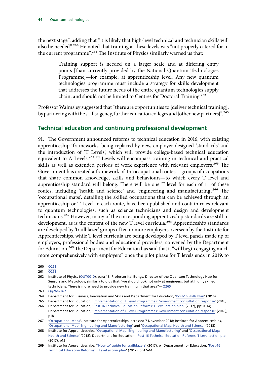the next stage", adding that "it is likely that high-level technical and technician skills will also be needed".<sup>260</sup> He noted that training at these levels was "not properly catered for in the current programme".261 The Institute of Physics similarly warned us that:

> Training support is needed on a larger scale and at differing entry points [than currently provided by the National Quantum Technologies Programme]—for example, at apprenticeship level. Any new quantum technologies programme must include a strategy for skills development that addresses the future needs of the entire quantum technologies supply chain, and should not be limited to Centres for Doctoral Training.<sup>262</sup>

Professor Walmsley suggested that "there are opportunities to [deliver technical training], by partnering with the skills agency, further education colleges and [other new partners]".<sup>263</sup>

### **Technical education and continuing professional development**

91. The Government announced reforms to technical education in 2016, with existing apprenticeship 'frameworks' being replaced by new, employer-designed 'standards' and the introduction of 'T Levels', which will provide college-based technical education equivalent to A Levels.<sup>264</sup> T Levels will encompass training in technical and practical skills as well as extended periods of work experience with relevant employers.<sup>265</sup> The Government has created a framework of 15 'occupational routes'—groups of occupations that share common knowledge, skills and behaviours—to which every T level and apprenticeship standard will belong. There will be one T level for each of 11 of these routes, including 'health and science' and 'engineering and manufacturing'.<sup>266</sup> The 'occupational maps', detailing the skilled occupations that can be achieved through an apprenticeship or T Level in each route, have been published and contain roles relevant to quantum technologies, such as science technicians and design and development technicians.<sup>267</sup> However, many of the corresponding apprenticeship standards are still in development, as is the content of the new T level curricula.<sup>268</sup> Apprenticeship standards are developed by 'trailblazer' groups of ten or more employers overseen by the Institute for Apprenticeships, while T level curricula are being developed by T level panels made up of employers, professional bodies and educational providers, convened by the Department for Education.<sup>269</sup> The Department for Education has said that it "will begin engaging much more comprehensively with employers" once the pilot phase for T levels ends in 2019, to

<sup>260</sup> [Q261](http://data.parliament.uk/writtenevidence/committeeevidence.svc/evidencedocument/science-and-technology-committee/quantum-technologies/oral/86927.html)

<sup>261</sup> [Q261](http://data.parliament.uk/writtenevidence/committeeevidence.svc/evidencedocument/science-and-technology-committee/quantum-technologies/oral/86927.html)

<sup>262</sup> Institute of Physics ([QUT0010](http://data.parliament.uk/writtenevidence/committeeevidence.svc/evidencedocument/science-and-technology-committee/quantum-technologies/written/80942.html)), para 18; Professor Kai Bongs, Director of the Quantum Technology Hub for Sensors and Metrology, similarly told us that "we should look not only at engineers, but at highly skilled technicians. There is more need to provide new training in that area"—[Q265](http://data.parliament.uk/writtenevidence/committeeevidence.svc/evidencedocument/science-and-technology-committee/quantum-technologies/oral/86927.html)

<sup>263</sup> [Qq261–262](http://data.parliament.uk/writtenevidence/committeeevidence.svc/evidencedocument/science-and-technology-committee/quantum-technologies/oral/86927.html)

<sup>264</sup> Department for Business, Innovation and Skills and Department for Education, '[Post-16 Skills Plan](https://assets.publishing.service.gov.uk/government/uploads/system/uploads/attachment_data/file/536043/Post-16_Skills_Plan.pdf)' (2016)

<sup>265</sup> Department for Education, '[Implementation of T Level Programmes: Government consultation response](https://assets.publishing.service.gov.uk/government/uploads/system/uploads/attachment_data/file/711472/Implementation_of_T_Level_programmes-Government_consultation_response.pdf)' (2018)

<sup>266</sup> Department for Education, '[Post-16 Technical Education Reforms: T Level action plan'](https://assets.publishing.service.gov.uk/government/uploads/system/uploads/attachment_data/file/650969/T_level_Action_Plan.pdf) (2017), pp10–14; Department for Education, '[Implementation of T Level Programmes: Government consultation response](https://assets.publishing.service.gov.uk/government/uploads/system/uploads/attachment_data/file/711472/Implementation_of_T_Level_programmes-Government_consultation_response.pdf)' (2018), p18

<sup>267</sup> '[Occupational Maps'](https://www.instituteforapprenticeships.org/about/occupational-maps/), Institute for Apprenticeships, accessed 7 November 2018; Institute for Apprenticeships, '[Occupational Map: Engineering and Manufacturing'](https://www.instituteforapprenticeships.org/media/1866/engineering-pdf.pdf) and '[Occupational Map: Health and Science](https://www.instituteforapprenticeships.org/media/1868/health-pdf.pdf)' (2018)

<sup>268</sup> Institute for Apprenticeships, '[Occupational Map: Engineering and Manufacturing'](https://www.instituteforapprenticeships.org/media/1866/engineering-pdf.pdf) and '[Occupational Map:](https://www.instituteforapprenticeships.org/media/1868/health-pdf.pdf)  [Health and Science'](https://www.instituteforapprenticeships.org/media/1868/health-pdf.pdf) (2018); Department for Education, '[Post-16 Technical Education Reforms: T Level action plan](https://assets.publishing.service.gov.uk/government/uploads/system/uploads/attachment_data/file/650969/T_level_Action_Plan.pdf)' (2017), p13

<sup>269</sup> Institute for Apprenticeships, "How to' guide for trailblazers' (2017), p; Department for Education, 'Post-16 [Technical Education Reforms: T Level action plan](https://assets.publishing.service.gov.uk/government/uploads/system/uploads/attachment_data/file/650969/T_level_Action_Plan.pdf)' (2017), pp12–14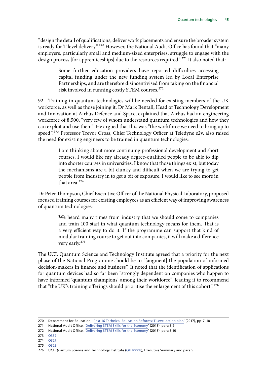"design the detail of qualifications, deliver work placements and ensure the broader system is ready for T level delivery".<sup>270</sup> However, the National Audit Office has found that "many employers, particularly small and medium-sized enterprises, struggle to engage with the design process [for apprenticeships] due to the resources required".<sup>271</sup> It also noted that:

> Some further education providers have reported difficulties accessing capital funding under the new funding system led by Local Enterprise Partnerships, and are therefore disincentivised from taking on the financial risk involved in running costly STEM courses.272

92. Training in quantum technologies will be needed for existing members of the UK workforce, as well as those joining it. Dr Mark Bentall, Head of Technology Development and Innovation at Airbus Defence and Space, explained that Airbus had an engineering workforce of 8,500, "very few of whom understand quantum technologies and how they can exploit and use them". He argued that this was "the workforce we need to bring up to speed".<sup>273</sup> Professor Trevor Cross, Chief Technology Officer at Teledyne e2v, also raised the need for existing engineers to be trained in quantum technologies:

> I am thinking about more continuing professional development and short courses. I would like my already degree-qualified people to be able to dip into shorter courses in universities. I know that those things exist, but today the mechanisms are a bit clunky and difficult when we are trying to get people from industry in to get a bit of exposure. I would like to see more in that area<sup>274</sup>

Dr Peter Thompson, Chief Executive Officer of the National Physical Laboratory, proposed focused training courses for existing employees as an efficient way of improving awareness of quantum technologies:

> We heard many times from industry that we should come to companies and train 100 staff in what quantum technology means for them. That is a very efficient way to do it. If the programme can support that kind of modular training course to get out into companies, it will make a difference very early.275

The UCL Quantum Science and Technology Institute agreed that a priority for the next phase of the National Programme should be to "[augment] the population of informed decision-makers in finance and business". It noted that the identification of applications for quantum devices had so far been "strongly dependent on companies who happen to have informed 'quantum champions' among their workforce", leading it to recommend that "the UK's training offerings should prioritise the enlargement of this cohort".276

- 274 [Q327](http://data.parliament.uk/writtenevidence/committeeevidence.svc/evidencedocument/science-and-technology-committee/quantum-technologies/oral/86927.html)
- 275 [Q328](http://data.parliament.uk/writtenevidence/committeeevidence.svc/evidencedocument/science-and-technology-committee/quantum-technologies/oral/86927.html)

<sup>270</sup> Department for Education, '[Post-16 Technical Education Reforms: T Level action plan'](https://assets.publishing.service.gov.uk/government/uploads/system/uploads/attachment_data/file/650969/T_level_Action_Plan.pdf) (2017), pp17–18

<sup>271</sup> National Audit Office, '[Delivering STEM Skills for the Economy](https://www.nao.org.uk/wp-content/uploads/2018/01/Delivering-STEM-Science-technology-engineering-and-mathematics-skills-for-the-economy.pdf)' (2018), para 3.9

<sup>272</sup> National Audit Office, '[Delivering STEM Skills for the Economy](https://www.nao.org.uk/wp-content/uploads/2018/01/Delivering-STEM-Science-technology-engineering-and-mathematics-skills-for-the-economy.pdf)' (2018), para 3.10

<sup>273</sup> [Q337](http://data.parliament.uk/writtenevidence/committeeevidence.svc/evidencedocument/science-and-technology-committee/quantum-technologies/oral/86927.html)

<sup>276</sup> UCL Quantum Science and Technology Institute ([QUT0008](http://data.parliament.uk/writtenevidence/committeeevidence.svc/evidencedocument/science-and-technology-committee/quantum-technologies/written/80927.html)), Executive Summary and para 5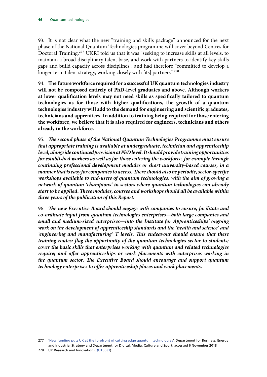93. It is not clear what the new "training and skills package" announced for the next phase of the National Quantum Technologies programme will cover beyond Centres for Doctoral Training.277 UKRI told us that it was "seeking to increase skills at all levels, to maintain a broad disciplinary talent base, and work with partners to identify key skills gaps and build capacity across disciplines", and had therefore "committed to develop a longer-term talent strategy, working closely with [its] partners".<sup>278</sup>

94. **The future workforce required for a successful UK quantum technologies industry will not be composed entirely of PhD-level graduates and above. Although workers at lower qualification levels may not need skills as specifically tailored to quantum technologies as for those with higher qualifications, the growth of a quantum technologies industry will add to the demand for engineering and scientific graduates, technicians and apprentices. In addition to training being required for those entering the workforce, we believe that it is also required for engineers, technicians and others already in the workforce.**

95. *The second phase of the National Quantum Technologies Programme must ensure that appropriate training is available at undergraduate, technician and apprenticeship level, alongside continued provision at PhD level. It should provide training opportunities for established workers as well as for those entering the workforce, for example through continuing professional development modules or short university-based courses, in a manner that is easy for companies to access. There should also be periodic, sector-specific workshops available to end-users of quantum technologies, with the aim of growing a network of quantum 'champions' in sectors where quantum technologies can already start to be applied. These modules, courses and workshops should all be available within three years of the publication of this Report.*

96. *The new Executive Board should engage with companies to ensure, facilitate and co-ordinate input from quantum technologies enterprises—both large companies and small and medium-sized enterprises—into the Institute for Apprenticeships' ongoing work on the development of apprenticeship standards and the 'health and science' and 'engineering and manufacturing' T levels. This endeavour should ensure that these training routes: flag the opportunity of the quantum technologies sector to students; cover the basic skills that enterprises working with quantum and related technologies*  require; and offer apprenticeships or work placements with enterprises working in *the quantum sector. The Executive Board should encourage and support quantum technology enterprises to offer apprenticeship places and work placements.*

<sup>277 &#</sup>x27;[New funding puts UK at the forefront of cutting edge quantum technologies'](https://www.gov.uk/government/news/new-funding-puts-uk-at-the-forefront-of-cutting-edge-quantum-technologies), Department for Business, Energy and Industrial Strategy and Department for Digital, Media, Culture and Sport, accessed 6 November 2018

<sup>278</sup> UK Research and Innovation ([QUT0031](http://data.parliament.uk/writtenevidence/committeeevidence.svc/evidencedocument/science-and-technology-committee/quantum-technologies/written/91952.html))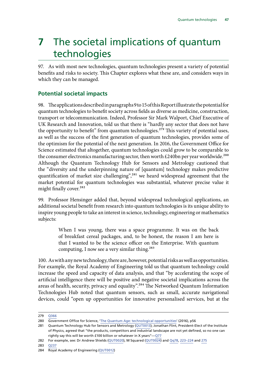# **7** The societal implications of quantum technologies

97. As with most new technologies, quantum technologies present a variety of potential benefits and risks to society. This Chapter explores what these are, and considers ways in which they can be managed.

### **Potential societal impacts**

98. The applications described in paragraphs 9 to 15 of this Report illustrate the potential for quantum technologies to benefit society across fields as diverse as medicine, construction, transport or telecommunication. Indeed, Professor Sir Mark Walport, Chief Executive of UK Research and Innovation, told us that there is "hardly any sector that does not have the opportunity to benefit" from quantum technologies.<sup>279</sup> This variety of potential uses, as well as the success of the first generation of quantum technologies, provides some of the optimism for the potential of the next generation. In 2016, the Government Office for Science estimated that altogether, quantum technologies could grow to be comparable to the consumer electronics manufacturing sector, then worth  $£240$ bn per year worldwide.<sup>280</sup> Although the Quantum Technology Hub for Sensors and Metrology cautioned that the "diversity and the underpinning nature of [quantum] technology makes predictive quantification of market size challenging",<sup>281</sup> we heard widespread agreement that the market potential for quantum technologies was substantial, whatever precise value it might finally cover.<sup>282</sup>

99. Professor Hensinger added that, beyond widespread technological applications, an additional societal benefit from research into quantum technologies is its unique ability to inspire young people to take an interest in science, technology, engineering or mathematics subjects:

> When I was young, there was a space programme. It was on the back of breakfast cereal packages, and, to be honest, the reason I am here is that I wanted to be the science officer on the Enterprise. With quantum computing, I now see a very similar thing.<sup>283</sup>

100. As with any new technology, there are, however, potential risks as well as opportunities. For example, the Royal Academy of Engineering told us that quantum technology could increase the speed and capacity of data analysis, and that "by accelerating the scope of artificial intelligence there will be positive and negative societal implications across the areas of health, security, privacy and equality".284 The Networked Quantum Information Technologies Hub noted that quantum sensors, such as small, accurate navigational devices, could "open up opportunities for innovative personalised services, but at the

283 [Q237](http://data.parliament.uk/writtenevidence/committeeevidence.svc/evidencedocument/science-and-technology-committee/quantum-technologies/oral/86927.html)

<sup>279</sup> [Q366](http://data.parliament.uk/writtenevidence/committeeevidence.svc/evidencedocument/science-and-technology-committee/quantum-technologies/oral/89730.html)

<sup>280</sup> Government Office for Science, '[The Quantum Age: technological opportunities'](https://assets.publishing.service.gov.uk/government/uploads/system/uploads/attachment_data/file/564946/gs-16-18-quantum-technologies-report.pdf) (2016), p56

<sup>281</sup> Quantum Technology Hub for Sensors and Metrology [\(QUT0013\)](http://data.parliament.uk/writtenevidence/committeeevidence.svc/evidencedocument/science-and-technology-committee/quantum-technologies/written/80962.html); Jonathan Flint, President-Elect of the Institute of Physics, agreed that "the products, competitors and industrial landscape are not yet defined, so no one can rightly say this will be worth £100 billion or whatever in X years"—[Q77](http://data.parliament.uk/writtenevidence/committeeevidence.svc/evidencedocument/science-and-technology-committee/quantum-technologies/oral/84595.html)

<sup>282</sup> For example, see: Dr Andrew Shields [\(QUT0020](http://data.parliament.uk/writtenevidence/committeeevidence.svc/evidencedocument/science-and-technology-committee/quantum-technologies/written/81020.html)), M Squared [\(QUT0024](http://data.parliament.uk/writtenevidence/committeeevidence.svc/evidencedocument/science-and-technology-committee/quantum-technologies/written/81354.html)) and [Qq78](http://data.parliament.uk/writtenevidence/committeeevidence.svc/evidencedocument/science-and-technology-committee/quantum-technologies/oral/84595.html), [223–224](http://data.parliament.uk/writtenevidence/committeeevidence.svc/evidencedocument/science-and-technology-committee/quantum-technologies/oral/86927.html) and [275](http://data.parliament.uk/writtenevidence/committeeevidence.svc/evidencedocument/science-and-technology-committee/quantum-technologies/oral/86927.html)

<sup>284</sup> Royal Academy of Engineering ([QUT0012](http://data.parliament.uk/writtenevidence/committeeevidence.svc/evidencedocument/science-and-technology-committee/quantum-technologies/written/80961.html))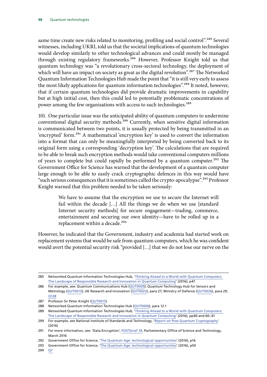same time create new risks related to monitoring, profiling and social control".<sup>285</sup> Several witnesses, including UKRI, told us that the societal implications of quantum technologies would develop similarly to other technological advances and could mostly be managed through existing regulatory frameworks.<sup>286</sup> However, Professor Knight told us that quantum technology was "a revolutionary cross-sectoral technology, the deployment of which will have an impact on society as great as the digital revolution".<sup>287</sup> The Networked Quantum Information Technologies Hub made the point that "it is still very early to assess the most likely applications for quantum information technologies".<sup>288</sup> It noted, however, that if certain quantum technologies did provide dramatic improvements in capability but at high initial cost, then this could led to potentially problematic concentrations of power among the few organisations with access to such technologies.<sup>289</sup>

101. One particular issue was the anticipated ability of quantum computers to undermine conventional digital security methods.<sup>290</sup> Currently, when sensitive digital information is communicated between two points, it is usually protected by being transmitted in an 'encrypted' form.291 A mathematical 'encryption key' is used to convert the information into a format that can only be meaningfully interpreted by being converted back to its original form using a corresponding 'decryption key'. The calculations that are required to be able to break such encryption methods would take conventional computers millions of years to complete but could rapidly be performed by a quantum computer.<sup>292</sup> The Government Office for Science has warned that the development of a quantum computer large enough to be able to easily crack cryptographic defences in this way would have "such serious consequences that it is sometimes called the crypto-apocalypse".<sup>293</sup> Professor Knight warned that this problem needed to be taken seriously:

> We have to assume that the encryption we use to secure the Internet will fail within the decade […] All the things we do when we use [standard Internet security methods] for secure engagement—trading, commerce, entertainment and securing our own identity—have to be rolled up in a replacement within a decade.<sup>294</sup>

However, he indicated that the Government, industry and academia had started work on replacement systems that would be safe from quantum computers, which he was confident would avert the potential security risk "provided […] that we do not lose our nerve on the

<sup>285</sup> Networked Quantum Information Technologies Hub, ['Thinking Ahead to a World with Quantum Computers:](https://nqit.ox.ac.uk/sites/www.nqit.ox.ac.uk/files/2016-11/RRI%20Landscape%20Report%20November%202016.pdf)  [The Landscape of Responsible Research and Innovation in Quantum Computing](https://nqit.ox.ac.uk/sites/www.nqit.ox.ac.uk/files/2016-11/RRI%20Landscape%20Report%20November%202016.pdf)' (2016), p47

<sup>286</sup> For example, see: Quantum Communications Hub ([QUT0009](http://data.parliament.uk/writtenevidence/committeeevidence.svc/evidencedocument/science-and-technology-committee/quantum-technologies/written/80929.html)); Quantum Technology Hub for Sensors and Metrology ([QUT0013](http://data.parliament.uk/writtenevidence/committeeevidence.svc/evidencedocument/science-and-technology-committee/quantum-technologies/written/80962.html)); UK Research and Innovation [\(QUT0023](http://data.parliament.uk/writtenevidence/committeeevidence.svc/evidencedocument/science-and-technology-committee/quantum-technologies/written/81338.html)), para 27; Ministry of Defence ([QUT0026\)](http://data.parliament.uk/writtenevidence/committeeevidence.svc/evidencedocument/science-and-technology-committee/quantum-technologies/written/85434.html), para 29; [Q128](http://data.parliament.uk/writtenevidence/committeeevidence.svc/evidencedocument/science-and-technology-committee/quantum-technologies/oral/84595.html)

<sup>287</sup> Professor Sir Peter Knight ([QUT0015](http://data.parliament.uk/writtenevidence/committeeevidence.svc/evidencedocument/science-and-technology-committee/quantum-technologies/written/80985.html))

<sup>288</sup> Networked Quantum Information Technologies Hub [\(QUT0006\)](http://data.parliament.uk/writtenevidence/committeeevidence.svc/evidencedocument/science-and-technology-committee/quantum-technologies/written/80906.html), para 12.1

<sup>289</sup> Networked Quantum Information Technologies Hub, ['Thinking Ahead to a World with Quantum Computers:](https://nqit.ox.ac.uk/sites/www.nqit.ox.ac.uk/files/2016-11/RRI%20Landscape%20Report%20November%202016.pdf)  [The Landscape of Responsible Research and Innovation in Quantum Computing](https://nqit.ox.ac.uk/sites/www.nqit.ox.ac.uk/files/2016-11/RRI%20Landscape%20Report%20November%202016.pdf)' (2016), pp40 and 60–61

<sup>290</sup> For example, see National Institute of Standards and Technology, '[Report on Post-Quantum Cryptography](https://nvlpubs.nist.gov/nistpubs/ir/2016/NIST.IR.8105.pdf)' (2016)

<sup>291</sup> For more information, see: 'Data Encryption', [POSTbrief 19](https://researchbriefings.parliament.uk/ResearchBriefing/Summary/POST-PB-0019), Parliamentary Office of Science and Technology, March 2016

<sup>292</sup> Government Office for Science, '[The Quantum Age: technological opportunities'](https://assets.publishing.service.gov.uk/government/uploads/system/uploads/attachment_data/file/564946/gs-16-18-quantum-technologies-report.pdf) (2016), p16

<sup>293</sup> Government Office for Science, '[The Quantum Age: technological opportunities'](https://assets.publishing.service.gov.uk/government/uploads/system/uploads/attachment_data/file/564946/gs-16-18-quantum-technologies-report.pdf) (2016), p50

<sup>294</sup> [Q7](http://data.parliament.uk/writtenevidence/committeeevidence.svc/evidencedocument/science-and-technology-committee/quantum-technologies/oral/84595.html)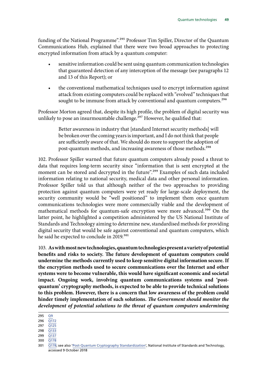funding of the National Programme".<sup>295</sup> Professor Tim Spiller, Director of the Quantum Communications Hub, explained that there were two broad approaches to protecting encrypted information from attack by a quantum computer:

- sensitive information could be sent using quantum communication technologies that guaranteed detection of any interception of the message (see paragraphs 12 and 13 of this Report); or
- the conventional mathematical techniques used to encrypt information against attack from existing computers could be replaced with "evolved" techniques that sought to be immune from attack by conventional and quantum computers.<sup>296</sup>

Professor Morton agreed that, despite its high profile, the problem of digital security was unlikely to pose an insurmountable challenge.<sup>297</sup> However, he qualified that:

> Better awareness in industry that [standard Internet security methods] will be broken over the coming years is important, and I do not think that people are sufficiently aware of that. We should do more to support the adoption of post-quantum methods, and increasing awareness of those methods.298

102. Professor Spiller warned that future quantum computers already posed a threat to data that requires long-term security since "information that is sent encrypted at the moment can be stored and decrypted in the future".<sup>299</sup> Examples of such data included information relating to national security, medical data and other personal information. Professor Spiller told us that although neither of the two approaches to providing protection against quantum computers were yet ready for large-scale deployment, the security community would be "well positioned" to implement them once quantum communications technologies were more commercially viable and the development of mathematical methods for quantum-safe encryption were more advanced.<sup>300</sup> On the latter point, he highlighted a competition administered by the US National Institute of Standards and Technology aiming to determine new, standardised methods for providing digital security that would be safe against conventional and quantum computers, which he said he expected to conclude in 2019.<sup>301</sup>

103. **As with most new technologies, quantum technologies present a variety of potential benefits and risks to society. The future development of quantum computers could undermine the methods currently used to keep sensitive digital information secure. If the encryption methods used to secure communications over the Internet and other systems were to become vulnerable, this would have significant economic and societal impact. Ongoing work, involving quantum communications systems and 'postquantum' cryptography methods, is expected to be able to provide technical solutions to this problem. However, there is a concern that low awareness of the problem could hinder timely implementation of such solutions.** *The Government should monitor the development of potential solutions to the threat of quantum computers undermining* 

299 [Q137](http://data.parliament.uk/writtenevidence/committeeevidence.svc/evidencedocument/science-and-technology-committee/quantum-technologies/oral/86312.html)

<sup>295</sup> [Q9](http://data.parliament.uk/writtenevidence/committeeevidence.svc/evidencedocument/science-and-technology-committee/quantum-technologies/oral/84595.html)

<sup>296</sup>  $\overline{O172}$ 297 [Q125](http://data.parliament.uk/writtenevidence/committeeevidence.svc/evidencedocument/science-and-technology-committee/quantum-technologies/oral/84595.html)

<sup>298</sup> [Q133](http://data.parliament.uk/writtenevidence/committeeevidence.svc/evidencedocument/science-and-technology-committee/quantum-technologies/oral/84595.html)

<sup>300</sup> [Q178](http://data.parliament.uk/writtenevidence/committeeevidence.svc/evidencedocument/science-and-technology-committee/quantum-technologies/oral/86312.html)

<sup>301</sup> [Q178;](http://data.parliament.uk/writtenevidence/committeeevidence.svc/evidencedocument/science-and-technology-committee/quantum-technologies/oral/86312.html) see also '[Post-Quantum Cryptography Standardization](https://csrc.nist.gov/Projects/Post-Quantum-Cryptography/Post-Quantum-Cryptography-Standardization)', National Institute of Standards and Technology, accessed 9 October 2018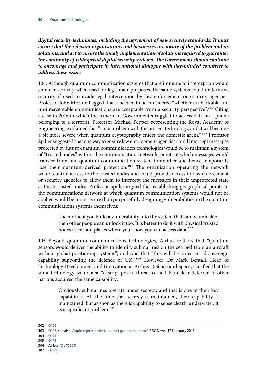*digital security techniques, including the agreement of new security standards. It must ensure that the relevant organisations and businesses are aware of the problem and its solutions, and act to ensure the timely implementation of solutions required to guarantee the continuity of widespread digital security systems. The Government should continue to encourage and participate in international dialogue with like-minded countries to address these issues.*

104. Although quantum communication systems that are immune to interception would enhance security when used for legitimate purposes, the same systems could undermine security if used to evade legal interception by law enforcement or security agencies. Professor John Morton flagged that it needed to be considered "whether un-hackable and un-interceptable communications are acceptable from a security perspective".<sup>302</sup> Citing a case in 2016 in which the American Government struggled to access data on a phone belonging to a terrorist, Professor Michael Pepper, representing the Royal Academy of Engineering, explained that "it is a problem with the present technology, and it will become a bit more severe when quantum cryptography enters the domestic arena".<sup>303</sup> Professor Spiller suggested that one way to ensure law enforcement agencies could intercept messages protected by future quantum communication technologies would be to maintain a system of "trusted nodes" within the communications network, points at which messages would transfer from one quantum communication system to another and hence temporarily lose their quantum-derived protection.<sup>304</sup> The organisation operating the network would control access to the trusted nodes and could provide access to law enforcement or security agencies to allow them to intercept the messages in their unprotected state at these trusted nodes. Professor Spiller argued that establishing geographical points in the communications network at which quantum communication systems would not be applied would be more secure than purposefully designing vulnerabilities in the quantum communications systems themselves:

> The moment you build a vulnerability into the system that can be unlocked then other people can unlock it too. It is better to do it with physical trusted nodes at certain places where you know you can access data.305

105. Beyond quantum communications technologies, Airbus told us that "quantum sensors would deliver the ability to identify submarines on the sea bed from an aircraft without global positioning systems", and said that "this will be an essential sovereign capability supporting the defence of UK".<sup>306</sup> However, Dr Mark Bentall, Head of Technology Development and Innovation at Airbus Defence and Space, clarified that the same technology would also "clearly" pose a threat to the UK nuclear deterrent if other nations acquired the same capability:

> Obviously submarines operate under secrecy, and that is one of their key capabilities. All the time that secrecy is maintained, their capability is maintained, but as soon as there is capability to sense clearly underwater, it is a significant problem.<sup>307</sup>

- 304 [Q175](http://data.parliament.uk/writtenevidence/committeeevidence.svc/evidencedocument/science-and-technology-committee/quantum-technologies/oral/86312.html)
- 305 [Q175](http://data.parliament.uk/writtenevidence/committeeevidence.svc/evidencedocument/science-and-technology-committee/quantum-technologies/oral/86312.html)

307 [Q280](http://data.parliament.uk/writtenevidence/committeeevidence.svc/evidencedocument/science-and-technology-committee/quantum-technologies/oral/86927.html)

<sup>302</sup> [Q125](http://data.parliament.uk/writtenevidence/committeeevidence.svc/evidencedocument/science-and-technology-committee/quantum-technologies/oral/84595.html)

<sup>303</sup> [Q126;](http://data.parliament.uk/writtenevidence/committeeevidence.svc/evidencedocument/science-and-technology-committee/quantum-technologies/oral/84595.html) see also ['Apple rejects order to unlock gunman's phone'](https://www.bbc.co.uk/news/technology-35594245), BBC News, 17 February 2016

<sup>306</sup> Airbus [\(QUT0001](http://data.parliament.uk/writtenevidence/committeeevidence.svc/evidencedocument/science-and-technology-committee/quantum-technologies/written/80089.html))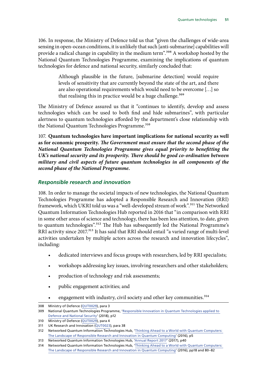106. In response, the Ministry of Defence told us that "given the challenges of wide-area sensing in open-ocean conditions, it is unlikely that such [anti-submarine] capabilities will provide a radical change in capability in the medium term".<sup>308</sup> A workshop hosted by the National Quantum Technologies Programme, examining the implications of quantum technologies for defence and national security, similarly concluded that:

> Although plausible in the future, [submarine detection] would require levels of sensitivity that are currently beyond the state of the art, and there are also operational requirements which would need to be overcome […] so that realising this in practice would be a huge challenge.<sup>309</sup>

The Ministry of Defence assured us that it "continues to identify, develop and assess technologies which can be used to both find and hide submarines", with particular alertness to quantum technologies afforded by the department's close relationship with the National Quantum Technologies Programme.<sup>310</sup>

107. **Quantum technologies have important implications for national security as well as for economic prosperity.** *The Government must ensure that the second phase of the National Quantum Technologies Programme gives equal priority to benefitting the UK's national security and its prosperity. There should be good co-ordination between military and civil aspects of future quantum technologies in all components of the second phase of the National Programme.*

#### *Responsible research and innovation*

108. In order to manage the societal impacts of new technologies, the National Quantum Technologies Programme has adopted a Responsible Research and Innovation (RRI) framework, which UKRI told us was a "well-developed stream of work".311 The Networked Quantum Information Technologies Hub reported in 2016 that "in comparison with RRI in some other areas of science and technology, there has been less attention, to date, given to quantum technologies".<sup>312</sup> The Hub has subsequently led the National Programme's RRI activity since 2017.<sup>313</sup> It has said that RRI should entail "a varied range of multi-level activities undertaken by multiple actors across the research and innovation lifecycles", including:

- dedicated interviews and focus groups with researchers, led by RRI specialists;
- workshops addressing key issues, involving researchers and other stakeholders;
- production of technology and risk assessments;
- public engagement activities; and
- engagement with industry, civil society and other key communities.<sup>314</sup>

<sup>308</sup> Ministry of Defence ([QUT0029\)](http://data.parliament.uk/writtenevidence/committeeevidence.svc/evidencedocument/science-and-technology-committee/quantum-technologies/written/89361.html), para 3

<sup>309</sup> National Quantum Technologies Programme, ['Responsible Innovation in Quantum Technologies applied to](https://nqit.ox.ac.uk/sites/www.nqit.ox.ac.uk/files/2018-11/Responsible%20Innovation%20in%20Quantum%20Technologies%20applied%20to%20Defence%20and%20National%20Security%20PDFNov18.pdf)  [Defence and National Security](https://nqit.ox.ac.uk/sites/www.nqit.ox.ac.uk/files/2018-11/Responsible%20Innovation%20in%20Quantum%20Technologies%20applied%20to%20Defence%20and%20National%20Security%20PDFNov18.pdf)' (2018), p12

<sup>310</sup> Ministry of Defence ([QUT0029\)](http://data.parliament.uk/writtenevidence/committeeevidence.svc/evidencedocument/science-and-technology-committee/quantum-technologies/written/89361.html), para 4

<sup>311</sup> UK Research and Innovation ([QUT0023\)](http://data.parliament.uk/writtenevidence/committeeevidence.svc/evidencedocument/science-and-technology-committee/quantum-technologies/written/81338.html), para 38

<sup>312</sup> Networked Quantum Information Technologies Hub, ['Thinking Ahead to a World with Quantum Computers:](https://nqit.ox.ac.uk/sites/www.nqit.ox.ac.uk/files/2016-11/RRI%20Landscape%20Report%20November%202016.pdf)  [The Landscape of Responsible Research and Innovation in Quantum Computing](https://nqit.ox.ac.uk/sites/www.nqit.ox.ac.uk/files/2016-11/RRI%20Landscape%20Report%20November%202016.pdf)' (2016), p5

<sup>313</sup> Networked Quantum Information Technologies Hub, ['Annual Report 2017'](http://uknqt.epsrc.ac.uk/files/nqitannualreport1516/) (2017), p40

<sup>314</sup> Networked Quantum Information Technologies Hub, ['Thinking Ahead to a World with Quantum Computers:](https://nqit.ox.ac.uk/sites/www.nqit.ox.ac.uk/files/2016-11/RRI%20Landscape%20Report%20November%202016.pdf)  [The Landscape of Responsible Research and Innovation in Quantum Computing](https://nqit.ox.ac.uk/sites/www.nqit.ox.ac.uk/files/2016-11/RRI%20Landscape%20Report%20November%202016.pdf)' (2016), pp18 and 80–82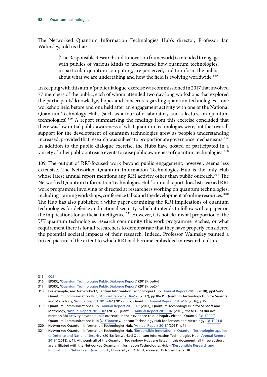The Networked Quantum Information Technologies Hub's director, Professor Ian Walmsley, told us that:

> [The Responsible Research and Innovation framework] is intended to engage with publics of various kinds to understand how quantum technologies, in particular quantum computing, are perceived, and to inform the public about what we are undertaking and how the field is evolving worldwide.<sup>315</sup>

In keeping with this aim, a 'public dialogue' exercise was commissioned in 2017 that involved 77 members of the public, each of whom attended two day-long workshops that explored the participants' knowledge, hopes and concerns regarding quantum technologies—one workshop held before and one held after an engagement activity with one of the National Quantum Technology Hubs (such as a tour of a laboratory and a lecture on quantum technologies).316 A report summarising the findings from this exercise concluded that there was low initial public awareness of what quantum technologies were, but that overall support for the development of quantum technologies grew as people's understanding increased, provided that research was subject to proportionate governance mechanisms.<sup>317</sup> In addition to the public dialogue exercise, the Hubs have hosted or participated in a variety of other public outreach events to raise public awareness of quantum technologies.<sup>318</sup>

109. The output of RRI-focused work beyond public engagement, however, seems less extensive. The Networked Quantum Information Technologies Hub is the only Hub whose latest annual report mentions any RRI activity other than public outreach.<sup>319</sup> The Networked Quantum Information Technologies Hub's annual report does list a varied RRI work programme involving or directed at researchers working on quantum technologies, including training workshops, conference talks and the development of online resources.<sup>320</sup> The Hub has also published a white paper examining the RRI implications of quantum technologies for defence and national security, which it intends to follow with a paper on the implications for artificial intelligence.<sup>321</sup> However, it is not clear what proportion of the UK quantum technologies research community this work programme reaches, or what requirement there is for all researchers to demonstrate that they have properly considered the potential societal impacts of their research. Indeed, Professor Walmsley painted a mixed picture of the extent to which RRI had become embedded in research culture:

<sup>315</sup> [Q234](http://data.parliament.uk/writtenevidence/committeeevidence.svc/evidencedocument/science-and-technology-committee/quantum-technologies/oral/86927.html)

<sup>316</sup> EPSRC, ['Quantum Technologies Public Dialogue Report'](https://epsrc.ukri.org/newsevents/pubs/epsrc-quantum-technologies-public-dialogue-full-report/) (2018), pp6–7

<sup>317</sup> EPSRC, ['Quantum Technologies Public Dialogue Report'](https://epsrc.ukri.org/newsevents/pubs/epsrc-quantum-technologies-public-dialogue-full-report/) (2018), pp2–4

<sup>318</sup> For example, see: Networked Quantum Information Technologies Hub, '[Annual Report 2018](https://nqit.ox.ac.uk/sites/www.nqit.ox.ac.uk/files/2018-06/NQIT%20Annual%20Report%202018%20%28for%20web%29.pdf)' (2018), pp42–45; Quantum Communication Hub, ['Annual Report 2016–17'](http://uknqt.epsrc.ac.uk/files/quantum-communications-hub-annual-report-16-17/) (2017), pp30–31; Quantum Technology Hub for Sensors and Metrology, ['Annual Report 2015–16](https://www.quantumsensors.org/wp-content/uploads/2017/08/qt-hub-annual-report-2015-2016-web.pdf)' (2017), p52; QuantIC, ['Annual Report 2015–16](http://uknqt.epsrc.ac.uk/files/quanticannualreport1516/)' (2016), p35

<sup>319</sup> Quantum Communications Hub, ['Annual Report 2016–17'](http://uknqt.epsrc.ac.uk/files/quantum-communications-hub-annual-report-16-17/) (2017); Quantum Technology Hub for Sensors and Metrology, ['Annual Report 2015–16](https://www.quantumsensors.org/wp-content/uploads/2017/08/qt-hub-annual-report-2015-2016-web.pdf)' (2017); QuantIC, ['Annual Report 2015–16](http://uknqt.epsrc.ac.uk/files/quanticannualreport1516/)' (2016); these Hubs did not mention RRI activity beyond public outreach in their evidence to our inquiry either—QuantIC [\(QUT0002](http://data.parliament.uk/writtenevidence/committeeevidence.svc/evidencedocument/science-and-technology-committee/quantum-technologies/written/80838.html)); Quantum Communications Hub ([QUT0009](http://data.parliament.uk/writtenevidence/committeeevidence.svc/evidencedocument/science-and-technology-committee/quantum-technologies/written/80929.html)); Quantum Technology Hub for Sensors and Metrology ([QUT0013\)](http://data.parliament.uk/writtenevidence/committeeevidence.svc/evidencedocument/science-and-technology-committee/quantum-technologies/written/80962.html)

<sup>320</sup> Networked Quantum Information Technologies Hub, ['Annual Report 2018](https://nqit.ox.ac.uk/sites/www.nqit.ox.ac.uk/files/2018-06/NQIT%20Annual%20Report%202018%20%28for%20web%29.pdf)' (2018), p41

<sup>321</sup> Networked Quantum Information Technologies Hub, ['Responsible Innovation in Quantum Technologies applied](https://nqit.ox.ac.uk/sites/www.nqit.ox.ac.uk/files/2018-11/Responsible%20Innovation%20in%20Quantum%20Technologies%20applied%20to%20Defence%20and%20National%20Security%20PDFNov18.pdf)  [to Defence and National Security](https://nqit.ox.ac.uk/sites/www.nqit.ox.ac.uk/files/2018-11/Responsible%20Innovation%20in%20Quantum%20Technologies%20applied%20to%20Defence%20and%20National%20Security%20PDFNov18.pdf)' (2018); Networked Quantum Information Technologies Hub, ['Annual Report](https://nqit.ox.ac.uk/sites/www.nqit.ox.ac.uk/files/2018-06/NQIT%20Annual%20Report%202018%20%28for%20web%29.pdf)  [2018'](https://nqit.ox.ac.uk/sites/www.nqit.ox.ac.uk/files/2018-06/NQIT%20Annual%20Report%202018%20%28for%20web%29.pdf) (2018), p41; Although all of the Quantum Technology Hubs are listed in this document, all three authors are affiliated with the Networked Quantum Information Technologies Hub—'[Responsible Research and](https://www.cs.ox.ac.uk/projects/NQITRRI/index.html)  [Innovation in Networked Quantum IT](https://www.cs.ox.ac.uk/projects/NQITRRI/index.html)', University of Oxford, accessed 15 November 2018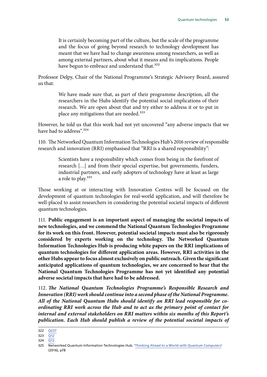It is certainly becoming part of the culture, but the scale of the programme and the focus of going beyond research to technology development has meant that we have had to change awareness among researchers, as well as among external partners, about what it means and its implications. People have begun to embrace and understand that.<sup>322</sup>

Professor Delpy, Chair of the National Programme's Strategic Advisory Board, assured us that:

> We have made sure that, as part of their programme description, all the researchers in the Hubs identify the potential social implications of their research. We are open about that and try either to address it or to put in place any mitigations that are needed.<sup>323</sup>

However, he told us that this work had not yet uncovered "any adverse impacts that we have had to address".324

110. The Networked Quantum Information Technologies Hub's 2016 review of responsible research and innovation (RRI) emphasised that "RRI is a shared responsibility":

> Scientists have a responsibility which comes from being in the forefront of research […] and from their special expertise, but governments, funders, industrial partners, and early adopters of technology have at least as large a role to play.<sup>325</sup>

Those working at or interacting with Innovation Centres will be focused on the development of quantum technologies for real-world application, and will therefore be well-placed to assist researchers in considering the potential societal impacts of different quantum technologies.

111. **Public engagement is an important aspect of managing the societal impacts of new technologies, and we commend the National Quantum Technologies Programme for its work on this front. However, potential societal impacts must also be rigorously considered by experts working on the technology. The Networked Quantum Information Technologies Hub is producing white papers on the RRI implications of quantum technologies for different application areas. However, RRI activities in the other Hubs appear to focus almost exclusively on public outreach. Given the significant anticipated applications of quantum technologies, we are concerned to hear that the National Quantum Technologies Programme has not yet identified any potential adverse societal impacts that have had to be addressed.**

112. *The National Quantum Technologies Programme's Responsible Research and Innovation (RRI) work should continue into a second phase of the National Programme. All of the National Quantum Hubs should identify an RRI lead responsible for coordinating RRI work across the Hub and to act as the primary point of contact for internal and external stakeholders on RRI matters within six months of this Report's publication. Each Hub should publish a review of the potential societal impacts of* 

<sup>322</sup> [Q237](http://data.parliament.uk/writtenevidence/committeeevidence.svc/evidencedocument/science-and-technology-committee/quantum-technologies/oral/86927.html)

<sup>323</sup>  $\overline{O12}$ 

<sup>324</sup> [Q12](http://data.parliament.uk/writtenevidence/committeeevidence.svc/evidencedocument/science-and-technology-committee/quantum-technologies/oral/84595.html)

<sup>325</sup> Networked Quantum Information Technologies Hub, ['Thinking Ahead to a World with Quantum Computers'](https://nqit.ox.ac.uk/sites/www.nqit.ox.ac.uk/files/2016-11/RRI%20Landscape%20Report%20November%202016.pdf) (2016), p78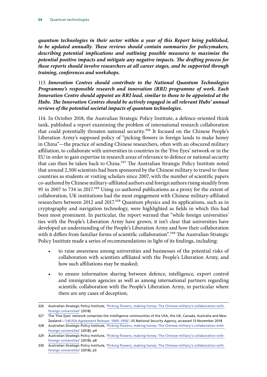*quantum technologies in their sector within a year of this Report being published, to be updated annually. These reviews should contain summaries for policymakers, describing potential implications and outlining possible measures to maximise the potential positive impacts and mitigate any negative impacts. The drafting process for these reports should involve researchers at all career stages, and be supported through training, conferences and workshops.*

113. *Innovation Centres should contribute to the National Quantum Technologies Programme's responsible research and innovation (RRI) programme of work. Each Innovation Centre should appoint an RRI lead, similar to those to be appointed at the Hubs. The Innovation Centres should be actively engaged in all relevant Hubs' annual reviews of the potential societal impacts of quantum technologies.*

114. In October 2018, the Australian Strategic Policy Institute, a defence-oriented think tank, published a report examining the problem of international research collaboration that could potentially threaten national security.<sup>326</sup> It focused on the Chinese People's Liberation Army's supposed policy of "picking flowers in foreign lands to make honey in China"—the practice of sending Chinese researchers, often with an obscured military affiliation, to collaborate with universities in countries in the 'Five Eyes' network or in the EU in order to gain expertise in research areas of relevance to defence or national security that can then be taken back to China.<sup>327</sup> The Australian Strategic Policy Institute noted that around 2,500 scientists had been sponsored by the Chinese military to travel to these countries as students or visiting scholars since 2007, with the number of scientific papers co-authored by Chinese military-affiliated authors and foreign authors rising steadily from 95 in 2007 to 734 in 2017.<sup>328</sup> Using co-authored publications as a proxy for the extent of collaboration, UK institutions had the most engagement with Chinese military-affiliated researchers between 2012 and 2017.<sup>329</sup> Quantum physics and its applications, such as in cryptography and navigation technology, were highlighted as fields in which this had been most prominent. In particular, the report warned that "while foreign universities' ties with the People's Liberation Army have grown, it isn't clear that universities have developed an understanding of the People's Liberation Army and how their collaboration with it differs from familiar forms of scientific collaboration".<sup>330</sup> The Australian Strategic Policy Institute made a series of recommendations in light of its findings, including:

- to raise awareness among universities and businesses of the potential risks of collaboration with scientists affiliated with the People's Liberation Army, and how such affiliations may be masked;
- to ensure information sharing between defence, intelligence, export control and immigration agencies as well as among international partners regarding scientific collaboration with the People's Liberation Army, in particular where there are any cases of deception;

<sup>326</sup> Australian Strategic Policy Institute, ['Picking flowers, making honey: The Chinese military's collaboration with](https://s3-ap-southeast-2.amazonaws.com/ad-aspi/2018-10/Picking%20flowers%2C%20making%20honey_0.pdf?H5sGNaWXqMgTG_2F2yZTQwDw6OyNfH.u)  [foreign universities'](https://s3-ap-southeast-2.amazonaws.com/ad-aspi/2018-10/Picking%20flowers%2C%20making%20honey_0.pdf?H5sGNaWXqMgTG_2F2yZTQwDw6OyNfH.u) (2018)

<sup>327</sup> The 'Five Eyes' network comprises the intelligence communities of the USA, the UK, Canada, Australia and New Zealand—'[UKUSA Agreement Release: 1940–1956'](https://www.nsa.gov/news-features/declassified-documents/ukusa/), US National Security Agency, accessed 13 November 2018

<sup>328</sup> Australian Strategic Policy Institute, 'Picking flowers, making honey: The Chinese military's collaboration with [foreign universities'](https://s3-ap-southeast-2.amazonaws.com/ad-aspi/2018-10/Picking%20flowers%2C%20making%20honey_0.pdf?H5sGNaWXqMgTG_2F2yZTQwDw6OyNfH.u) (2018), p4

<sup>329</sup> Australian Strategic Policy Institute, ['Picking flowers, making honey: The Chinese military's collaboration with](https://s3-ap-southeast-2.amazonaws.com/ad-aspi/2018-10/Picking%20flowers%2C%20making%20honey_0.pdf?H5sGNaWXqMgTG_2F2yZTQwDw6OyNfH.u)  [foreign universities'](https://s3-ap-southeast-2.amazonaws.com/ad-aspi/2018-10/Picking%20flowers%2C%20making%20honey_0.pdf?H5sGNaWXqMgTG_2F2yZTQwDw6OyNfH.u) (2018), p8

<sup>330</sup> Australian Strategic Policy Institute, ['Picking flowers, making honey: The Chinese military's collaboration with](https://s3-ap-southeast-2.amazonaws.com/ad-aspi/2018-10/Picking%20flowers%2C%20making%20honey_0.pdf?H5sGNaWXqMgTG_2F2yZTQwDw6OyNfH.u)  [foreign universities'](https://s3-ap-southeast-2.amazonaws.com/ad-aspi/2018-10/Picking%20flowers%2C%20making%20honey_0.pdf?H5sGNaWXqMgTG_2F2yZTQwDw6OyNfH.u) (2018), p5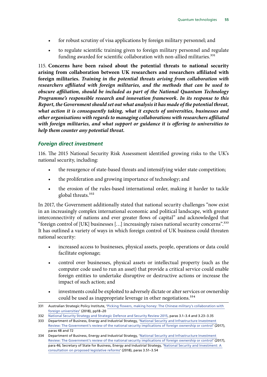- for robust scrutiny of visa applications by foreign military personnel; and
- to regulate scientific training given to foreign military personnel and regulate funding awarded for scientific collaboration with non-allied militaries.<sup>331</sup>

115. **Concerns have been raised about the potential threats to national security arising from collaboration between UK researchers and researchers affiliated with foreign militaries.** *Training in the potential threats arising from collaboration with researchers affiliated with foreign militaries, and the methods that can be used to obscure affiliation, should be included as part of the National Quantum Technology Programme's responsible research and innovation framework. In its response to this Report, the Government should set out what analysis it has made of the potential threat, what action it is consequently taking, what it expects of universities, businesses and other organisations with regards to managing collaborations with researchers affiliated with foreign militaries, and what support or guidance it is offering to universities to help them counter any potential threat.*

#### *Foreign direct investment*

116. The 2015 National Security Risk Assessment identified growing risks to the UK's national security, including:

- the resurgence of state-based threats and intensifying wider state competition;
- the proliferation and growing importance of technology; and
- the erosion of the rules-based international order, making it harder to tackle global threats.<sup>332</sup>

In 2017, the Government additionally stated that national security challenges "now exist in an increasingly complex international economic and political landscape, with greater interconnectivity of nations and ever greater flows of capital" and acknowledged that "foreign control of [UK] businesses […] increasingly raises national security concerns".333 It has outlined a variety of ways in which foreign control of UK business could threaten national security:

- increased access to businesses, physical assets, people, operations or data could facilitate espionage;
- control over businesses, physical assets or intellectual property (such as the computer code used to run an asset) that provide a critical service could enable foreign entities to undertake disruptive or destructive actions or increase the impact of such action; and
- investments could be exploited to adversely dictate or alter services or ownership could be used as inappropriate leverage in other negotiations.<sup>334</sup>

<sup>331</sup> Australian Strategic Policy Institute, ['Picking flowers, making honey: The Chinese military's collaboration with](https://s3-ap-southeast-2.amazonaws.com/ad-aspi/2018-10/Picking%20flowers%2C%20making%20honey_0.pdf?H5sGNaWXqMgTG_2F2yZTQwDw6OyNfH.u)  [foreign universities'](https://s3-ap-southeast-2.amazonaws.com/ad-aspi/2018-10/Picking%20flowers%2C%20making%20honey_0.pdf?H5sGNaWXqMgTG_2F2yZTQwDw6OyNfH.u) (2018), pp18–20

<sup>332</sup> [National Security Strategy and Strategic Defence and Security Review 2015,](https://assets.publishing.service.gov.uk/government/uploads/system/uploads/attachment_data/file/478936/52309_Cm_9161_NSS_SD_Review_PRINT_only.pdf) paras 3.1–3.4 and 3.23–3.35

<sup>333</sup> Department of Business, Energy and Industrial Strategy, 'National Security and Infrastructure Investment [Review: The Government's review of the national security implications of foreign ownership or control'](https://assets.publishing.service.gov.uk/government/uploads/system/uploads/attachment_data/file/652505/2017_10_16_NSII_Green_Paper_final.pdf) (2017), paras 48 and 72

<sup>334</sup> Department of Business, Energy and Industrial Strategy, '[National Security and Infrastructure Investment](https://assets.publishing.service.gov.uk/government/uploads/system/uploads/attachment_data/file/652505/2017_10_16_NSII_Green_Paper_final.pdf)  [Review: The Government's review of the national security implications of foreign ownership or control'](https://assets.publishing.service.gov.uk/government/uploads/system/uploads/attachment_data/file/652505/2017_10_16_NSII_Green_Paper_final.pdf) (2017), para 46; Secretary of State for Business, Energy and Industrial Strategy, ['National Security and Investment: A](https://assets.publishing.service.gov.uk/government/uploads/system/uploads/attachment_data/file/728310/20180723_-_National_security_and_investment_-_final_version_for_printing__1_.pdf)  [consultation on proposed legislative reforms'](https://assets.publishing.service.gov.uk/government/uploads/system/uploads/attachment_data/file/728310/20180723_-_National_security_and_investment_-_final_version_for_printing__1_.pdf) (2018), paras 3.51–3.54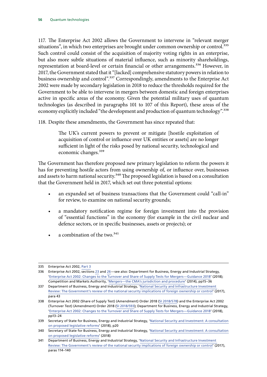117. The Enterprise Act 2002 allows the Government to intervene in "relevant merger situations", in which two enterprises are brought under common ownership or control.<sup>335</sup> Such control could consist of the acquisition of majority voting rights in an enterprise, but also more subtle situations of material influence, such as minority shareholdings, representation at board-level or certain financial or other arrangements.<sup>336</sup> However, in 2017, the Government stated that it "[lacked] comprehensive statutory powers in relation to business ownership and control".<sup>337</sup> Correspondingly, amendments to the Enterprise Act 2002 were made by secondary legislation in 2018 to reduce the thresholds required for the Government to be able to intervene in mergers between domestic and foreign enterprises active in specific areas of the economy. Given the potential military uses of quantum technologies (as described in paragraphs 101 to 107 of this Report), these areas of the economy explicitly included "the development and production of quantum technology".<sup>338</sup>

118. Despite these amendments, the Government has since repeated that:

The UK's current powers to prevent or mitigate [hostile exploitation of acquisition of control or influence over UK entities or assets] are no longer sufficient in light of the risks posed by national security, technological and economic changes.<sup>339</sup>

The Government has therefore proposed new primary legislation to reform the powers it has for preventing hostile actors from using ownership of, or influence over, businesses and assets to harm national security.<sup>340</sup> The proposed legislation is based on a consultation that the Government held in 2017, which set out three potential options:

- an expanded set of business transactions that the Government could "call-in" for review, to examine on national security grounds;
- a mandatory notification regime for foreign investment into the provision of "essential functions" in the economy (for example in the civil nuclear and defence sectors, or in specific businesses, assets or projects); or
- a combination of the two.<sup>341</sup>

<sup>335</sup> Enterprise Act 2002, [Part 3](https://www.legislation.gov.uk/ukpga/2002/40/part/3)

<sup>336</sup> Enterprise Act 2002, sections [23](https://www.legislation.gov.uk/ukpga/2002/40/section/23) and [26](https://www.legislation.gov.uk/ukpga/2002/40/section/26)—see also: Department for Business, Energy and Industrial Strategy, '[Enterprise Act 2002: Changes to the Turnover and Share of Supply Tests for Mergers—Guidance 2018'](https://assets.publishing.service.gov.uk/government/uploads/system/uploads/attachment_data/file/715174/EA02_guidance.pdf) (2018); Competition and Markets Authority, ['Mergers—the CMA's jurisdiction and procedure'](https://assets.publishing.service.gov.uk/government/uploads/system/uploads/attachment_data/file/384055/CMA2__Mergers__Guidance.pdf) (2014), pp15–36

<sup>337</sup> Department of Business, Energy and Industrial Strategy, '[National Security and Infrastructure Investment](https://assets.publishing.service.gov.uk/government/uploads/system/uploads/attachment_data/file/652505/2017_10_16_NSII_Green_Paper_final.pdf)  [Review: The Government's review of the national security implications of foreign ownership or control'](https://assets.publishing.service.gov.uk/government/uploads/system/uploads/attachment_data/file/652505/2017_10_16_NSII_Green_Paper_final.pdf) (2017), para 43

<sup>338</sup> Enterprise Act 2002 (Share of Supply Test) (Amendment) Order 2018 [\(SI 2018/578](https://www.legislation.gov.uk/uksi/2018/578/pdfs/uksi_20180578_en.pdf)) and the Enterprise Act 2002 (Turnover Test) (Amendment) Order 2018 ([SI 2018/593\)](http://www.legislation.gov.uk/uksi/2018/593/pdfs/uksi_20180593_en.pdf); Department for Business, Energy and Industrial Strategy, '[Enterprise Act 2002: Changes to the Turnover and Share of Supply Tests for Mergers—Guidance 2018'](https://assets.publishing.service.gov.uk/government/uploads/system/uploads/attachment_data/file/715174/EA02_guidance.pdf) (2018), pp13–24

<sup>339</sup> Secretary of State for Business, Energy and Industrial Strategy, '[National Security and Investment: A consultation](https://assets.publishing.service.gov.uk/government/uploads/system/uploads/attachment_data/file/728310/20180723_-_National_security_and_investment_-_final_version_for_printing__1_.pdf)  [on proposed legislative reforms](https://assets.publishing.service.gov.uk/government/uploads/system/uploads/attachment_data/file/728310/20180723_-_National_security_and_investment_-_final_version_for_printing__1_.pdf)' (2018), p20

<sup>340</sup> Secretary of State for Business, Energy and Industrial Strategy, '[National Security and Investment: A consultation](https://assets.publishing.service.gov.uk/government/uploads/system/uploads/attachment_data/file/728310/20180723_-_National_security_and_investment_-_final_version_for_printing__1_.pdf)  [on proposed legislative reforms](https://assets.publishing.service.gov.uk/government/uploads/system/uploads/attachment_data/file/728310/20180723_-_National_security_and_investment_-_final_version_for_printing__1_.pdf)' (2018)

<sup>341</sup> Department of Business, Energy and Industrial Strategy, '[National Security and Infrastructure Investment](https://assets.publishing.service.gov.uk/government/uploads/system/uploads/attachment_data/file/652505/2017_10_16_NSII_Green_Paper_final.pdf)  [Review: The Government's review of the national security implications of foreign ownership or control'](https://assets.publishing.service.gov.uk/government/uploads/system/uploads/attachment_data/file/652505/2017_10_16_NSII_Green_Paper_final.pdf) (2017), paras 114–140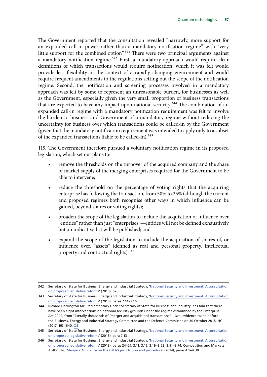The Government reported that the consultation revealed "narrowly, more support for an expanded call-in power rather than a mandatory notification regime" with "very little support for the combined option".<sup>342</sup> There were two principal arguments against a mandatory notification regime.<sup>343</sup> First, a mandatory approach would require clear definitions of which transactions would require notification, which it was felt would provide less flexibility in the context of a rapidly changing environment and would require frequent amendments to the regulations setting out the scope of the notification regime. Second, the notification and screening processes involved in a mandatory approach was felt by some to represent an unreasonable burden, for businesses as well as the Government, especially given the very small proportion of business transactions that are expected to have any impact upon national security.<sup>344</sup> The combination of an expanded call-in regime with a mandatory notification requirement was felt to involve the burden to business and Government of a mandatory regime without reducing the uncertainty for business over which transactions could be called-in by the Government (given that the mandatory notification requirement was intended to apply only to a subset of the expanded transactions liable to be called-in).<sup>345</sup>

119. The Government therefore pursued a voluntary notification regime in its proposed legislation, which set out plans to:

- remove the thresholds on the turnover of the acquired company and the share of market supply of the merging enterprises required for the Government to be able to intervene;
- reduce the threshold on the percentage of voting rights that the acquiring enterprise has following the transaction, from 50% to 25% (although the current and proposed regimes both recognise other ways in which influence can be gained, beyond shares or voting rights);
- broaden the scope of the legislation to include the acquisition of influence over "entities" rather than just "enterprises"—entities will not be defined exhaustively but an indicative list will be published; and
- expand the scope of the legislation to include the acquisition of shares of, or influence over, "assets" (defined as real and personal property, intellectual property and contractual rights).<sup>346</sup>

<sup>342</sup> Secretary of State for Business, Energy and Industrial Strategy, '[National Security and Investment: A consultation](https://assets.publishing.service.gov.uk/government/uploads/system/uploads/attachment_data/file/728310/20180723_-_National_security_and_investment_-_final_version_for_printing__1_.pdf)  [on proposed legislative reforms](https://assets.publishing.service.gov.uk/government/uploads/system/uploads/attachment_data/file/728310/20180723_-_National_security_and_investment_-_final_version_for_printing__1_.pdf)' (2018), p26

<sup>343</sup> Secretary of State for Business, Energy and Industrial Strategy, '[National Security and Investment: A consultation](https://assets.publishing.service.gov.uk/government/uploads/system/uploads/attachment_data/file/728310/20180723_-_National_security_and_investment_-_final_version_for_printing__1_.pdf)  [on proposed legislative reforms](https://assets.publishing.service.gov.uk/government/uploads/system/uploads/attachment_data/file/728310/20180723_-_National_security_and_investment_-_final_version_for_printing__1_.pdf)' (2018), paras 2.14–2.16

<sup>344</sup> Richard Harrington MP, Parliamentary Under-Secretary of State for Business and Industry, has said that there have been eight interventions on national security grounds under the regime established by the Enterprise Act 2002, from "literally thousands of [merger and acquisition] transactions"—Oral evidence taken before the Business, Energy and Industrial Strategy Committee and the Defence Committee on 30 October 2018, HC (2017–19) 1640, [Q5](http://data.parliament.uk/writtenevidence/committeeevidence.svc/evidencedocument/business-energy-and-industrial-strategy-committee/national-security-and-investment/oral/92148.pdf)

<sup>345</sup> Secretary of State for Business, Energy and Industrial Strategy, '[National Security and Investment: A consultation](https://assets.publishing.service.gov.uk/government/uploads/system/uploads/attachment_data/file/728310/20180723_-_National_security_and_investment_-_final_version_for_printing__1_.pdf)  [on proposed legislative reforms](https://assets.publishing.service.gov.uk/government/uploads/system/uploads/attachment_data/file/728310/20180723_-_National_security_and_investment_-_final_version_for_printing__1_.pdf)' (2018), para 2.13

<sup>346</sup> Secretary of State for Business, Energy and Industrial Strategy, '[National Security and Investment: A consultation](https://assets.publishing.service.gov.uk/government/uploads/system/uploads/attachment_data/file/728310/20180723_-_National_security_and_investment_-_final_version_for_printing__1_.pdf)  [on proposed legislative reforms](https://assets.publishing.service.gov.uk/government/uploads/system/uploads/attachment_data/file/728310/20180723_-_National_security_and_investment_-_final_version_for_printing__1_.pdf)' (2018), paras 24–27, 3.11, 3.12, 3.19–3.23, 3.51–3.74; Competition and Markets Authority, '[Mergers: Guidance on the CMA's jurisdiction and procedure](https://assets.publishing.service.gov.uk/government/uploads/system/uploads/attachment_data/file/384055/CMA2__Mergers__Guidance.pdf)' (2014), paras 4.1–4.30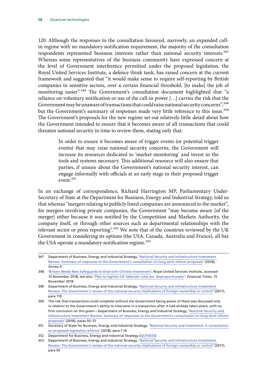120. Although the responses to the consultation favoured, narrowly, an expanded callin regime with no mandatory notification requirement, the majority of the consultation respondents represented business interests rather than national security interests.<sup>347</sup> Whereas some representatives of the business community have expressed concern at the level of Government interference permitted under the proposed legislation, the Royal United Services Institute, a defence think tank, has raised concern at the current framework and suggested that "it would make sense to require self-reporting by British companies in sensitive sectors, over a certain financial threshold, [to make] the job of monitoring easier".<sup>348</sup> The Government's consultation document highlighted that "a reliance on voluntary notification or use of the call-in power […] carries the risk that the Government may be unaware of transactions that could raise national security concerns", 349 but the Government's summary of responses made very little reference to this issue.<sup>350</sup> The Government's proposals for the new regime set out relatively little detail about how the Government intended to ensure that it becomes aware of all transactions that could threaten national security in time to review them, stating only that:

> In order to ensure it becomes aware of trigger events (or potential trigger events) that may raise national security concerns, the Government will increase its resources dedicated to 'market monitoring' and invest in the tools and systems necessary. This additional resource will also ensure that parties, if unsure about the Government's national security interest, can engage informally with officials at an early stage in their proposed trigger  $e$ vent $351$

In an exchange of correspondence, Richard Harrington MP, Parliamentary Under-Secretary of State at the Department for Business, Energy and Industrial Strategy, told us that whereas "mergers relating to publicly listed companies are announced to the market", for mergers involving private companies, the Government "may become aware [of the merger] either because it was notified by the Competition and Markets Authority, the company itself, or through other sources such as departmental relationships with the relevant sector or press reporting".<sup>352</sup> We note that of the countries reviewed by the UK Government in considering its options (the USA, Canada, Australia and France), all bar the USA operate a mandatory notification regime.<sup>353</sup>

352 Department for Business, Energy and Industrial Strategy [\(QUT0033](http://data.parliament.uk/writtenevidence/committeeevidence.svc/evidencedocument/science-and-technology-committee/quantum-technologies/written/92469.html))

<sup>347</sup> Department of Business, Energy and Industrial Strategy, '[National Security and Infrastructure Investment](https://assets.publishing.service.gov.uk/government/uploads/system/uploads/attachment_data/file/728312/July_18_GP_Response_Summary_for_WR_final_version_for_comms__1_.pdf)  [Review: Summary of responses to the Government's consultation on long-term reform proposals'](https://assets.publishing.service.gov.uk/government/uploads/system/uploads/attachment_data/file/728312/July_18_GP_Response_Summary_for_WR_final_version_for_comms__1_.pdf) (2018), Annex A

<sup>348</sup> '[Britain Needs New Safeguards to Deal with Chinese Investment](https://rusi.org/commentary/britain-needs-new-safeguards-deal-chinese-investment)', Royal United Services Institute, accessed 15 November 2018; see also: '[Plan to tighten UK takeover rules are 'disproportionate''](https://www.ft.com/content/e872204e-e6a1-11e8-8a85-04b8afea6ea3?accessToken=zwAAAWcXH0rQkdPociBO5qER6NOKhQS4r-puow.MEYCIQDCzS1OM4ECJ91j_qFbUKqMQOPWibzMWYyCmQcNLI1IHwIhAMp-SeT07CJJqflmPRwOHGzJDwIh96_r8IMvjBeJmJ6N&sharetype=gift?token=00314196-e5a1-48ef-b82e-77da923c4515), Financial Times, 15 November 2018

<sup>349</sup> Department of Business, Energy and Industrial Strategy, '[National Security and Infrastructure Investment](https://assets.publishing.service.gov.uk/government/uploads/system/uploads/attachment_data/file/652505/2017_10_16_NSII_Green_Paper_final.pdf)  [Review: The Government's review of the national security implications of foreign ownership or control'](https://assets.publishing.service.gov.uk/government/uploads/system/uploads/attachment_data/file/652505/2017_10_16_NSII_Green_Paper_final.pdf) (2017), para 110

<sup>350</sup> The risk that transactions could complete without the Government being aware of them was discussed only in relation to the Government's ability to intervene in a transaction after it had already taken place, with no firm conclusion on this given—Department of Business, Energy and Industrial Strategy, '[National Security and](https://assets.publishing.service.gov.uk/government/uploads/system/uploads/attachment_data/file/728312/July_18_GP_Response_Summary_for_WR_final_version_for_comms__1_.pdf)  [Infrastructure Investment Review: Summary of responses to the Government's consultation on long-term reform](https://assets.publishing.service.gov.uk/government/uploads/system/uploads/attachment_data/file/728312/July_18_GP_Response_Summary_for_WR_final_version_for_comms__1_.pdf)  [proposals](https://assets.publishing.service.gov.uk/government/uploads/system/uploads/attachment_data/file/728312/July_18_GP_Response_Summary_for_WR_final_version_for_comms__1_.pdf)' (2018), paras 50–51

<sup>351</sup> Secretary of State for Business, Energy and Industrial Strategy, 'National Security and Investment: A consultation [on proposed legislative reforms](https://assets.publishing.service.gov.uk/government/uploads/system/uploads/attachment_data/file/728310/20180723_-_National_security_and_investment_-_final_version_for_printing__1_.pdf)' (2018), para 7.14

<sup>353</sup> Department of Business, Energy and Industrial Strategy, 'National Security and Infrastructure Investment [Review: The Government's review of the national security implications of foreign ownership or control'](https://assets.publishing.service.gov.uk/government/uploads/system/uploads/attachment_data/file/652505/2017_10_16_NSII_Green_Paper_final.pdf) (2017), para 65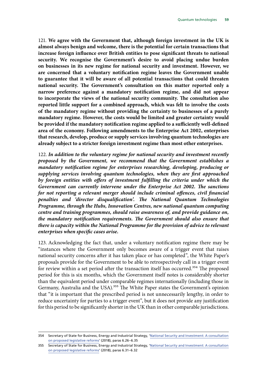121. **We agree with the Government that, although foreign investment in the UK is almost always benign and welcome, there is the potential for certain transactions that increase foreign influence over British entities to pose significant threats to national security. We recognise the Government's desire to avoid placing undue burden on businesses in its new regime for national security and investment. However, we are concerned that a voluntary notification regime leaves the Government unable to guarantee that it will be aware of all potential transactions that could threaten national security. The Government's consultation on this matter reported only a narrow preference against a mandatory notification regime, and did not appear to incorporate the views of the national security community. The consultation also reported little support for a combined approach, which was felt to involve the costs of the mandatory regime without providing the certainty to businesses of a purely mandatory regime. However, the costs would be limited and greater certainty would be provided if the mandatory notification regime applied to a sufficiently well-defined area of the economy. Following amendments to the Enterprise Act 2002, enterprises that research, develop, produce or supply services involving quantum technologies are already subject to a stricter foreign investment regime than most other enterprises.**

122. *In addition to the voluntary regime for national security and investment recently proposed by the Government, we recommend that the Government establishes a mandatory notification regime for enterprises researching, developing, producing or supplying services involving quantum technologies, when they are first approached by foreign entities with offers of investment fulfilling the criteria under which the Government can currently intervene under the Enterprise Act 2002. The sanctions for not reporting a relevant merger should include criminal offences, civil financial penalties and 'director disqualification'. The National Quantum Technologies Programme, through the Hubs, Innovation Centres, new national quantum computing centre and training programmes, should raise awareness of, and provide guidance on, the mandatory notification requirements. The Government should also ensure that there is capacity within the National Programme for the provision of advice to relevant enterprises when specific cases arise.*

123. Acknowledging the fact that, under a voluntary notification regime there may be "instances where the Government only becomes aware of a trigger event that raises national security concerns after it has taken place or has completed", the White Paper's proposals provide for the Government to be able to retrospectively call in a trigger event for review within a set period after the transaction itself has occurred.<sup>354</sup> The proposed period for this is six months, which the Government itself notes is considerably shorter than the equivalent period under comparable regimes internationally (including those in Germany, Australia and the USA).<sup>355</sup> The White Paper states the Government's opinion that "it is important that the prescribed period is not unnecessarily lengthy, in order to reduce uncertainty for parties to a trigger event", but it does not provide any justification for this period to be significantly shorter in the UK than in other comparable jurisdictions.

<sup>354</sup> Secretary of State for Business, Energy and Industrial Strategy, '[National Security and Investment: A consultation](https://assets.publishing.service.gov.uk/government/uploads/system/uploads/attachment_data/file/728310/20180723_-_National_security_and_investment_-_final_version_for_printing__1_.pdf)  [on proposed legislative reforms](https://assets.publishing.service.gov.uk/government/uploads/system/uploads/attachment_data/file/728310/20180723_-_National_security_and_investment_-_final_version_for_printing__1_.pdf)' (2018), paras 6.26–6.35

<sup>355</sup> Secretary of State for Business, Energy and Industrial Strategy, '[National Security and Investment: A consultation](https://assets.publishing.service.gov.uk/government/uploads/system/uploads/attachment_data/file/728310/20180723_-_National_security_and_investment_-_final_version_for_printing__1_.pdf)  [on proposed legislative reforms](https://assets.publishing.service.gov.uk/government/uploads/system/uploads/attachment_data/file/728310/20180723_-_National_security_and_investment_-_final_version_for_printing__1_.pdf)' (2018), paras 6.31–6.32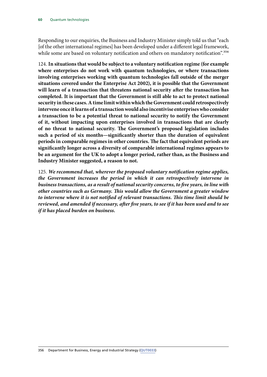Responding to our enquiries, the Business and Industry Minister simply told us that "each [of the other international regimes] has been developed under a different legal framework, while some are based on voluntary notification and others on mandatory notification".<sup>356</sup>

124. **In situations that would be subject to a voluntary notification regime (for example where enterprises do not work with quantum technologies, or where transactions involving enterprises working with quantum technologies fall outside of the merger situations covered under the Enterprise Act 2002), it is possible that the Government will learn of a transaction that threatens national security after the transaction has completed. It is important that the Government is still able to act to protect national security in these cases. A time limit within which the Government could retrospectively intervene once it learns of a transaction would also incentivise enterprises who consider a transaction to be a potential threat to national security to notify the Government of it, without impacting upon enterprises involved in transactions that are clearly of no threat to national security. The Government's proposed legislation includes such a period of six months—significantly shorter than the duration of equivalent periods in comparable regimes in other countries. The fact that equivalent periods are significantly longer across a diversity of comparable international regimes appears to be an argument for the UK to adopt a longer period, rather than, as the Business and Industry Minister suggested, a reason to not.**

125. *We recommend that, wherever the proposed voluntary notification regime applies, the Government increases the period in which it can retrospectively intervene in business transactions, as a result of national security concerns, to five years, in line with other countries such as Germany. This would allow the Government a greater window to intervene where it is not notified of relevant transactions. This time limit should be reviewed, and amended if necessary, after five years, to see if it has been used and to see if it has placed burden on business.*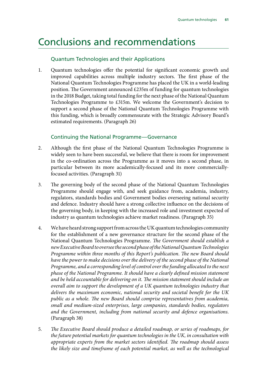## Conclusions and recommendations

#### Quantum Technologies and their Applications

1. Quantum technologies offer the potential for significant economic growth and improved capabilities across multiple industry sectors. The first phase of the National Quantum Technologies Programme has placed the UK in a world-leading position. The Government announced £235m of funding for quantum technologies in the 2018 Budget, taking total funding for the next phase of the National Quantum Technologies Programme to £315m. We welcome the Government's decision to support a second phase of the National Quantum Technologies Programme with this funding, which is broadly commensurate with the Strategic Advisory Board's estimated requirements. (Paragraph 26)

#### Continuing the National Programme—Governance

- 2. Although the first phase of the National Quantum Technologies Programme is widely seen to have been successful, we believe that there is room for improvement in the co-ordination across the Programme as it moves into a second phase, in particular between its more academically-focused and its more commerciallyfocused activities. (Paragraph 31)
- 3. The governing body of the second phase of the National Quantum Technologies Programme should engage with, and seek guidance from, academia, industry, regulators, standards bodies and Government bodies overseeing national security and defence. Industry should have a strong collective influence on the decisions of the governing body, in keeping with the increased role and investment expected of industry as quantum technologies achieve market readiness. (Paragraph 35)
- 4. We have heard strong support from across the UK quantum technologies community for the establishment of a new governance structure for the second phase of the National Quantum Technologies Programme. *The Government should establish a new Executive Board to oversee the second phase of the National Quantum Technologies Programme within three months of this Report's publication. The new Board should have the power to make decisions over the delivery of the second phase of the National Programme, and a corresponding level of control over the funding allocated to the next phase of the National Programme. It should have a clearly defined mission statement and be held accountable for delivering on it. The mission statement should include an overall aim to support the development of a UK quantum technologies industry that delivers the maximum economic, national security and societal benefit for the UK public as a whole. The new Board should comprise representatives from academia, small and medium-sized enterprises, large companies, standards bodies, regulators and the Government, including from national security and defence organisations*. (Paragraph 38)
- 5. *The Executive Board should produce a detailed roadmap, or series of roadmaps, for the future potential markets for quantum technologies in the UK, in consultation with appropriate experts from the market sectors identified. The roadmap should assess the likely size and timeframe of each potential market, as well as the technological*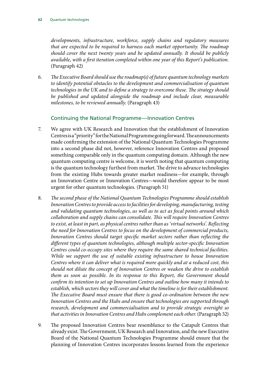*developments, infrastructure, workforce, supply chains and regulatory measures that are expected to be required to harness each market opportunity. The roadmap should cover the next twenty years and be updated annually. It should be publicly available, with a first iteration completed within one year of this Report's publication*. (Paragraph 42)

6. *The Executive Board should use the roadmap(s) of future quantum technology markets to identify potential obstacles to the development and commercialisation of quantum technologies in the UK and to define a strategy to overcome these. The strategy should be published and updated alongside the roadmap and include clear, measurable milestones, to be reviewed annually*. (Paragraph 43)

#### Continuing the National Programme—Innovation Centres

- 7. We agree with UK Research and Innovation that the establishment of Innovation Centres is a "priority" for the National Programme going forward. The announcements made confirming the extension of the National Quantum Technologies Programme into a second phase did not, however, reference Innovation Centres and proposed something comparable only in the quantum computing domain. Although the new quantum computing centre is welcome, it is worth noting that quantum computing is the quantum technology furthest from market. The drive to advance technologies from the existing Hubs towards greater market readiness—for example, through an Innovation Centre or Innovation Centres—would therefore appear to be most urgent for other quantum technologies. (Paragraph 51)
- 8. *The second phase of the National Quantum Technologies Programme should establish Innovation Centres to provide access to facilities for developing, manufacturing, testing and validating quantum technologies, as well as to act as focal points around which collaboration and supply chains can consolidate. This will require Innovation Centres to exist, at least in part, as physical centres rather than as 'virtual networks'. Reflecting the need for Innovation Centres to focus on the development of commercial products, Innovation Centres should target specific market sectors rather than reflecting the different types of quantum technologies, although multiple sector-specific Innovation Centres could co-occupy sites where they require the same shared technical facilities. While we support the use of suitable existing infrastructure to house Innovation Centres where it can deliver what is required more quickly and at a reduced cost, this should not dilute the concept of Innovation Centres or weaken the drive to establish them as soon as possible. In its response to this Report, the Government should confirm its intention to set up Innovation Centres and outline how many it intends to establish, which sectors they will cover and what the timeline is for their establishment. The Executive Board must ensure that there is good co-ordination between the new Innovation Centres and the Hubs and ensure that technologies are supported through research, development and commercialisation and to provide strategic oversight so that activities in Innovation Centres and Hubs complement each other.* (Paragraph 52)
- 9. The proposed Innovation Centres bear resemblance to the Catapult Centres that already exist. The Government, UK Research and Innovation, and the new Executive Board of the National Quantum Technologies Programme should ensure that the planning of Innovation Centres incorporates lessons learned from the experience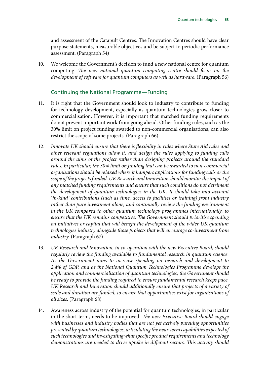and assessment of the Catapult Centres. The Innovation Centres should have clear purpose statements, measurable objectives and be subject to periodic performance assessment. (Paragraph 54)

10. We welcome the Government's decision to fund a new national centre for quantum computing. *The new national quantum computing centre should focus on the development of software for quantum computers as well as hardware*. (Paragraph 56)

#### Continuing the National Programme—Funding

- 11. It is right that the Government should look to industry to contribute to funding for technology development, especially as quantum technologies grow closer to commercialisation. However, it is important that matched funding requirements do not prevent important work from going ahead. Other funding rules, such as the 30% limit on project funding awarded to non-commercial organisations, can also restrict the scope of some projects. (Paragraph 66)
- 12. *Innovate UK should ensure that there is flexibility in rules where State Aid rules and other relevant regulations allow it, and design the rules applying to funding calls around the aims of the project rather than designing projects around the standard rules. In particular, the 30% limit on funding that can be awarded to non-commercial organisations should be relaxed where it hampers applications for funding calls or the scope of the projects funded. UK Research and Innovation should monitor the impact of any matched funding requirements and ensure that such conditions do not detriment the development of quantum technologies in the UK. It should take into account 'in-kind' contributions (such as time, access to facilities or training) from industry rather than pure investment alone, and continually review the funding environment in the UK compared to other quantum technology programmes internationally, to ensure that the UK remains competitive. The Government should prioritise spending on initiatives or capital that will benefit the development of the wider UK quantum technologies industry alongside those projects that will encourage co-investment from industry*. (Paragraph 67)
- 13. *UK Research and Innovation, in co-operation with the new Executive Board, should regularly review the funding available to fundamental research in quantum science. As the Government aims to increase spending on research and development to 2.4% of GDP, and as the National Quantum Technologies Programme develops the application and commercialisation of quantum technologies, the Government should be ready to provide the funding required to ensure fundamental research keeps pace. UK Research and Innovation should additionally ensure that projects of a variety of scale and duration are funded, to ensure that opportunities exist for organisations of all sizes*. (Paragraph 68)
- 14. Awareness across industry of the potential for quantum technologies, in particular in the short-term, needs to be improved. *The new Executive Board should engage with businesses and industry bodies that are not yet actively pursuing opportunities presented by quantum technologies, articulating the near-term capabilities expected of such technologies and investigating what specific product requirements and technology demonstrations are needed to drive uptake in different sectors. This activity should*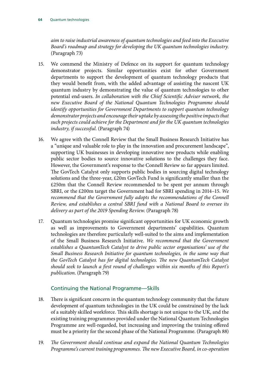*aim to raise industrial awareness of quantum technologies and feed into the Executive Board's roadmap and strategy for developing the UK quantum technologies industry*. (Paragraph 73)

- 15. We commend the Ministry of Defence on its support for quantum technology demonstrator projects. Similar opportunities exist for other Government departments to support the development of quantum technology products that they would benefit from, with the added advantage of assisting the nascent UK quantum industry by demonstrating the value of quantum technologies to other potential end-users. *In collaboration with the Chief Scientific Adviser network, the new Executive Board of the National Quantum Technologies Programme should identify opportunities for Government Departments to support quantum technology demonstrator projects and encourage their uptake by assessing the positive impacts that such projects could achieve for the Department and for the UK quantum technologies industry, if successful*. (Paragraph 74)
- 16. We agree with the Connell Review that the Small Business Research Initiative has a "unique and valuable role to play in the innovation and procurement landscape", supporting UK businesses in developing innovative new products while enabling public sector bodies to source innovative solutions to the challenges they face. However, the Government's response to the Connell Review so far appears limited. The GovTech Catalyst only supports public bodies in sourcing digital technology solutions and the three-year, £20m GovTech Fund is significantly smaller than the £250m that the Connell Review recommended to be spent per annum through SBRI, or the £200m target the Government had for SBRI spending in 2014–15. *We*  recommend that the Government fully adopts the recommendations of the Connell *Review, and establishes a central SBRI fund with a National Board to oversee its delivery as part of the 2019 Spending Review*. (Paragraph 78)
- 17. Quantum technologies promise significant opportunities for UK economic growth as well as improvements to Government departments' capabilities. Quantum technologies are therefore particularly well-suited to the aims and implementation of the Small Business Research Initiative. *We recommend that the Government establishes a QuantumTech Catalyst to drive public sector organisations' use of the Small Business Research Initiative for quantum technologies, in the same way that the GovTech Catalyst has for digital technologies. The new QuantumTech Catalyst should seek to launch a first round of challenges within six months of this Report's publication*. (Paragraph 79)

#### Continuing the National Programme—Skills

- 18. There is significant concern in the quantum technology community that the future development of quantum technologies in the UK could be constrained by the lack of a suitably skilled workforce. This skills shortage is not unique to the UK, and the existing training programmes provided under the National Quantum Technologies Programme are well-regarded, but increasing and improving the training offered must be a priority for the second phase of the National Programme. (Paragraph 88)
- 19. *The Government should continue and expand the National Quantum Technologies Programme's current training programmes. The new Executive Board, in co-operation*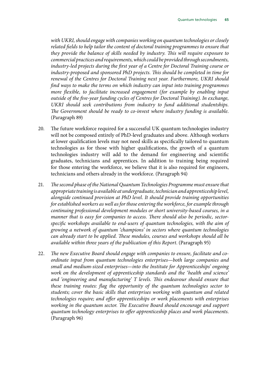*with UKRI, should engage with companies working on quantum technologies or closely related fields to help tailor the content of doctoral training programmes to ensure that they provide the balance of skills needed by industry. This will require exposure to commercial practices and requirements, which could be provided through secondments, industry-led projects during the first year of a Centre for Doctoral Training course or industry-proposed and sponsored PhD projects. This should be completed in time for renewal of the Centres for Doctoral Training next year. Furthermore, UKRI should find ways to make the terms on which industry can input into training programmes more flexible, to facilitate increased engagement (for example by enabling input outside of the five-year funding cycles of Centres for Doctoral Training). In exchange, UKRI should seek contributions from industry to fund additional studentships. The Government should be ready to co-invest where industry funding is available*. (Paragraph 89)

- 20. The future workforce required for a successful UK quantum technologies industry will not be composed entirely of PhD-level graduates and above. Although workers at lower qualification levels may not need skills as specifically tailored to quantum technologies as for those with higher qualifications, the growth of a quantum technologies industry will add to the demand for engineering and scientific graduates, technicians and apprentices. In addition to training being required for those entering the workforce, we believe that it is also required for engineers, technicians and others already in the workforce. (Paragraph 94)
- 21. *The second phase of the National Quantum Technologies Programme must ensure that appropriate training is available at undergraduate, technician and apprenticeship level, alongside continued provision at PhD level. It should provide training opportunities for established workers as well as for those entering the workforce, for example through continuing professional development modules or short university-based courses, in a manner that is easy for companies to access. There should also be periodic, sectorspecific workshops available to end-users of quantum technologies, with the aim of growing a network of quantum 'champions' in sectors where quantum technologies can already start to be applied. These modules, courses and workshops should all be available within three years of the publication of this Report*. (Paragraph 95)
- 22. *The new Executive Board should engage with companies to ensure, facilitate and coordinate input from quantum technologies enterprises—both large companies and small and medium-sized enterprises—into the Institute for Apprenticeships' ongoing work on the development of apprenticeship standards and the 'health and science' and 'engineering and manufacturing' T levels. This endeavour should ensure that these training routes: flag the opportunity of the quantum technologies sector to students; cover the basic skills that enterprises working with quantum and related technologies require; and offer apprenticeships or work placements with enterprises working in the quantum sector. The Executive Board should encourage and support quantum technology enterprises to offer apprenticeship places and work placements*. (Paragraph 96)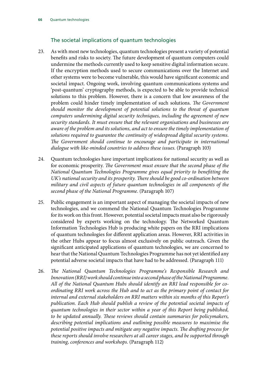#### The societal implications of quantum technologies

- 23. As with most new technologies, quantum technologies present a variety of potential benefits and risks to society. The future development of quantum computers could undermine the methods currently used to keep sensitive digital information secure. If the encryption methods used to secure communications over the Internet and other systems were to become vulnerable, this would have significant economic and societal impact. Ongoing work, involving quantum communications systems and 'post-quantum' cryptography methods, is expected to be able to provide technical solutions to this problem. However, there is a concern that low awareness of the problem could hinder timely implementation of such solutions. *The Government should monitor the development of potential solutions to the threat of quantum computers undermining digital security techniques, including the agreement of new security standards. It must ensure that the relevant organisations and businesses are aware of the problem and its solutions, and act to ensure the timely implementation of solutions required to guarantee the continuity of widespread digital security systems. The Government should continue to encourage and participate in international dialogue with like-minded countries to address these issues*. (Paragraph 103)
- 24. Quantum technologies have important implications for national security as well as for economic prosperity. *The Government must ensure that the second phase of the National Quantum Technologies Programme gives equal priority to benefitting the UK's national security and its prosperity. There should be good co-ordination between military and civil aspects of future quantum technologies in all components of the second phase of the National Programme*. (Paragraph 107)
- 25. Public engagement is an important aspect of managing the societal impacts of new technologies, and we commend the National Quantum Technologies Programme for its work on this front. However, potential societal impacts must also be rigorously considered by experts working on the technology. The Networked Quantum Information Technologies Hub is producing white papers on the RRI implications of quantum technologies for different application areas. However, RRI activities in the other Hubs appear to focus almost exclusively on public outreach. Given the significant anticipated applications of quantum technologies, we are concerned to hear that the National Quantum Technologies Programme has not yet identified any potential adverse societal impacts that have had to be addressed. (Paragraph 111)
- 26. *The National Quantum Technologies Programme's Responsible Research and Innovation (RRI) work should continue into a second phase of the National Programme. All of the National Quantum Hubs should identify an RRI lead responsible for coordinating RRI work across the Hub and to act as the primary point of contact for internal and external stakeholders on RRI matters within six months of this Report's publication. Each Hub should publish a review of the potential societal impacts of quantum technologies in their sector within a year of this Report being published, to be updated annually. These reviews should contain summaries for policymakers, describing potential implications and outlining possible measures to maximise the potential positive impacts and mitigate any negative impacts. The drafting process for these reports should involve researchers at all career stages, and be supported through training, conferences and workshops*. (Paragraph 112)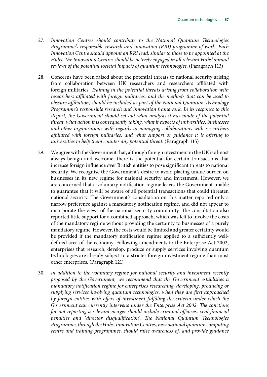- 27. *Innovation Centres should contribute to the National Quantum Technologies Programme's responsible research and innovation (RRI) programme of work. Each Innovation Centre should appoint an RRI lead, similar to those to be appointed at the Hubs. The Innovation Centres should be actively engaged in all relevant Hubs' annual reviews of the potential societal impacts of quantum technologies*. (Paragraph 113)
- 28. Concerns have been raised about the potential threats to national security arising from collaboration between UK researchers and researchers affiliated with foreign militaries. *Training in the potential threats arising from collaboration with researchers affiliated with foreign militaries, and the methods that can be used to obscure affiliation, should be included as part of the National Quantum Technology Programme's responsible research and innovation framework. In its response to this Report, the Government should set out what analysis it has made of the potential threat, what action it is consequently taking, what it expects of universities, businesses and other organisations with regards to managing collaborations with researchers affiliated with foreign militaries, and what support or guidance it is offering to universities to help them counter any potential threat*. (Paragraph 115)
- 29. We agree with the Government that, although foreign investment in the UK is almost always benign and welcome, there is the potential for certain transactions that increase foreign influence over British entities to pose significant threats to national security. We recognise the Government's desire to avoid placing undue burden on businesses in its new regime for national security and investment. However, we are concerned that a voluntary notification regime leaves the Government unable to guarantee that it will be aware of all potential transactions that could threaten national security. The Government's consultation on this matter reported only a narrow preference against a mandatory notification regime, and did not appear to incorporate the views of the national security community. The consultation also reported little support for a combined approach, which was felt to involve the costs of the mandatory regime without providing the certainty to businesses of a purely mandatory regime. However, the costs would be limited and greater certainty would be provided if the mandatory notification regime applied to a sufficiently welldefined area of the economy. Following amendments to the Enterprise Act 2002, enterprises that research, develop, produce or supply services involving quantum technologies are already subject to a stricter foreign investment regime than most other enterprises. (Paragraph 121)
- 30. *In addition to the voluntary regime for national security and investment recently proposed by the Government, we recommend that the Government establishes a mandatory notification regime for enterprises researching, developing, producing or supplying services involving quantum technologies, when they are first approached by foreign entities with offers of investment fulfilling the criteria under which the Government can currently intervene under the Enterprise Act 2002. The sanctions for not reporting a relevant merger should include criminal offences, civil financial penalties and 'director disqualification'. The National Quantum Technologies Programme, through the Hubs, Innovation Centres, new national quantum computing centre and training programmes, should raise awareness of, and provide guidance*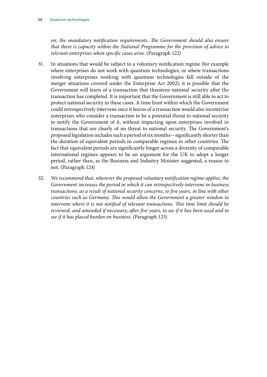*on, the mandatory notification requirements. The Government should also ensure that there is capacity within the National Programme for the provision of advice to relevant enterprises when specific cases arise*. (Paragraph 122)

- 31. In situations that would be subject to a voluntary notification regime (for example where enterprises do not work with quantum technologies, or where transactions involving enterprises working with quantum technologies fall outside of the merger situations covered under the Enterprise Act 2002), it is possible that the Government will learn of a transaction that threatens national security after the transaction has completed. It is important that the Government is still able to act to protect national security in these cases. A time limit within which the Government could retrospectively intervene once it learns of a transaction would also incentivise enterprises who consider a transaction to be a potential threat to national security to notify the Government of it, without impacting upon enterprises involved in transactions that are clearly of no threat to national security. The Government's proposed legislation includes such a period of six months—significantly shorter than the duration of equivalent periods in comparable regimes in other countries. The fact that equivalent periods are significantly longer across a diversity of comparable international regimes appears to be an argument for the UK to adopt a longer period, rather than, as the Business and Industry Minister suggested, a reason to not. (Paragraph 124)
- 32. *We recommend that, wherever the proposed voluntary notification regime applies, the Government increases the period in which it can retrospectively intervene in business transactions, as a result of national security concerns, to five years, in line with other countries such as Germany. This would allow the Government a greater window to intervene where it is not notified of relevant transactions. This time limit should be reviewed, and amended if necessary, after five years, to see if it has been used and to see if it has placed burden on business*. (Paragraph 125)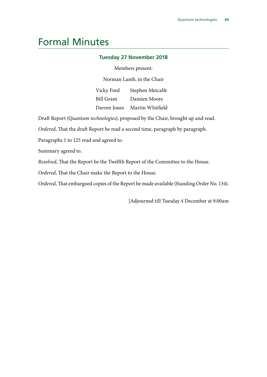### Formal Minutes

#### **Tuesday 27 November 2018**

Members present:

Norman Lamb, in the Chair

Vicky Ford Bill Grant Darren Jones Martin Whitfield Stephen Metcalfe Damien Moore

Draft Report (*Quantum technologies*), proposed by the Chair, brought up and read.

*Ordered*, That the draft Report be read a second time, paragraph by paragraph.

Paragraphs 1 to 125 read and agreed to.

Summary agreed to.

*Resolved*, That the Report be the Twelfth Report of the Committee to the House.

*Ordered*, That the Chair make the Report to the House.

*Ordered*, That embargoed copies of the Report be made available (Standing Order No. 134).

[Adjourned till Tuesday 4 December at 9.00am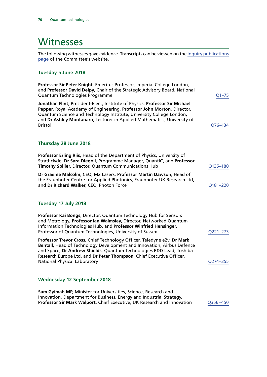## **Witnesses**

The following witnesses gave evidence. Transcripts can be viewed on the [inquiry publications](https://www.parliament.uk/business/committees/committees-a-z/commons-select/science-and-technology-committee/inquiries/parliament-2017/quantum-technologies-17-19/publications/) [page](https://www.parliament.uk/business/committees/committees-a-z/commons-select/science-and-technology-committee/inquiries/parliament-2017/quantum-technologies-17-19/publications/) of the Committee's website.

#### **Tuesday 5 June 2018**

| Professor Sir Peter Knight, Emeritus Professor, Imperial College London,<br>and Professor David Delpy, Chair of the Strategic Advisory Board, National<br>Quantum Technologies Programme                                                                                                                                                 | $Q1 - 75$ |
|------------------------------------------------------------------------------------------------------------------------------------------------------------------------------------------------------------------------------------------------------------------------------------------------------------------------------------------|-----------|
| Jonathan Flint, President-Elect, Institute of Physics, Professor Sir Michael<br>Pepper, Royal Academy of Engineering, Professor John Morton, Director,<br>Quantum Science and Technology Institute, University College London,<br>and Dr Ashley Montanaro, Lecturer in Applied Mathematics, University of<br><b>Bristol</b>              | Q76-134   |
| Thursday 28 June 2018                                                                                                                                                                                                                                                                                                                    |           |
| Professor Erling Riis, Head of the Department of Physics, University of<br>Strathclyde, Dr Sara Diegoli, Programme Manager, QuantIC, and Professor<br>Timothy Spiller, Director, Quantum Communications Hub                                                                                                                              | Q135-180  |
| Dr Graeme Malcolm, CEO, M2 Lasers, Professor Martin Dawson, Head of<br>the Fraunhofer Centre for Applied Photonics, Fraunhofer UK Research Ltd,<br>and Dr Richard Walker, CEO, Photon Force                                                                                                                                              | Q181-220  |
| Tuesday 17 July 2018                                                                                                                                                                                                                                                                                                                     |           |
| Professor Kai Bongs, Director, Quantum Technology Hub for Sensors<br>and Metrology, Professor Ian Walmsley, Director, Networked Quantum<br>Information Technologies Hub, and Professor Winfried Hensinger,<br>Professor of Quantum Technologies, University of Sussex                                                                    | Q221-273  |
| Professor Trevor Cross, Chief Technology Officer, Teledyne e2v, Dr Mark<br>Bentall, Head of Technology Development and Innovation, Airbus Defence<br>and Space, Dr Andrew Shields, Quantum Technologies R&D Lead, Toshiba<br>Research Europe Ltd, and Dr Peter Thompson, Chief Executive Officer,<br><b>National Physical Laboratory</b> | Q274-355  |
| <b>Wednesday 12 September 2018</b>                                                                                                                                                                                                                                                                                                       |           |
| Sam Gyimah MP, Minister for Universities, Science, Research and<br>Innovation, Department for Business, Energy and Industrial Strategy,<br>Professor Sir Mark Walport, Chief Executive, UK Research and Innovation                                                                                                                       | Q356-450  |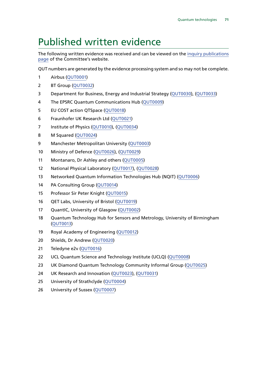## Published written evidence

The following written evidence was received and can be viewed on the [inquiry publications](https://www.parliament.uk/business/committees/committees-a-z/commons-select/science-and-technology-committee/inquiries/parliament-2017/quantum-technologies-17-19/publications/) [page](https://www.parliament.uk/business/committees/committees-a-z/commons-select/science-and-technology-committee/inquiries/parliament-2017/quantum-technologies-17-19/publications/) of the Committee's website.

QUT numbers are generated by the evidence processing system and so may not be complete.

- Airbus ([QUT0001](http://data.parliament.uk/WrittenEvidence/CommitteeEvidence.svc/EvidenceDocument/Science%20and%20Technology/Quantum%20technologies/Written/80089.html))
- BT Group [\(QUT0032](http://data.parliament.uk/WrittenEvidence/CommitteeEvidence.svc/EvidenceDocument/Science%20and%20Technology/Quantum%20technologies/Written/92106.html))
- Department for Business, Energy and Industrial Strategy ([QUT0030\)](http://data.parliament.uk/WrittenEvidence/CommitteeEvidence.svc/EvidenceDocument/Science%20and%20Technology/Quantum%20technologies/Written/91929.html), [\(QUT0033\)](http://data.parliament.uk/WrittenEvidence/CommitteeEvidence.svc/EvidenceDocument/Science%20and%20Technology/Quantum%20technologies/Written/92469.html)
- The EPSRC Quantum Communications Hub ([QUT0009](http://data.parliament.uk/WrittenEvidence/CommitteeEvidence.svc/EvidenceDocument/Science%20and%20Technology/Quantum%20technologies/Written/80929.html))
- EU COST action QTSpace [\(QUT0018](http://data.parliament.uk/WrittenEvidence/CommitteeEvidence.svc/EvidenceDocument/Science%20and%20Technology/Quantum%20technologies/Written/81008.html))
- Fraunhofer UK Research Ltd [\(QUT0021](http://data.parliament.uk/WrittenEvidence/CommitteeEvidence.svc/EvidenceDocument/Science%20and%20Technology/Quantum%20technologies/Written/81021.html))
- 7 Institute of Physics [\(QUT0010\)](http://data.parliament.uk/WrittenEvidence/CommitteeEvidence.svc/EvidenceDocument/Science%20and%20Technology/Quantum%20technologies/Written/80942.html), [\(QUT0034](http://data.parliament.uk/WrittenEvidence/CommitteeEvidence.svc/EvidenceDocument/Science%20and%20Technology/Quantum%20technologies/Written/92544.html))
- M Squared [\(QUT0024](http://data.parliament.uk/WrittenEvidence/CommitteeEvidence.svc/EvidenceDocument/Science%20and%20Technology/Quantum%20technologies/Written/81354.html))
- 9 Manchester Metropolitan University [\(QUT0003\)](http://data.parliament.uk/WrittenEvidence/CommitteeEvidence.svc/EvidenceDocument/Science%20and%20Technology/Quantum%20technologies/Written/80865.html)
- Ministry of Defence ([QUT0026](http://data.parliament.uk/WrittenEvidence/CommitteeEvidence.svc/EvidenceDocument/Science%20and%20Technology/Quantum%20technologies/Written/85434.html)), [\(QUT0029](http://data.parliament.uk/WrittenEvidence/CommitteeEvidence.svc/EvidenceDocument/Science%20and%20Technology/Quantum%20technologies/Written/89361.html))
- Montanaro, Dr Ashley and others [\(QUT0005\)](http://data.parliament.uk/WrittenEvidence/CommitteeEvidence.svc/EvidenceDocument/Science%20and%20Technology/Quantum%20technologies/Written/80900.html)
- National Physical Laboratory [\(QUT0017\)](http://data.parliament.uk/WrittenEvidence/CommitteeEvidence.svc/EvidenceDocument/Science%20and%20Technology/Quantum%20technologies/Written/81005.html), ([QUT0028\)](http://data.parliament.uk/WrittenEvidence/CommitteeEvidence.svc/EvidenceDocument/Science%20and%20Technology/Quantum%20technologies/Written/87005.html)
- Networked Quantum Information Technologies Hub (NQIT) ([QUT0006\)](http://data.parliament.uk/WrittenEvidence/CommitteeEvidence.svc/EvidenceDocument/Science%20and%20Technology/Quantum%20technologies/Written/80906.html)
- PA Consulting Group [\(QUT0014](http://data.parliament.uk/WrittenEvidence/CommitteeEvidence.svc/EvidenceDocument/Science%20and%20Technology/Quantum%20technologies/Written/80975.html))
- Professor Sir Peter Knight [\(QUT0015\)](http://data.parliament.uk/WrittenEvidence/CommitteeEvidence.svc/EvidenceDocument/Science%20and%20Technology/Quantum%20technologies/Written/80985.html)
- QET Labs, University of Bristol [\(QUT0019](http://data.parliament.uk/WrittenEvidence/CommitteeEvidence.svc/EvidenceDocument/Science%20and%20Technology/Quantum%20technologies/Written/81019.html))
- 17 QuantIC, University of Glasgow [\(QUT0002\)](http://data.parliament.uk/WrittenEvidence/CommitteeEvidence.svc/EvidenceDocument/Science%20and%20Technology/Quantum%20technologies/Written/80838.html)
- Quantum Technology Hub for Sensors and Metrology, University of Birmingham ([QUT0013\)](http://data.parliament.uk/WrittenEvidence/CommitteeEvidence.svc/EvidenceDocument/Science%20and%20Technology/Quantum%20technologies/Written/80962.html)
- Royal Academy of Engineering [\(QUT0012](http://data.parliament.uk/WrittenEvidence/CommitteeEvidence.svc/EvidenceDocument/Science%20and%20Technology/Quantum%20technologies/Written/80961.html))
- Shields, Dr Andrew [\(QUT0020](http://data.parliament.uk/WrittenEvidence/CommitteeEvidence.svc/EvidenceDocument/Science%20and%20Technology/Quantum%20technologies/Written/81020.html))
- Teledyne e2v [\(QUT0016](http://data.parliament.uk/WrittenEvidence/CommitteeEvidence.svc/EvidenceDocument/Science%20and%20Technology/Quantum%20technologies/Written/80995.html))
- UCL Quantum Science and Technology Institute (UCLQ) ([QUT0008\)](http://data.parliament.uk/WrittenEvidence/CommitteeEvidence.svc/EvidenceDocument/Science%20and%20Technology/Quantum%20technologies/Written/80927.html)
- UK Diamond Quantum Technology Community Informal Group [\(QUT0025](http://data.parliament.uk/WrittenEvidence/CommitteeEvidence.svc/EvidenceDocument/Science%20and%20Technology/Quantum%20technologies/Written/84053.html))
- UK Research and Innovation [\(QUT0023\)](http://data.parliament.uk/WrittenEvidence/CommitteeEvidence.svc/EvidenceDocument/Science%20and%20Technology/Quantum%20technologies/Written/81338.html), ([QUT0031](http://data.parliament.uk/WrittenEvidence/CommitteeEvidence.svc/EvidenceDocument/Science%20and%20Technology/Quantum%20technologies/Written/91952.html))
- University of Strathclyde ([QUT0004\)](http://data.parliament.uk/WrittenEvidence/CommitteeEvidence.svc/EvidenceDocument/Science%20and%20Technology/Quantum%20technologies/Written/80895.html)
- University of Sussex ([QUT0007](http://data.parliament.uk/WrittenEvidence/CommitteeEvidence.svc/EvidenceDocument/Science%20and%20Technology/Quantum%20technologies/Written/80907.html))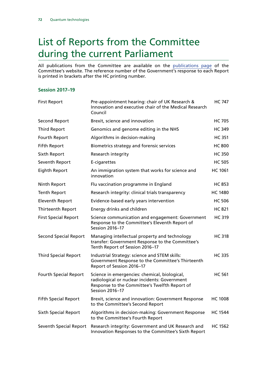## List of Reports from the Committee during the current Parliament

All publications from the Committee are available on the [publications page](https://www.parliament.uk/business/committees/committees-a-z/commons-select/science-and-technology-committee/inquiries/parliament-2017/quantum-technologies-17-19/publications/) of the Committee's website. The reference number of the Government's response to each Report is printed in brackets after the HC printing number.

## **Session 2017–19**

| <b>First Report</b>          | Pre-appointment hearing: chair of UK Research &<br>Innovation and executive chair of the Medical Research<br>Council                                                      | <b>HC 747</b>  |
|------------------------------|---------------------------------------------------------------------------------------------------------------------------------------------------------------------------|----------------|
| <b>Second Report</b>         | Brexit, science and innovation                                                                                                                                            | <b>HC 705</b>  |
| <b>Third Report</b>          | Genomics and genome editing in the NHS                                                                                                                                    | <b>HC 349</b>  |
| Fourth Report                | Algorithms in decision-making                                                                                                                                             | <b>HC 351</b>  |
| <b>Fifth Report</b>          | Biometrics strategy and forensic services                                                                                                                                 | <b>HC 800</b>  |
| Sixth Report                 | Research integrity                                                                                                                                                        | <b>HC 350</b>  |
| Seventh Report               | E-cigarettes                                                                                                                                                              | <b>HC 505</b>  |
| <b>Eighth Report</b>         | An immigration system that works for science and<br>innovation                                                                                                            | <b>HC 1061</b> |
| Ninth Report                 | Flu vaccination programme in England                                                                                                                                      | <b>HC 853</b>  |
| <b>Tenth Report</b>          | Research integrity: clinical trials transparency                                                                                                                          | <b>HC 1480</b> |
| <b>Eleventh Report</b>       | Evidence-based early years intervention                                                                                                                                   | <b>HC 506</b>  |
| Thirteenth Report            | Energy drinks and children                                                                                                                                                | <b>HC 821</b>  |
| <b>First Special Report</b>  | Science communication and engagement: Government<br>Response to the Committee's Eleventh Report of<br>Session 2016-17                                                     | <b>HC 319</b>  |
| <b>Second Special Report</b> | Managing intellectual property and technology<br>transfer: Government Response to the Committee's<br>Tenth Report of Session 2016-17                                      | HC 318         |
| <b>Third Special Report</b>  | Industrial Strategy: science and STEM skills:<br>Government Response to the Committee's Thirteenth<br>Report of Session 2016-17                                           | <b>HC 335</b>  |
| <b>Fourth Special Report</b> | Science in emergencies: chemical, biological,<br>radiological or nuclear incidents: Government<br>Response to the Committee's Twelfth Report of<br><b>Session 2016-17</b> | <b>HC 561</b>  |
| <b>Fifth Special Report</b>  | Brexit, science and innovation: Government Response<br>to the Committee's Second Report                                                                                   | <b>HC 1008</b> |
| <b>Sixth Special Report</b>  | Algorithms in decision-making: Government Response<br>to the Committee's Fourth Report                                                                                    | <b>HC 1544</b> |
| Seventh Special Report       | Research integrity: Government and UK Research and<br>Innovation Responses to the Committee's Sixth Report                                                                | <b>HC 1562</b> |